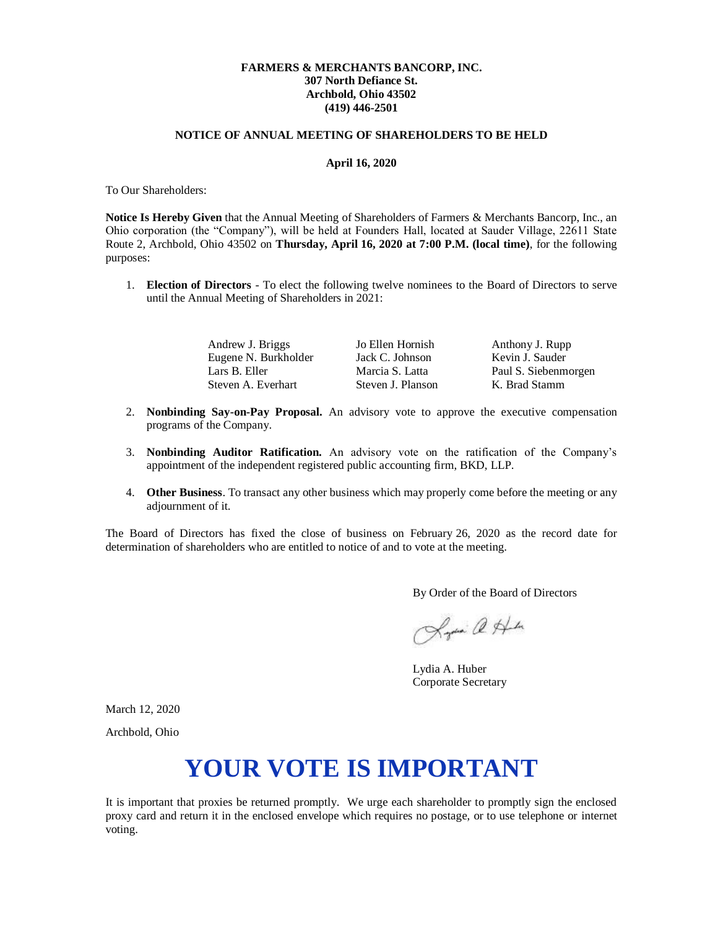# **FARMERS & MERCHANTS BANCORP, INC. 307 North Defiance St. Archbold, Ohio 43502 (419) 446-2501**

# **NOTICE OF ANNUAL MEETING OF SHAREHOLDERS TO BE HELD**

#### **April 16, 2020**

To Our Shareholders:

**Notice Is Hereby Given** that the Annual Meeting of Shareholders of Farmers & Merchants Bancorp, Inc., an Ohio corporation (the "Company"), will be held at Founders Hall, located at Sauder Village, 22611 State Route 2, Archbold, Ohio 43502 on **Thursday, April 16, 2020 at 7:00 P.M. (local time)**, for the following purposes:

1. **Election of Directors** - To elect the following twelve nominees to the Board of Directors to serve until the Annual Meeting of Shareholders in 2021:

| Jo Ellen Hornish  | Anthony J. Rupp      |
|-------------------|----------------------|
| Jack C. Johnson   | Kevin J. Sauder      |
| Marcia S. Latta   | Paul S. Siebenmorgen |
| Steven J. Planson | K. Brad Stamm        |
|                   |                      |

- 2. **Nonbinding Say-on-Pay Proposal.** An advisory vote to approve the executive compensation programs of the Company.
- 3. **Nonbinding Auditor Ratification.** An advisory vote on the ratification of the Company's appointment of the independent registered public accounting firm, BKD, LLP.
- 4. **Other Business**. To transact any other business which may properly come before the meeting or any adjournment of it.

The Board of Directors has fixed the close of business on February 26, 2020 as the record date for determination of shareholders who are entitled to notice of and to vote at the meeting.

By Order of the Board of Directors

Loui Q Hila

Lydia A. Huber Corporate Secretary

March 12, 2020

Archbold, Ohio

# **YOUR VOTE IS IMPORTANT**

It is important that proxies be returned promptly. We urge each shareholder to promptly sign the enclosed proxy card and return it in the enclosed envelope which requires no postage, or to use telephone or internet voting.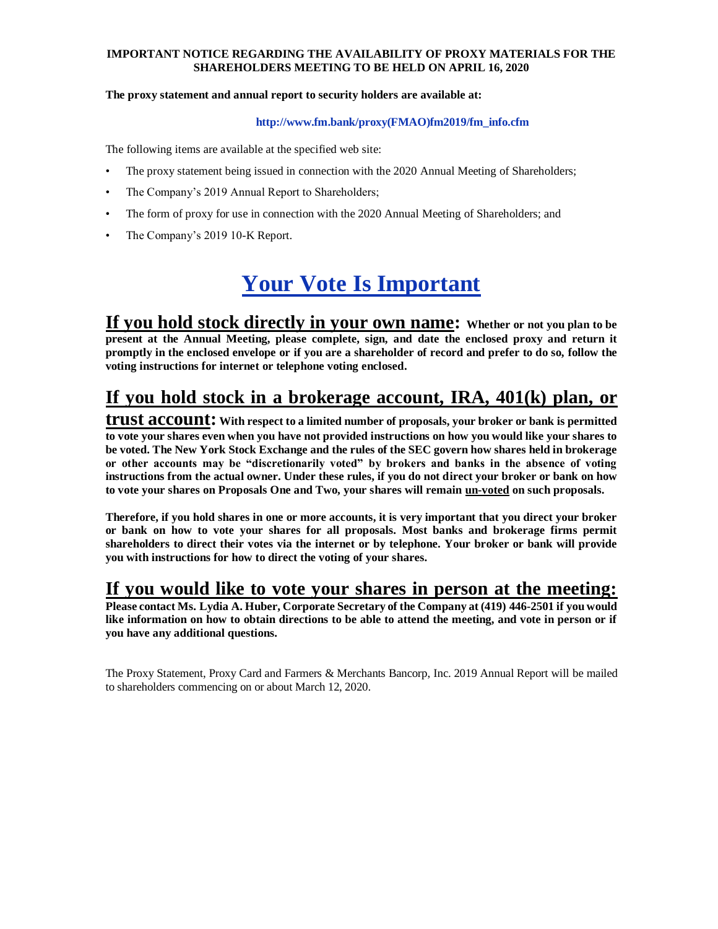# **IMPORTANT NOTICE REGARDING THE AVAILABILITY OF PROXY MATERIALS FOR THE SHAREHOLDERS MEETING TO BE HELD ON APRIL 16, 2020**

# **The proxy statement and annual report to security holders are available at:**

# **http://www.fm.bank/proxy(FMAO)fm2019/fm\_info.cfm**

The following items are available at the specified web site:

- The proxy statement being issued in connection with the 2020 Annual Meeting of Shareholders;
- The Company's 2019 Annual Report to Shareholders;
- The form of proxy for use in connection with the 2020 Annual Meeting of Shareholders; and
- The Company's 2019 10-K Report.

# **Your Vote Is Important**

**If you hold stock directly in your own name: Whether or not you plan to be present at the Annual Meeting, please complete, sign, and date the enclosed proxy and return it promptly in the enclosed envelope or if you are a shareholder of record and prefer to do so, follow the voting instructions for internet or telephone voting enclosed.**

# **If you hold stock in a brokerage account, IRA, 401(k) plan, or**

**trust account: With respect to a limited number of proposals, your broker or bank is permitted to vote your shares even when you have not provided instructions on how you would like your shares to be voted. The New York Stock Exchange and the rules of the SEC govern how shares held in brokerage or other accounts may be "discretionarily voted" by brokers and banks in the absence of voting instructions from the actual owner. Under these rules, if you do not direct your broker or bank on how to vote your shares on Proposals One and Two, your shares will remain un-voted on such proposals.** 

**Therefore, if you hold shares in one or more accounts, it is very important that you direct your broker or bank on how to vote your shares for all proposals. Most banks and brokerage firms permit shareholders to direct their votes via the internet or by telephone. Your broker or bank will provide you with instructions for how to direct the voting of your shares.** 

# **If you would like to vote your shares in person at the meeting:**

**Please contact Ms. Lydia A. Huber, Corporate Secretary of the Company at (419) 446-2501 if you would like information on how to obtain directions to be able to attend the meeting, and vote in person or if you have any additional questions.** 

The Proxy Statement, Proxy Card and Farmers & Merchants Bancorp, Inc. 2019 Annual Report will be mailed to shareholders commencing on or about March 12, 2020.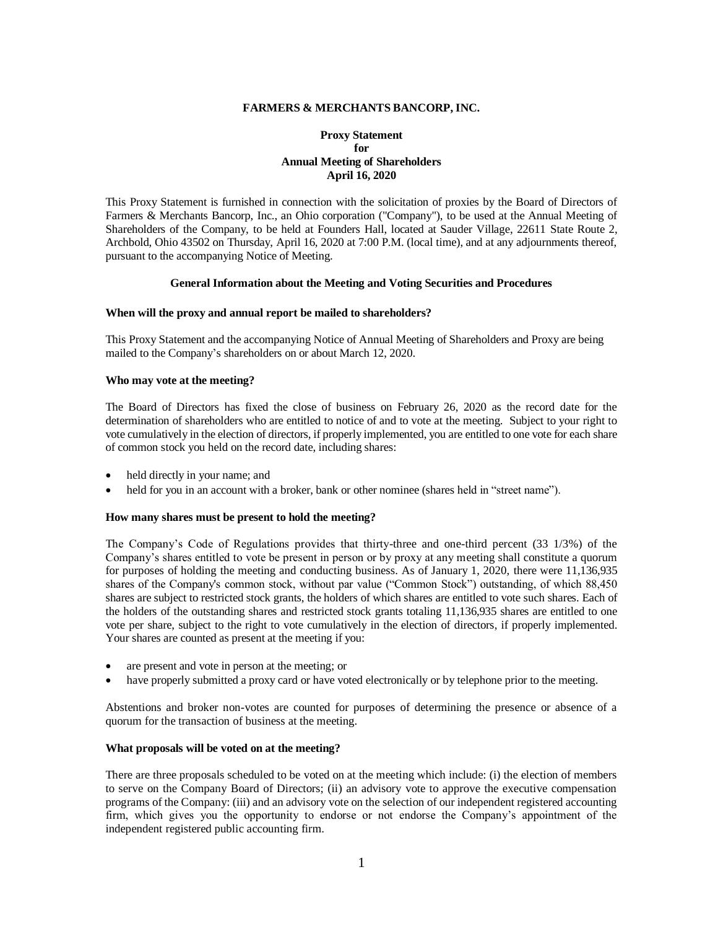#### **FARMERS & MERCHANTS BANCORP, INC.**

# **Proxy Statement for Annual Meeting of Shareholders April 16, 2020**

This Proxy Statement is furnished in connection with the solicitation of proxies by the Board of Directors of Farmers & Merchants Bancorp, Inc., an Ohio corporation ("Company"), to be used at the Annual Meeting of Shareholders of the Company, to be held at Founders Hall, located at Sauder Village, 22611 State Route 2, Archbold, Ohio 43502 on Thursday, April 16, 2020 at 7:00 P.M. (local time), and at any adjournments thereof, pursuant to the accompanying Notice of Meeting.

# **General Information about the Meeting and Voting Securities and Procedures**

#### **When will the proxy and annual report be mailed to shareholders?**

This Proxy Statement and the accompanying Notice of Annual Meeting of Shareholders and Proxy are being mailed to the Company's shareholders on or about March 12, 2020.

#### **Who may vote at the meeting?**

The Board of Directors has fixed the close of business on February 26, 2020 as the record date for the determination of shareholders who are entitled to notice of and to vote at the meeting. Subject to your right to vote cumulatively in the election of directors, if properly implemented, you are entitled to one vote for each share of common stock you held on the record date, including shares:

- held directly in your name; and
- held for you in an account with a broker, bank or other nominee (shares held in "street name").

# **How many shares must be present to hold the meeting?**

The Company's Code of Regulations provides that thirty-three and one-third percent (33 1/3%) of the Company's shares entitled to vote be present in person or by proxy at any meeting shall constitute a quorum for purposes of holding the meeting and conducting business. As of January 1, 2020, there were 11,136,935 shares of the Company's common stock, without par value ("Common Stock") outstanding, of which 88,450 shares are subject to restricted stock grants, the holders of which shares are entitled to vote such shares. Each of the holders of the outstanding shares and restricted stock grants totaling 11,136,935 shares are entitled to one vote per share, subject to the right to vote cumulatively in the election of directors, if properly implemented. Your shares are counted as present at the meeting if you:

- are present and vote in person at the meeting; or
- have properly submitted a proxy card or have voted electronically or by telephone prior to the meeting.

Abstentions and broker non-votes are counted for purposes of determining the presence or absence of a quorum for the transaction of business at the meeting.

# **What proposals will be voted on at the meeting?**

There are three proposals scheduled to be voted on at the meeting which include: (i) the election of members to serve on the Company Board of Directors; (ii) an advisory vote to approve the executive compensation programs of the Company: (iii) and an advisory vote on the selection of our independent registered accounting firm, which gives you the opportunity to endorse or not endorse the Company's appointment of the independent registered public accounting firm.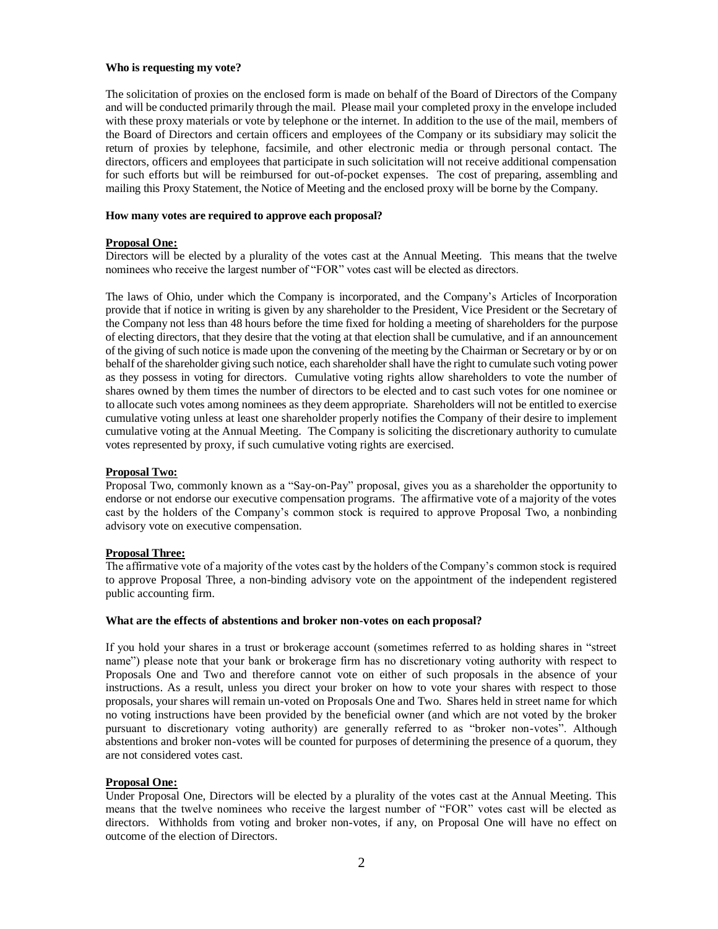#### **Who is requesting my vote?**

The solicitation of proxies on the enclosed form is made on behalf of the Board of Directors of the Company and will be conducted primarily through the mail. Please mail your completed proxy in the envelope included with these proxy materials or vote by telephone or the internet. In addition to the use of the mail, members of the Board of Directors and certain officers and employees of the Company or its subsidiary may solicit the return of proxies by telephone, facsimile, and other electronic media or through personal contact. The directors, officers and employees that participate in such solicitation will not receive additional compensation for such efforts but will be reimbursed for out-of-pocket expenses. The cost of preparing, assembling and mailing this Proxy Statement, the Notice of Meeting and the enclosed proxy will be borne by the Company.

#### **How many votes are required to approve each proposal?**

# **Proposal One:**

Directors will be elected by a plurality of the votes cast at the Annual Meeting. This means that the twelve nominees who receive the largest number of "FOR" votes cast will be elected as directors.

The laws of Ohio, under which the Company is incorporated, and the Company's Articles of Incorporation provide that if notice in writing is given by any shareholder to the President, Vice President or the Secretary of the Company not less than 48 hours before the time fixed for holding a meeting of shareholders for the purpose of electing directors, that they desire that the voting at that election shall be cumulative, and if an announcement of the giving of such notice is made upon the convening of the meeting by the Chairman or Secretary or by or on behalf of the shareholder giving such notice, each shareholder shall have the right to cumulate such voting power as they possess in voting for directors. Cumulative voting rights allow shareholders to vote the number of shares owned by them times the number of directors to be elected and to cast such votes for one nominee or to allocate such votes among nominees as they deem appropriate. Shareholders will not be entitled to exercise cumulative voting unless at least one shareholder properly notifies the Company of their desire to implement cumulative voting at the Annual Meeting. The Company is soliciting the discretionary authority to cumulate votes represented by proxy, if such cumulative voting rights are exercised.

# **Proposal Two:**

Proposal Two, commonly known as a "Say-on-Pay" proposal, gives you as a shareholder the opportunity to endorse or not endorse our executive compensation programs. The affirmative vote of a majority of the votes cast by the holders of the Company's common stock is required to approve Proposal Two, a nonbinding advisory vote on executive compensation.

#### **Proposal Three:**

The affirmative vote of a majority of the votes cast by the holders of the Company's common stock is required to approve Proposal Three, a non-binding advisory vote on the appointment of the independent registered public accounting firm.

#### **What are the effects of abstentions and broker non-votes on each proposal?**

If you hold your shares in a trust or brokerage account (sometimes referred to as holding shares in "street name") please note that your bank or brokerage firm has no discretionary voting authority with respect to Proposals One and Two and therefore cannot vote on either of such proposals in the absence of your instructions. As a result, unless you direct your broker on how to vote your shares with respect to those proposals, your shares will remain un-voted on Proposals One and Two. Shares held in street name for which no voting instructions have been provided by the beneficial owner (and which are not voted by the broker pursuant to discretionary voting authority) are generally referred to as "broker non-votes". Although abstentions and broker non-votes will be counted for purposes of determining the presence of a quorum, they are not considered votes cast.

#### **Proposal One:**

Under Proposal One, Directors will be elected by a plurality of the votes cast at the Annual Meeting. This means that the twelve nominees who receive the largest number of "FOR" votes cast will be elected as directors. Withholds from voting and broker non-votes, if any, on Proposal One will have no effect on outcome of the election of Directors.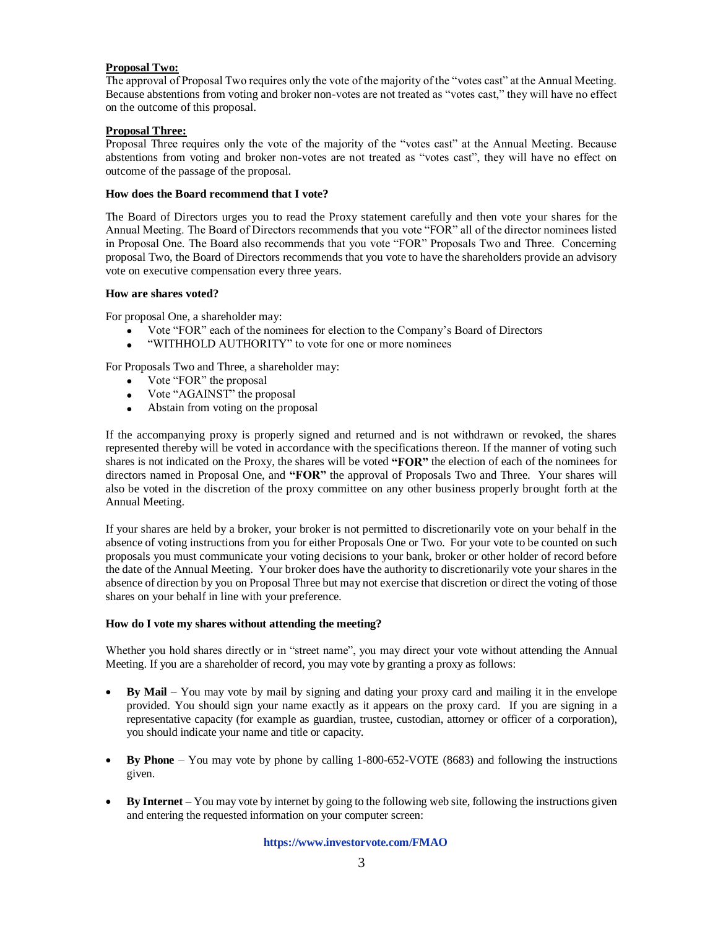# **Proposal Two:**

The approval of Proposal Two requires only the vote of the majority of the "votes cast" at the Annual Meeting. Because abstentions from voting and broker non-votes are not treated as "votes cast," they will have no effect on the outcome of this proposal.

# **Proposal Three:**

Proposal Three requires only the vote of the majority of the "votes cast" at the Annual Meeting. Because abstentions from voting and broker non-votes are not treated as "votes cast", they will have no effect on outcome of the passage of the proposal.

# **How does the Board recommend that I vote?**

The Board of Directors urges you to read the Proxy statement carefully and then vote your shares for the Annual Meeting. The Board of Directors recommends that you vote "FOR" all of the director nominees listed in Proposal One. The Board also recommends that you vote "FOR" Proposals Two and Three. Concerning proposal Two, the Board of Directors recommends that you vote to have the shareholders provide an advisory vote on executive compensation every three years.

# **How are shares voted?**

For proposal One, a shareholder may:

- Vote "FOR" each of the nominees for election to the Company's Board of Directors
- "WITHHOLD AUTHORITY" to vote for one or more nominees

For Proposals Two and Three, a shareholder may:

- Vote "FOR" the proposal
- Vote "AGAINST" the proposal
- Abstain from voting on the proposal

If the accompanying proxy is properly signed and returned and is not withdrawn or revoked, the shares represented thereby will be voted in accordance with the specifications thereon. If the manner of voting such shares is not indicated on the Proxy, the shares will be voted **"FOR"** the election of each of the nominees for directors named in Proposal One, and **"FOR"** the approval of Proposals Two and Three. Your shares will also be voted in the discretion of the proxy committee on any other business properly brought forth at the Annual Meeting.

If your shares are held by a broker, your broker is not permitted to discretionarily vote on your behalf in the absence of voting instructions from you for either Proposals One or Two. For your vote to be counted on such proposals you must communicate your voting decisions to your bank, broker or other holder of record before the date of the Annual Meeting. Your broker does have the authority to discretionarily vote your shares in the absence of direction by you on Proposal Three but may not exercise that discretion or direct the voting of those shares on your behalf in line with your preference.

# **How do I vote my shares without attending the meeting?**

Whether you hold shares directly or in "street name", you may direct your vote without attending the Annual Meeting. If you are a shareholder of record, you may vote by granting a proxy as follows:

- **By Mail** You may vote by mail by signing and dating your proxy card and mailing it in the envelope provided. You should sign your name exactly as it appears on the proxy card. If you are signing in a representative capacity (for example as guardian, trustee, custodian, attorney or officer of a corporation), you should indicate your name and title or capacity.
- **By Phone** You may vote by phone by calling 1-800-652-VOTE (8683) and following the instructions given.
- **By Internet** You may vote by internet by going to the following web site, following the instructions given and entering the requested information on your computer screen:

# **https://www.investorvote.com/FMAO**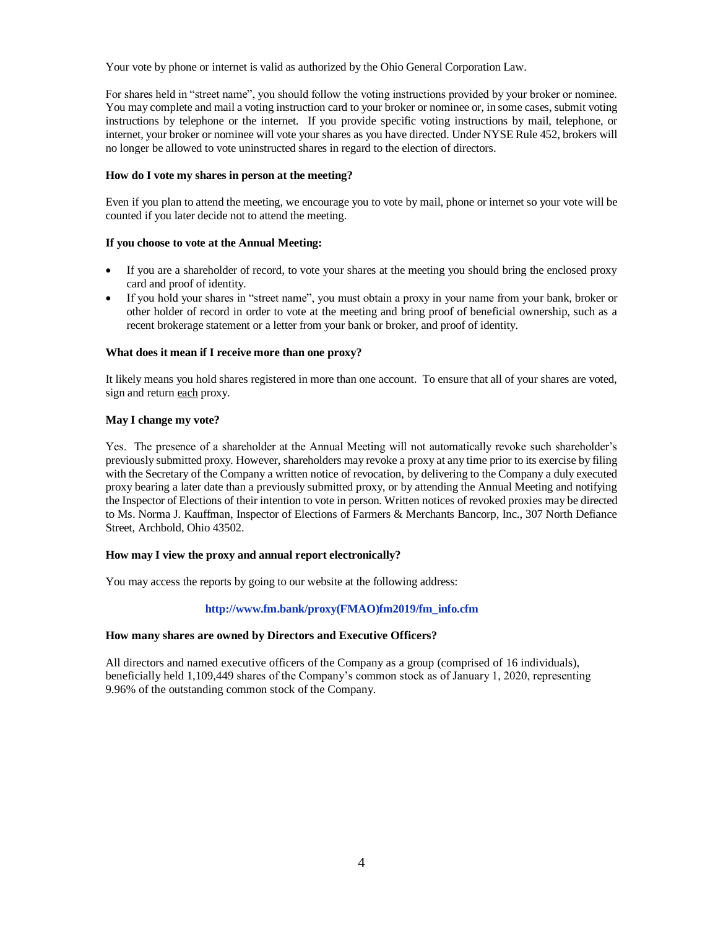Your vote by phone or internet is valid as authorized by the Ohio General Corporation Law.

For shares held in "street name", you should follow the voting instructions provided by your broker or nominee. You may complete and mail a voting instruction card to your broker or nominee or, in some cases, submit voting instructions by telephone or the internet. If you provide specific voting instructions by mail, telephone, or internet, your broker or nominee will vote your shares as you have directed. Under NYSE Rule 452, brokers will no longer be allowed to vote uninstructed shares in regard to the election of directors.

# **How do I vote my shares in person at the meeting?**

Even if you plan to attend the meeting, we encourage you to vote by mail, phone or internet so your vote will be counted if you later decide not to attend the meeting.

# **If you choose to vote at the Annual Meeting:**

- If you are a shareholder of record, to vote your shares at the meeting you should bring the enclosed proxy card and proof of identity.
- If you hold your shares in "street name", you must obtain a proxy in your name from your bank, broker or other holder of record in order to vote at the meeting and bring proof of beneficial ownership, such as a recent brokerage statement or a letter from your bank or broker, and proof of identity.

# **What does it mean if I receive more than one proxy?**

It likely means you hold shares registered in more than one account. To ensure that all of your shares are voted, sign and return each proxy.

# **May I change my vote?**

Yes. The presence of a shareholder at the Annual Meeting will not automatically revoke such shareholder's previously submitted proxy. However, shareholders may revoke a proxy at any time prior to its exercise by filing with the Secretary of the Company a written notice of revocation, by delivering to the Company a duly executed proxy bearing a later date than a previously submitted proxy, or by attending the Annual Meeting and notifying the Inspector of Elections of their intention to vote in person. Written notices of revoked proxies may be directed to Ms. Norma J. Kauffman, Inspector of Elections of Farmers & Merchants Bancorp, Inc., 307 North Defiance Street, Archbold, Ohio 43502.

# **How may I view the proxy and annual report electronically?**

You may access the reports by going to our website at the following address:

# **http://www.fm.bank/proxy(FMAO)fm2019/fm\_info.cfm**

# **How many shares are owned by Directors and Executive Officers?**

All directors and named executive officers of the Company as a group (comprised of 16 individuals), beneficially held 1,109,449 shares of the Company's common stock as of January 1, 2020, representing 9.96% of the outstanding common stock of the Company.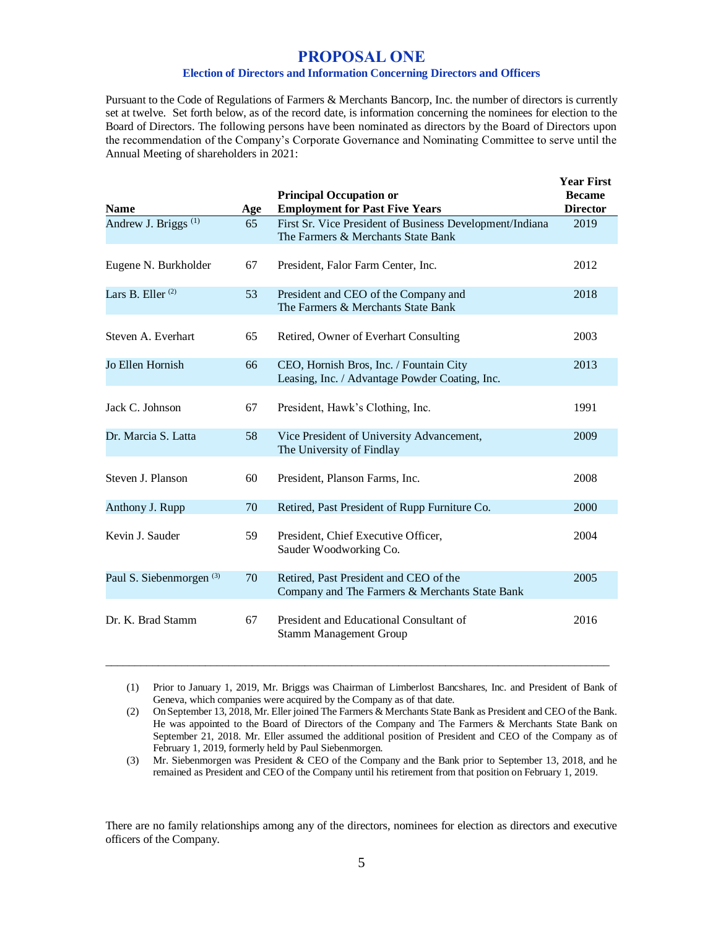# **PROPOSAL ONE**

# **Election of Directors and Information Concerning Directors and Officers**

Pursuant to the Code of Regulations of Farmers & Merchants Bancorp, Inc. the number of directors is currently set at twelve. Set forth below, as of the record date, is information concerning the nominees for election to the Board of Directors. The following persons have been nominated as directors by the Board of Directors upon the recommendation of the Company's Corporate Governance and Nominating Committee to serve until the Annual Meeting of shareholders in 2021:

| <b>Name</b>                         | Age | <b>Principal Occupation or</b><br><b>Employment for Past Five Years</b>                        | <b>Year First</b><br><b>Became</b><br><b>Director</b> |
|-------------------------------------|-----|------------------------------------------------------------------------------------------------|-------------------------------------------------------|
| Andrew J. Briggs <sup>(1)</sup>     | 65  | First Sr. Vice President of Business Development/Indiana<br>The Farmers & Merchants State Bank | 2019                                                  |
| Eugene N. Burkholder                | 67  | President, Falor Farm Center, Inc.                                                             | 2012                                                  |
| Lars B. Eller <sup>(2)</sup>        | 53  | President and CEO of the Company and<br>The Farmers & Merchants State Bank                     | 2018                                                  |
| Steven A. Everhart                  | 65  | Retired, Owner of Everhart Consulting                                                          | 2003                                                  |
| Jo Ellen Hornish                    | 66  | CEO, Hornish Bros, Inc. / Fountain City<br>Leasing, Inc. / Advantage Powder Coating, Inc.      | 2013                                                  |
| Jack C. Johnson                     | 67  | President, Hawk's Clothing, Inc.                                                               | 1991                                                  |
| Dr. Marcia S. Latta                 | 58  | Vice President of University Advancement,<br>The University of Findlay                         | 2009                                                  |
| Steven J. Planson                   | 60  | President, Planson Farms, Inc.                                                                 | 2008                                                  |
| Anthony J. Rupp                     | 70  | Retired, Past President of Rupp Furniture Co.                                                  | 2000                                                  |
| Kevin J. Sauder                     | 59  | President, Chief Executive Officer,<br>Sauder Woodworking Co.                                  | 2004                                                  |
| Paul S. Siebenmorgen <sup>(3)</sup> | 70  | Retired, Past President and CEO of the<br>Company and The Farmers & Merchants State Bank       | 2005                                                  |
| Dr. K. Brad Stamm                   | 67  | President and Educational Consultant of<br><b>Stamm Management Group</b>                       | 2016                                                  |

(1) Prior to January 1, 2019, Mr. Briggs was Chairman of Limberlost Bancshares, Inc. and President of Bank of Geneva, which companies were acquired by the Company as of that date.

 $\_$  , and the set of the set of the set of the set of the set of the set of the set of the set of the set of the set of the set of the set of the set of the set of the set of the set of the set of the set of the set of th

(2) On September 13, 2018, Mr. Eller joined The Farmers & Merchants State Bank as President and CEO of the Bank. He was appointed to the Board of Directors of the Company and The Farmers & Merchants State Bank on September 21, 2018. Mr. Eller assumed the additional position of President and CEO of the Company as of February 1, 2019, formerly held by Paul Siebenmorgen.

(3) Mr. Siebenmorgen was President & CEO of the Company and the Bank prior to September 13, 2018, and he remained as President and CEO of the Company until his retirement from that position on February 1, 2019.

There are no family relationships among any of the directors, nominees for election as directors and executive officers of the Company.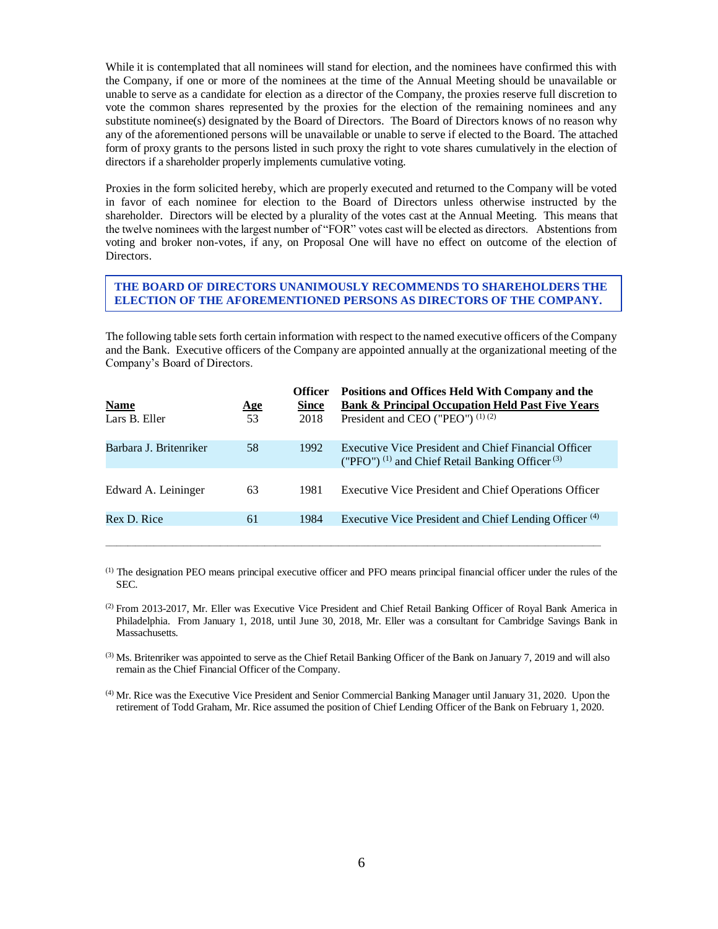While it is contemplated that all nominees will stand for election, and the nominees have confirmed this with the Company, if one or more of the nominees at the time of the Annual Meeting should be unavailable or unable to serve as a candidate for election as a director of the Company, the proxies reserve full discretion to vote the common shares represented by the proxies for the election of the remaining nominees and any substitute nominee(s) designated by the Board of Directors. The Board of Directors knows of no reason why any of the aforementioned persons will be unavailable or unable to serve if elected to the Board. The attached form of proxy grants to the persons listed in such proxy the right to vote shares cumulatively in the election of directors if a shareholder properly implements cumulative voting.

Proxies in the form solicited hereby, which are properly executed and returned to the Company will be voted in favor of each nominee for election to the Board of Directors unless otherwise instructed by the shareholder. Directors will be elected by a plurality of the votes cast at the Annual Meeting. This means that the twelve nominees with the largest number of "FOR" votes cast will be elected as directors. Abstentions from voting and broker non-votes, if any, on Proposal One will have no effect on outcome of the election of Directors.

# **THE BOARD OF DIRECTORS UNANIMOUSLY RECOMMENDS TO SHAREHOLDERS THE ELECTION OF THE AFOREMENTIONED PERSONS AS DIRECTORS OF THE COMPANY.**

The following table sets forth certain information with respect to the named executive officers of the Company and the Bank. Executive officers of the Company are appointed annually at the organizational meeting of the Company's Board of Directors.

| <b>Name</b><br>Lars B. Eller | <u>Age</u><br>53 | <b>Officer</b><br><b>Since</b><br>2018 | Positions and Offices Held With Company and the<br><b>Bank &amp; Principal Occupation Held Past Five Years</b><br>President and CEO ("PEO") <sup>(1) (2)</sup> |
|------------------------------|------------------|----------------------------------------|----------------------------------------------------------------------------------------------------------------------------------------------------------------|
| Barbara J. Britenriker       | 58               | 1992                                   | Executive Vice President and Chief Financial Officer<br>("PFO") $^{(1)}$ and Chief Retail Banking Officer $^{(3)}$                                             |
| Edward A. Leininger          | 63               | 1981                                   | <b>Executive Vice President and Chief Operations Officer</b>                                                                                                   |
| Rex D. Rice                  | 61               | 1984                                   | Executive Vice President and Chief Lending Officer <sup>(4)</sup>                                                                                              |
|                              |                  |                                        |                                                                                                                                                                |

(1) The designation PEO means principal executive officer and PFO means principal financial officer under the rules of the SEC.

\_\_\_\_\_\_\_\_\_\_\_\_\_\_\_\_\_\_\_\_\_\_\_\_\_\_\_\_\_\_\_\_\_\_\_\_\_\_\_\_\_\_\_\_\_\_\_\_\_\_\_\_\_\_\_\_\_\_\_\_\_\_\_\_\_\_\_\_\_\_\_\_\_\_\_\_\_\_\_\_\_\_\_\_\_\_\_\_\_\_\_\_\_\_\_\_\_\_\_\_\_\_\_\_\_\_\_\_\_\_\_\_\_\_\_\_\_\_\_\_\_\_\_\_\_\_\_\_\_\_\_\_\_\_

(2) From 2013-2017, Mr. Eller was Executive Vice President and Chief Retail Banking Officer of Royal Bank America in Philadelphia. From January 1, 2018, until June 30, 2018, Mr. Eller was a consultant for Cambridge Savings Bank in Massachusetts.

 $^{(3)}$  Ms. Britenriker was appointed to serve as the Chief Retail Banking Officer of the Bank on January 7, 2019 and will also remain as the Chief Financial Officer of the Company.

(4) Mr. Rice was the Executive Vice President and Senior Commercial Banking Manager until January 31, 2020. Upon the retirement of Todd Graham, Mr. Rice assumed the position of Chief Lending Officer of the Bank on February 1, 2020.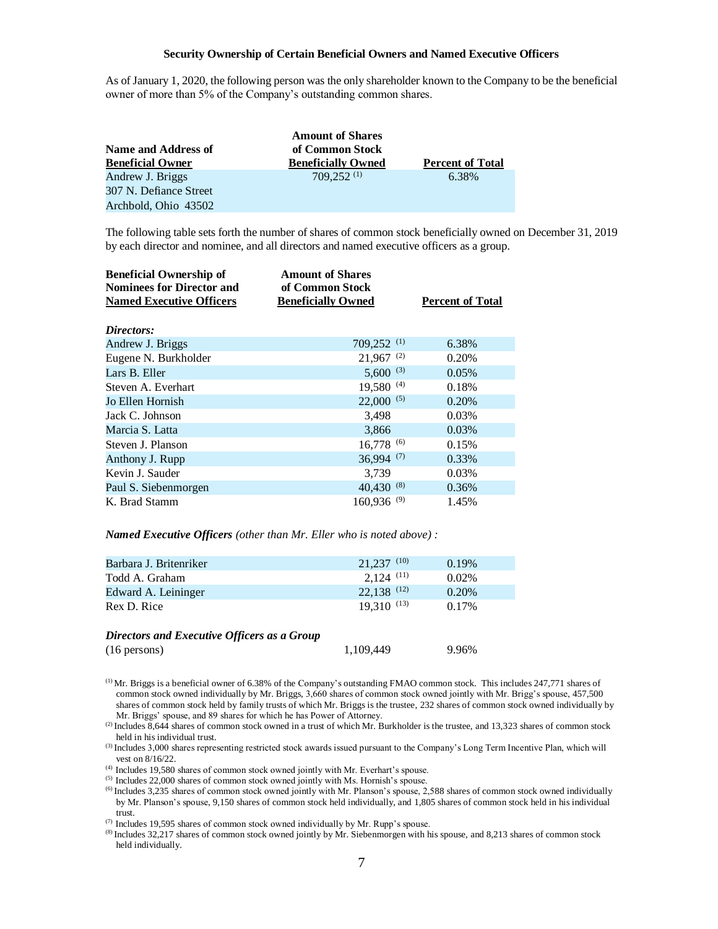#### **Security Ownership of Certain Beneficial Owners and Named Executive Officers**

As of January 1, 2020, the following person was the only shareholder known to the Company to be the beneficial owner of more than 5% of the Company's outstanding common shares.

|                         | <b>Amount of Shares</b>   |                         |
|-------------------------|---------------------------|-------------------------|
| Name and Address of     | of Common Stock           |                         |
| <b>Beneficial Owner</b> | <b>Beneficially Owned</b> | <b>Percent of Total</b> |
| Andrew J. Briggs        | $709.252^{(1)}$           | 6.38%                   |
| 307 N. Defiance Street  |                           |                         |
| Archbold, Ohio 43502    |                           |                         |

The following table sets forth the number of shares of common stock beneficially owned on December 31, 2019 by each director and nominee, and all directors and named executive officers as a group.

| <b>Beneficial Ownership of</b>   | <b>Amount of Shares</b>   |                         |
|----------------------------------|---------------------------|-------------------------|
| <b>Nominees for Director and</b> | of Common Stock           |                         |
| <b>Named Executive Officers</b>  | <b>Beneficially Owned</b> | <b>Percent of Total</b> |
|                                  |                           |                         |
| Directors:                       |                           |                         |
| Andrew J. Briggs                 | $709,252$ <sup>(1)</sup>  | 6.38%                   |
| Eugene N. Burkholder             | $21,967$ <sup>(2)</sup>   | 0.20%                   |
| Lars B. Eller                    | $5,600^{(3)}$             | 0.05%                   |
| Steven A. Everhart               | 19,580 (4)                | 0.18%                   |
| Jo Ellen Hornish                 | $22,000^{(5)}$            | 0.20%                   |
| Jack C. Johnson                  | 3,498                     | 0.03%                   |
| Marcia S. Latta                  | 3,866                     | 0.03%                   |
| Steven J. Planson                | $16,778$ <sup>(6)</sup>   | 0.15%                   |
| Anthony J. Rupp                  | $36,994$ <sup>(7)</sup>   | 0.33%                   |
| Kevin J. Sauder                  | 3,739                     | 0.03%                   |
| Paul S. Siebenmorgen             | 40,430 $(8)$              | 0.36%                   |
| K. Brad Stamm                    | $160,936$ <sup>(9)</sup>  | 1.45%                   |

*Named Executive Officers (other than Mr. Eller who is noted above) :*

| Barbara J. Britenriker                                                                                                                                                                                                                                                                                                             | $21,237$ <sup>(10)</sup> | 0.19% |
|------------------------------------------------------------------------------------------------------------------------------------------------------------------------------------------------------------------------------------------------------------------------------------------------------------------------------------|--------------------------|-------|
| Todd A. Graham                                                                                                                                                                                                                                                                                                                     | $2.124$ <sup>(11)</sup>  | 0.02% |
| Edward A. Leininger                                                                                                                                                                                                                                                                                                                | $22,138$ (12)            | 0.20% |
| Rex D. Rice                                                                                                                                                                                                                                                                                                                        | $19.310^{(13)}$          | 0.17% |
|                                                                                                                                                                                                                                                                                                                                    |                          |       |
| $\mathbf{D}$ $\mathbf{D}$ $\mathbf{D}$ $\mathbf{D}$ $\mathbf{D}$ $\mathbf{D}$ $\mathbf{D}$ $\mathbf{D}$ $\mathbf{D}$ $\mathbf{D}$ $\mathbf{D}$ $\mathbf{D}$ $\mathbf{D}$ $\mathbf{D}$ $\mathbf{D}$ $\mathbf{D}$ $\mathbf{D}$ $\mathbf{D}$ $\mathbf{D}$ $\mathbf{D}$ $\mathbf{D}$ $\mathbf{D}$ $\mathbf{D}$ $\mathbf{D}$ $\mathbf{$ |                          |       |

| Directors and Executive Officers as a Group |           |       |
|---------------------------------------------|-----------|-------|
| $(16 \text{ persons})$                      | 1,109,449 | 9.96% |

(1) Mr. Briggs is a beneficial owner of 6.38% of the Company's outstanding FMAO common stock. This includes 247,771 shares of common stock owned individually by Mr. Briggs, 3,660 shares of common stock owned jointly with Mr. Brigg's spouse, 457,500 shares of common stock held by family trusts of which Mr. Briggs is the trustee, 232 shares of common stock owned individually by Mr. Briggs' spouse, and 89 shares for which he has Power of Attorney.

 $^{(2)}$  Includes 8,644 shares of common stock owned in a trust of which Mr. Burkholder is the trustee, and 13,323 shares of common stock held in his individual trust.

(3) Includes 3,000 shares representing restricted stock awards issued pursuant to the Company's Long Term Incentive Plan, which will vest on 8/16/22.

(4) Includes 19,580 shares of common stock owned jointly with Mr. Everhart's spouse.

(5) Includes 22,000 shares of common stock owned jointly with Ms. Hornish's spouse.

(6) Includes 3,235 shares of common stock owned jointly with Mr. Planson's spouse, 2,588 shares of common stock owned individually by Mr. Planson's spouse, 9,150 shares of common stock held individually, and 1,805 shares of common stock held in his individual trust.

 $(7)$  Includes 19,595 shares of common stock owned individually by Mr. Rupp's spouse.

(8) Includes 32,217 shares of common stock owned jointly by Mr. Siebenmorgen with his spouse, and 8,213 shares of common stock held individually.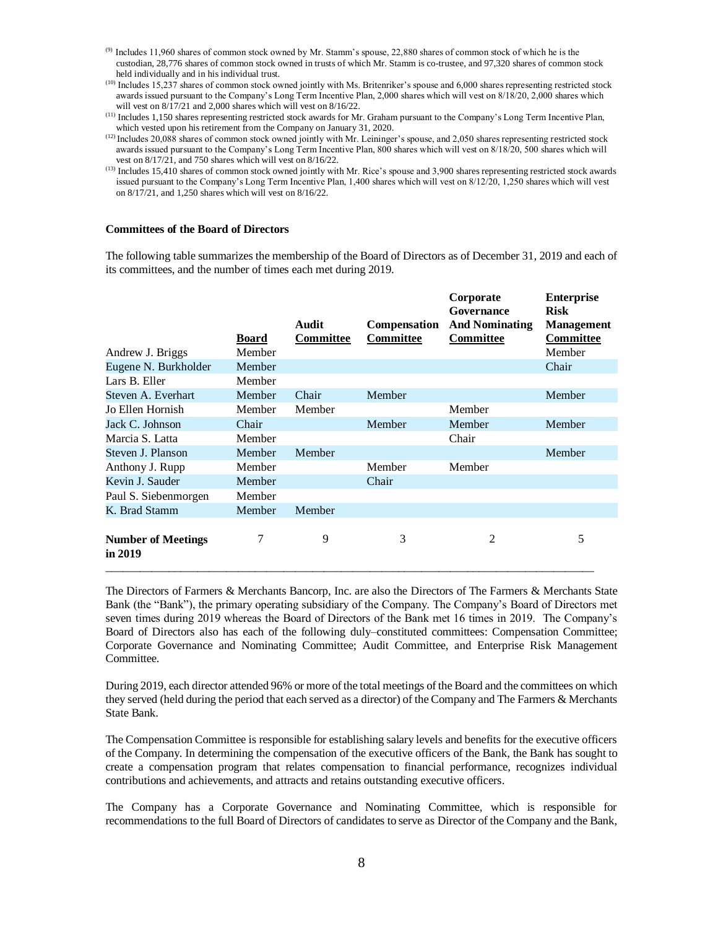- $(9)$  Includes 11,960 shares of common stock owned by Mr. Stamm's spouse, 22,880 shares of common stock of which he is the custodian, 28,776 shares of common stock owned in trusts of which Mr. Stamm is co-trustee, and 97,320 shares of common stock held individually and in his individual trust.
- <sup>(10)</sup> Includes 15,237 shares of common stock owned jointly with Ms. Britenriker's spouse and 6,000 shares representing restricted stock awards issued pursuant to the Company's Long Term Incentive Plan, 2,000 shares which will vest on 8/18/20, 2,000 shares which will vest on 8/17/21 and 2,000 shares which will vest on 8/16/22.
- (11) Includes 1,150 shares representing restricted stock awards for Mr. Graham pursuant to the Company's Long Term Incentive Plan, which vested upon his retirement from the Company on January 31, 2020.
- (12) Includes 20,088 shares of common stock owned jointly with Mr. Leininger's spouse, and 2,050 shares representing restricted stock awards issued pursuant to the Company's Long Term Incentive Plan, 800 shares which will vest on 8/18/20, 500 shares which will vest on 8/17/21, and 750 shares which will vest on 8/16/22.
- (13) Includes 15,410 shares of common stock owned jointly with Mr. Rice's spouse and 3,900 shares representing restricted stock awards issued pursuant to the Company's Long Term Incentive Plan, 1,400 shares which will vest on 8/12/20, 1,250 shares which will vest on 8/17/21, and 1,250 shares which will vest on 8/16/22.

#### **Committees of the Board of Directors**

The following table summarizes the membership of the Board of Directors as of December 31, 2019 and each of its committees, and the number of times each met during 2019.

| Andrew J. Briggs                     | Board<br>Member | Audit<br><b>Committee</b> | <b>Compensation</b><br><b>Committee</b> | Corporate<br>Governance<br><b>And Nominating</b><br><b>Committee</b> | <b>Enterprise</b><br><b>Risk</b><br><b>Management</b><br><b>Committee</b><br>Member |
|--------------------------------------|-----------------|---------------------------|-----------------------------------------|----------------------------------------------------------------------|-------------------------------------------------------------------------------------|
| Eugene N. Burkholder                 | Member          |                           |                                         |                                                                      | Chair                                                                               |
| Lars B. Eller                        | Member          |                           |                                         |                                                                      |                                                                                     |
| Steven A. Everhart                   | Member          | Chair                     | Member                                  |                                                                      | Member                                                                              |
| Jo Ellen Hornish                     | Member          | Member                    |                                         | Member                                                               |                                                                                     |
| Jack C. Johnson                      | Chair           |                           | Member                                  | Member                                                               | Member                                                                              |
| Marcia S. Latta                      | Member          |                           |                                         | Chair                                                                |                                                                                     |
| Steven J. Planson                    | Member          | Member                    |                                         |                                                                      | Member                                                                              |
| Anthony J. Rupp                      | Member          |                           | Member                                  | Member                                                               |                                                                                     |
| Kevin J. Sauder                      | Member          |                           | Chair                                   |                                                                      |                                                                                     |
| Paul S. Siebenmorgen                 | Member          |                           |                                         |                                                                      |                                                                                     |
| K. Brad Stamm                        | Member          | Member                    |                                         |                                                                      |                                                                                     |
| <b>Number of Meetings</b><br>in 2019 | 7               | 9                         | 3                                       | 2                                                                    | 5                                                                                   |

The Directors of Farmers & Merchants Bancorp, Inc. are also the Directors of The Farmers & Merchants State Bank (the "Bank"), the primary operating subsidiary of the Company. The Company's Board of Directors met seven times during 2019 whereas the Board of Directors of the Bank met 16 times in 2019. The Company's Board of Directors also has each of the following duly–constituted committees: Compensation Committee; Corporate Governance and Nominating Committee; Audit Committee, and Enterprise Risk Management Committee.

During 2019, each director attended 96% or more of the total meetings of the Board and the committees on which they served (held during the period that each served as a director) of the Company and The Farmers & Merchants State Bank.

The Compensation Committee is responsible for establishing salary levels and benefits for the executive officers of the Company. In determining the compensation of the executive officers of the Bank, the Bank has sought to create a compensation program that relates compensation to financial performance, recognizes individual contributions and achievements, and attracts and retains outstanding executive officers.

The Company has a Corporate Governance and Nominating Committee, which is responsible for recommendations to the full Board of Directors of candidates to serve as Director of the Company and the Bank,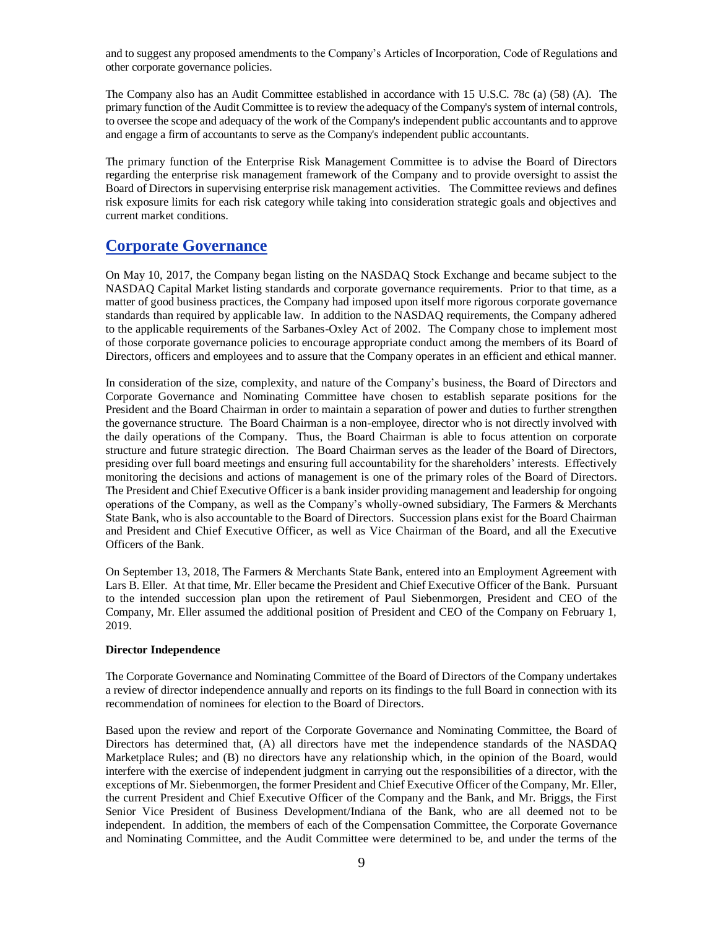and to suggest any proposed amendments to the Company's Articles of Incorporation, Code of Regulations and other corporate governance policies.

The Company also has an Audit Committee established in accordance with 15 U.S.C. 78c (a) (58) (A). The primary function of the Audit Committee is to review the adequacy of the Company's system of internal controls, to oversee the scope and adequacy of the work of the Company's independent public accountants and to approve and engage a firm of accountants to serve as the Company's independent public accountants.

The primary function of the Enterprise Risk Management Committee is to advise the Board of Directors regarding the enterprise risk management framework of the Company and to provide oversight to assist the Board of Directors in supervising enterprise risk management activities. The Committee reviews and defines risk exposure limits for each risk category while taking into consideration strategic goals and objectives and current market conditions.

# **Corporate Governance**

On May 10, 2017, the Company began listing on the NASDAQ Stock Exchange and became subject to the NASDAQ Capital Market listing standards and corporate governance requirements. Prior to that time, as a matter of good business practices, the Company had imposed upon itself more rigorous corporate governance standards than required by applicable law. In addition to the NASDAQ requirements, the Company adhered to the applicable requirements of the Sarbanes-Oxley Act of 2002. The Company chose to implement most of those corporate governance policies to encourage appropriate conduct among the members of its Board of Directors, officers and employees and to assure that the Company operates in an efficient and ethical manner.

In consideration of the size, complexity, and nature of the Company's business, the Board of Directors and Corporate Governance and Nominating Committee have chosen to establish separate positions for the President and the Board Chairman in order to maintain a separation of power and duties to further strengthen the governance structure. The Board Chairman is a non-employee, director who is not directly involved with the daily operations of the Company. Thus, the Board Chairman is able to focus attention on corporate structure and future strategic direction. The Board Chairman serves as the leader of the Board of Directors, presiding over full board meetings and ensuring full accountability for the shareholders' interests. Effectively monitoring the decisions and actions of management is one of the primary roles of the Board of Directors. The President and Chief Executive Officer is a bank insider providing management and leadership for ongoing operations of the Company, as well as the Company's wholly-owned subsidiary, The Farmers & Merchants State Bank, who is also accountable to the Board of Directors. Succession plans exist for the Board Chairman and President and Chief Executive Officer, as well as Vice Chairman of the Board, and all the Executive Officers of the Bank.

On September 13, 2018, The Farmers & Merchants State Bank, entered into an Employment Agreement with Lars B. Eller. At that time, Mr. Eller became the President and Chief Executive Officer of the Bank. Pursuant to the intended succession plan upon the retirement of Paul Siebenmorgen, President and CEO of the Company, Mr. Eller assumed the additional position of President and CEO of the Company on February 1, 2019.

# **Director Independence**

The Corporate Governance and Nominating Committee of the Board of Directors of the Company undertakes a review of director independence annually and reports on its findings to the full Board in connection with its recommendation of nominees for election to the Board of Directors.

Based upon the review and report of the Corporate Governance and Nominating Committee, the Board of Directors has determined that, (A) all directors have met the independence standards of the NASDAQ Marketplace Rules; and (B) no directors have any relationship which, in the opinion of the Board, would interfere with the exercise of independent judgment in carrying out the responsibilities of a director, with the exceptions of Mr. Siebenmorgen, the former President and Chief Executive Officer of the Company, Mr. Eller, the current President and Chief Executive Officer of the Company and the Bank, and Mr. Briggs, the First Senior Vice President of Business Development/Indiana of the Bank, who are all deemed not to be independent. In addition, the members of each of the Compensation Committee, the Corporate Governance and Nominating Committee, and the Audit Committee were determined to be, and under the terms of the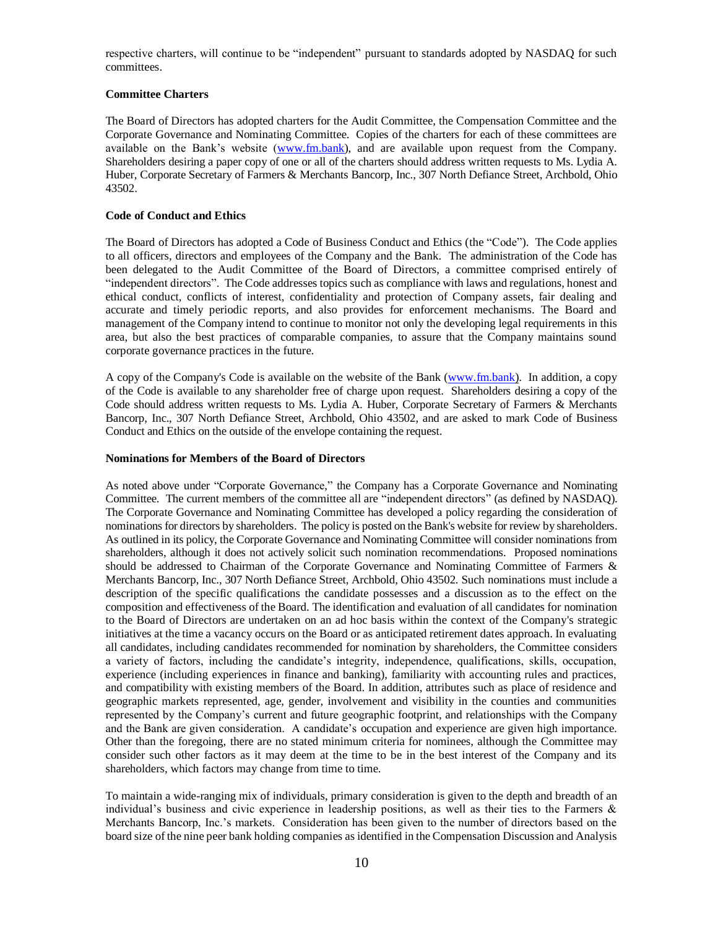respective charters, will continue to be "independent" pursuant to standards adopted by NASDAQ for such committees.

# **Committee Charters**

The Board of Directors has adopted charters for the Audit Committee, the Compensation Committee and the Corporate Governance and Nominating Committee. Copies of the charters for each of these committees are available on the Bank's website [\(www.fm.bank\)](https://www.fm.bank/), and are available upon request from the Company. Shareholders desiring a paper copy of one or all of the charters should address written requests to Ms. Lydia A. Huber, Corporate Secretary of Farmers & Merchants Bancorp, Inc., 307 North Defiance Street, Archbold, Ohio 43502.

# **Code of Conduct and Ethics**

The Board of Directors has adopted a Code of Business Conduct and Ethics (the "Code"). The Code applies to all officers, directors and employees of the Company and the Bank. The administration of the Code has been delegated to the Audit Committee of the Board of Directors, a committee comprised entirely of "independent directors". The Code addresses topics such as compliance with laws and regulations, honest and ethical conduct, conflicts of interest, confidentiality and protection of Company assets, fair dealing and accurate and timely periodic reports, and also provides for enforcement mechanisms. The Board and management of the Company intend to continue to monitor not only the developing legal requirements in this area, but also the best practices of comparable companies, to assure that the Company maintains sound corporate governance practices in the future.

A copy of the Company's Code is available on the website of the Bank [\(www.fm.bank\)](https://www.fm.bank/). In addition, a copy of the Code is available to any shareholder free of charge upon request. Shareholders desiring a copy of the Code should address written requests to Ms. Lydia A. Huber, Corporate Secretary of Farmers & Merchants Bancorp, Inc., 307 North Defiance Street, Archbold, Ohio 43502, and are asked to mark Code of Business Conduct and Ethics on the outside of the envelope containing the request.

# **Nominations for Members of the Board of Directors**

As noted above under "Corporate Governance," the Company has a Corporate Governance and Nominating Committee. The current members of the committee all are "independent directors" (as defined by NASDAQ). The Corporate Governance and Nominating Committee has developed a policy regarding the consideration of nominations for directors by shareholders. The policy is posted on the Bank's website for review by shareholders. As outlined in its policy, the Corporate Governance and Nominating Committee will consider nominations from shareholders, although it does not actively solicit such nomination recommendations. Proposed nominations should be addressed to Chairman of the Corporate Governance and Nominating Committee of Farmers & Merchants Bancorp, Inc., 307 North Defiance Street, Archbold, Ohio 43502. Such nominations must include a description of the specific qualifications the candidate possesses and a discussion as to the effect on the composition and effectiveness of the Board. The identification and evaluation of all candidates for nomination to the Board of Directors are undertaken on an ad hoc basis within the context of the Company's strategic initiatives at the time a vacancy occurs on the Board or as anticipated retirement dates approach. In evaluating all candidates, including candidates recommended for nomination by shareholders, the Committee considers a variety of factors, including the candidate's integrity, independence, qualifications, skills, occupation, experience (including experiences in finance and banking), familiarity with accounting rules and practices, and compatibility with existing members of the Board. In addition, attributes such as place of residence and geographic markets represented, age, gender, involvement and visibility in the counties and communities represented by the Company's current and future geographic footprint, and relationships with the Company and the Bank are given consideration. A candidate's occupation and experience are given high importance. Other than the foregoing, there are no stated minimum criteria for nominees, although the Committee may consider such other factors as it may deem at the time to be in the best interest of the Company and its shareholders, which factors may change from time to time.

To maintain a wide-ranging mix of individuals, primary consideration is given to the depth and breadth of an individual's business and civic experience in leadership positions, as well as their ties to the Farmers & Merchants Bancorp, Inc.'s markets. Consideration has been given to the number of directors based on the board size of the nine peer bank holding companies as identified in the Compensation Discussion and Analysis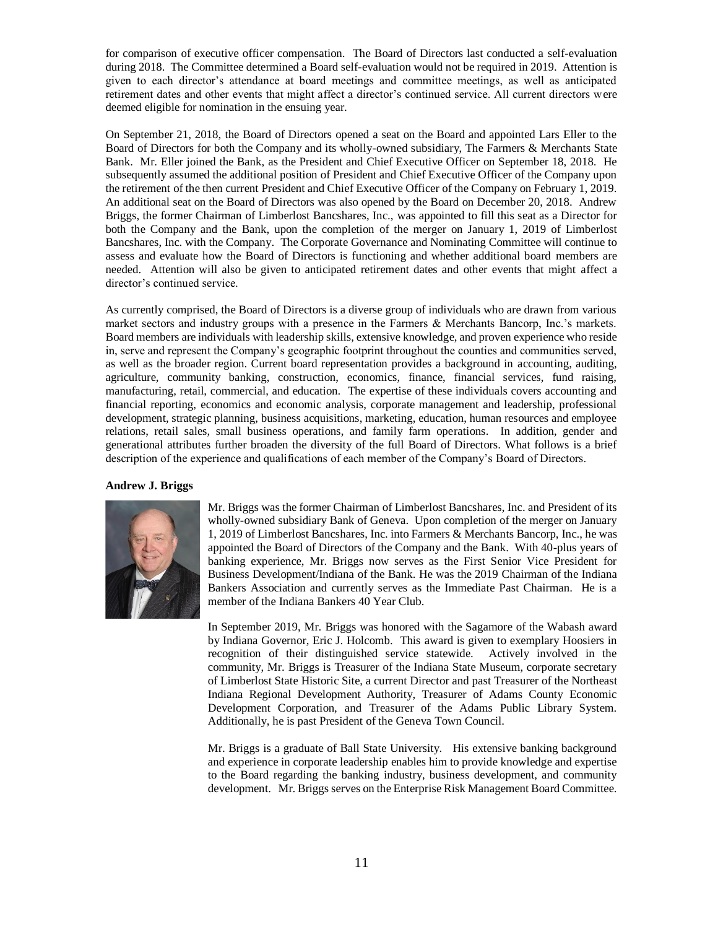for comparison of executive officer compensation. The Board of Directors last conducted a self-evaluation during 2018. The Committee determined a Board self-evaluation would not be required in 2019. Attention is given to each director's attendance at board meetings and committee meetings, as well as anticipated retirement dates and other events that might affect a director's continued service. All current directors were deemed eligible for nomination in the ensuing year.

On September 21, 2018, the Board of Directors opened a seat on the Board and appointed Lars Eller to the Board of Directors for both the Company and its wholly-owned subsidiary, The Farmers & Merchants State Bank. Mr. Eller joined the Bank, as the President and Chief Executive Officer on September 18, 2018. He subsequently assumed the additional position of President and Chief Executive Officer of the Company upon the retirement of the then current President and Chief Executive Officer of the Company on February 1, 2019. An additional seat on the Board of Directors was also opened by the Board on December 20, 2018. Andrew Briggs, the former Chairman of Limberlost Bancshares, Inc., was appointed to fill this seat as a Director for both the Company and the Bank, upon the completion of the merger on January 1, 2019 of Limberlost Bancshares, Inc. with the Company. The Corporate Governance and Nominating Committee will continue to assess and evaluate how the Board of Directors is functioning and whether additional board members are needed. Attention will also be given to anticipated retirement dates and other events that might affect a director's continued service.

As currently comprised, the Board of Directors is a diverse group of individuals who are drawn from various market sectors and industry groups with a presence in the Farmers & Merchants Bancorp, Inc.'s markets. Board members are individuals with leadership skills, extensive knowledge, and proven experience who reside in, serve and represent the Company's geographic footprint throughout the counties and communities served, as well as the broader region. Current board representation provides a background in accounting, auditing, agriculture, community banking, construction, economics, finance, financial services, fund raising, manufacturing, retail, commercial, and education. The expertise of these individuals covers accounting and financial reporting, economics and economic analysis, corporate management and leadership, professional development, strategic planning, business acquisitions, marketing, education, human resources and employee relations, retail sales, small business operations, and family farm operations. In addition, gender and generational attributes further broaden the diversity of the full Board of Directors. What follows is a brief description of the experience and qualifications of each member of the Company's Board of Directors.

# **Andrew J. Briggs**



Mr. Briggs was the former Chairman of Limberlost Bancshares, Inc. and President of its wholly-owned subsidiary Bank of Geneva. Upon completion of the merger on January 1, 2019 of Limberlost Bancshares, Inc. into Farmers & Merchants Bancorp, Inc., he was appointed the Board of Directors of the Company and the Bank. With 40-plus years of banking experience, Mr. Briggs now serves as the First Senior Vice President for Business Development/Indiana of the Bank. He was the 2019 Chairman of the Indiana Bankers Association and currently serves as the Immediate Past Chairman. He is a member of the Indiana Bankers 40 Year Club.

In September 2019, Mr. Briggs was honored with the Sagamore of the Wabash award by Indiana Governor, Eric J. Holcomb. This award is given to exemplary Hoosiers in recognition of their distinguished service statewide. Actively involved in the community, Mr. Briggs is Treasurer of the Indiana State Museum, corporate secretary of Limberlost State Historic Site, a current Director and past Treasurer of the Northeast Indiana Regional Development Authority, Treasurer of Adams County Economic Development Corporation, and Treasurer of the Adams Public Library System. Additionally, he is past President of the Geneva Town Council.

Mr. Briggs is a graduate of Ball State University. His extensive banking background and experience in corporate leadership enables him to provide knowledge and expertise to the Board regarding the banking industry, business development, and community development. Mr. Briggs serves on the Enterprise Risk Management Board Committee.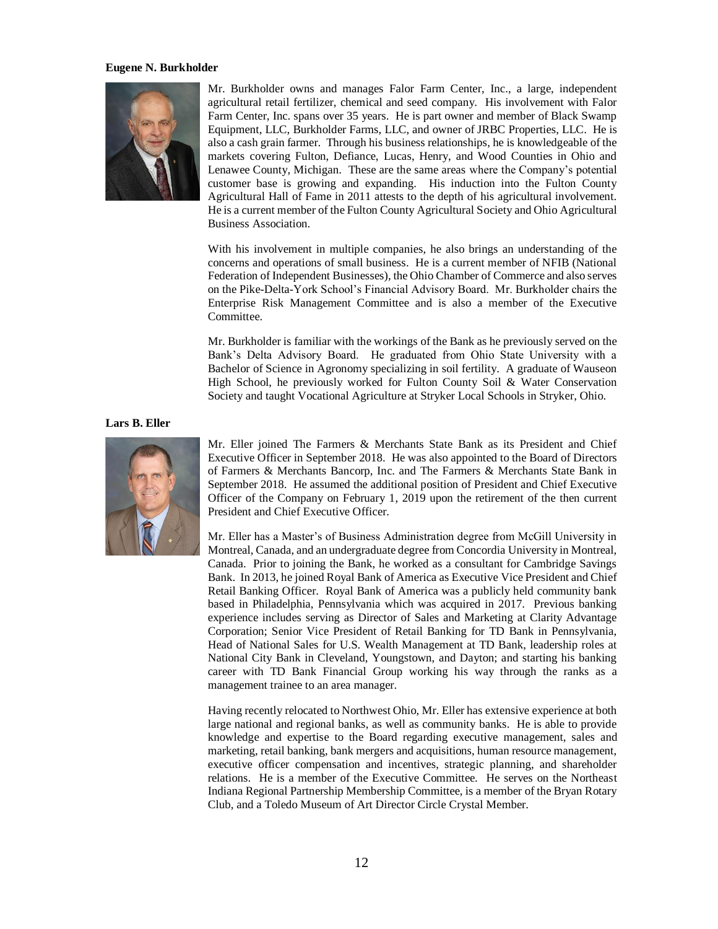#### **Eugene N. Burkholder**



Mr. Burkholder owns and manages Falor Farm Center, Inc., a large, independent agricultural retail fertilizer, chemical and seed company. His involvement with Falor Farm Center, Inc. spans over 35 years. He is part owner and member of Black Swamp Equipment, LLC, Burkholder Farms, LLC, and owner of JRBC Properties, LLC. He is also a cash grain farmer. Through his business relationships, he is knowledgeable of the markets covering Fulton, Defiance, Lucas, Henry, and Wood Counties in Ohio and Lenawee County, Michigan. These are the same areas where the Company's potential customer base is growing and expanding. His induction into the Fulton County Agricultural Hall of Fame in 2011 attests to the depth of his agricultural involvement. He is a current member of the Fulton County Agricultural Society and Ohio Agricultural Business Association.

With his involvement in multiple companies, he also brings an understanding of the concerns and operations of small business. He is a current member of NFIB (National Federation of Independent Businesses), the Ohio Chamber of Commerce and also serves on the Pike-Delta-York School's Financial Advisory Board. Mr. Burkholder chairs the Enterprise Risk Management Committee and is also a member of the Executive Committee.

Mr. Burkholder is familiar with the workings of the Bank as he previously served on the Bank's Delta Advisory Board. He graduated from Ohio State University with a Bachelor of Science in Agronomy specializing in soil fertility. A graduate of Wauseon High School, he previously worked for Fulton County Soil & Water Conservation Society and taught Vocational Agriculture at Stryker Local Schools in Stryker, Ohio.

**Lars B. Eller**



Mr. Eller joined The Farmers & Merchants State Bank as its President and Chief Executive Officer in September 2018. He was also appointed to the Board of Directors of Farmers & Merchants Bancorp, Inc. and The Farmers & Merchants State Bank in September 2018. He assumed the additional position of President and Chief Executive Officer of the Company on February 1, 2019 upon the retirement of the then current President and Chief Executive Officer.

Mr. Eller has a Master's of Business Administration degree from McGill University in Montreal, Canada, and an undergraduate degree from Concordia University in Montreal, Canada. Prior to joining the Bank, he worked as a consultant for Cambridge Savings Bank. In 2013, he joined Royal Bank of America as Executive Vice President and Chief Retail Banking Officer. Royal Bank of America was a publicly held community bank based in Philadelphia, Pennsylvania which was acquired in 2017. Previous banking experience includes serving as Director of Sales and Marketing at Clarity Advantage Corporation; Senior Vice President of Retail Banking for TD Bank in Pennsylvania, Head of National Sales for U.S. Wealth Management at TD Bank, leadership roles at National City Bank in Cleveland, Youngstown, and Dayton; and starting his banking career with TD Bank Financial Group working his way through the ranks as a management trainee to an area manager.

Having recently relocated to Northwest Ohio, Mr. Eller has extensive experience at both large national and regional banks, as well as community banks. He is able to provide knowledge and expertise to the Board regarding executive management, sales and marketing, retail banking, bank mergers and acquisitions, human resource management, executive officer compensation and incentives, strategic planning, and shareholder relations. He is a member of the Executive Committee. He serves on the Northeast Indiana Regional Partnership Membership Committee, is a member of the Bryan Rotary Club, and a Toledo Museum of Art Director Circle Crystal Member.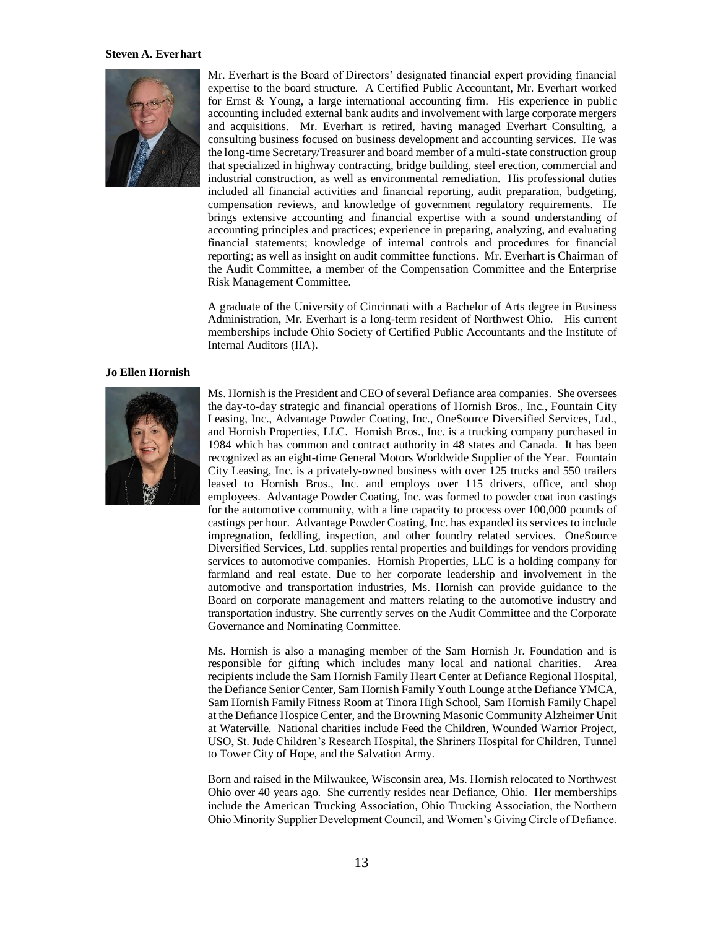#### **Steven A. Everhart**



Mr. Everhart is the Board of Directors' designated financial expert providing financial expertise to the board structure. A Certified Public Accountant, Mr. Everhart worked for Ernst & Young, a large international accounting firm. His experience in public accounting included external bank audits and involvement with large corporate mergers and acquisitions. Mr. Everhart is retired, having managed Everhart Consulting, a consulting business focused on business development and accounting services. He was the long-time Secretary/Treasurer and board member of a multi-state construction group that specialized in highway contracting, bridge building, steel erection, commercial and industrial construction, as well as environmental remediation. His professional duties included all financial activities and financial reporting, audit preparation, budgeting, compensation reviews, and knowledge of government regulatory requirements. He brings extensive accounting and financial expertise with a sound understanding of accounting principles and practices; experience in preparing, analyzing, and evaluating financial statements; knowledge of internal controls and procedures for financial reporting; as well as insight on audit committee functions. Mr. Everhart is Chairman of the Audit Committee, a member of the Compensation Committee and the Enterprise Risk Management Committee.

A graduate of the University of Cincinnati with a Bachelor of Arts degree in Business Administration, Mr. Everhart is a long-term resident of Northwest Ohio. His current memberships include Ohio Society of Certified Public Accountants and the Institute of Internal Auditors (IIA).

#### **Jo Ellen Hornish**



Ms. Hornish is the President and CEO of several Defiance area companies. She oversees the day-to-day strategic and financial operations of Hornish Bros., Inc., Fountain City Leasing, Inc., Advantage Powder Coating, Inc., OneSource Diversified Services, Ltd., and Hornish Properties, LLC. Hornish Bros., Inc. is a trucking company purchased in 1984 which has common and contract authority in 48 states and Canada. It has been recognized as an eight-time General Motors Worldwide Supplier of the Year. Fountain City Leasing, Inc. is a privately-owned business with over 125 trucks and 550 trailers leased to Hornish Bros., Inc. and employs over 115 drivers, office, and shop employees. Advantage Powder Coating, Inc. was formed to powder coat iron castings for the automotive community, with a line capacity to process over 100,000 pounds of castings per hour. Advantage Powder Coating, Inc. has expanded its services to include impregnation, feddling, inspection, and other foundry related services. OneSource Diversified Services, Ltd. supplies rental properties and buildings for vendors providing services to automotive companies. Hornish Properties, LLC is a holding company for farmland and real estate. Due to her corporate leadership and involvement in the automotive and transportation industries, Ms. Hornish can provide guidance to the Board on corporate management and matters relating to the automotive industry and transportation industry. She currently serves on the Audit Committee and the Corporate Governance and Nominating Committee.

Ms. Hornish is also a managing member of the Sam Hornish Jr. Foundation and is responsible for gifting which includes many local and national charities. Area recipients include the Sam Hornish Family Heart Center at Defiance Regional Hospital, the Defiance Senior Center, Sam Hornish Family Youth Lounge at the Defiance YMCA, Sam Hornish Family Fitness Room at Tinora High School, Sam Hornish Family Chapel at the Defiance Hospice Center, and the Browning Masonic Community Alzheimer Unit at Waterville. National charities include Feed the Children, Wounded Warrior Project, USO, St. Jude Children's Research Hospital, the Shriners Hospital for Children, Tunnel to Tower City of Hope, and the Salvation Army.

Born and raised in the Milwaukee, Wisconsin area, Ms. Hornish relocated to Northwest Ohio over 40 years ago. She currently resides near Defiance, Ohio. Her memberships include the American Trucking Association, Ohio Trucking Association, the Northern Ohio Minority Supplier Development Council, and Women's Giving Circle of Defiance.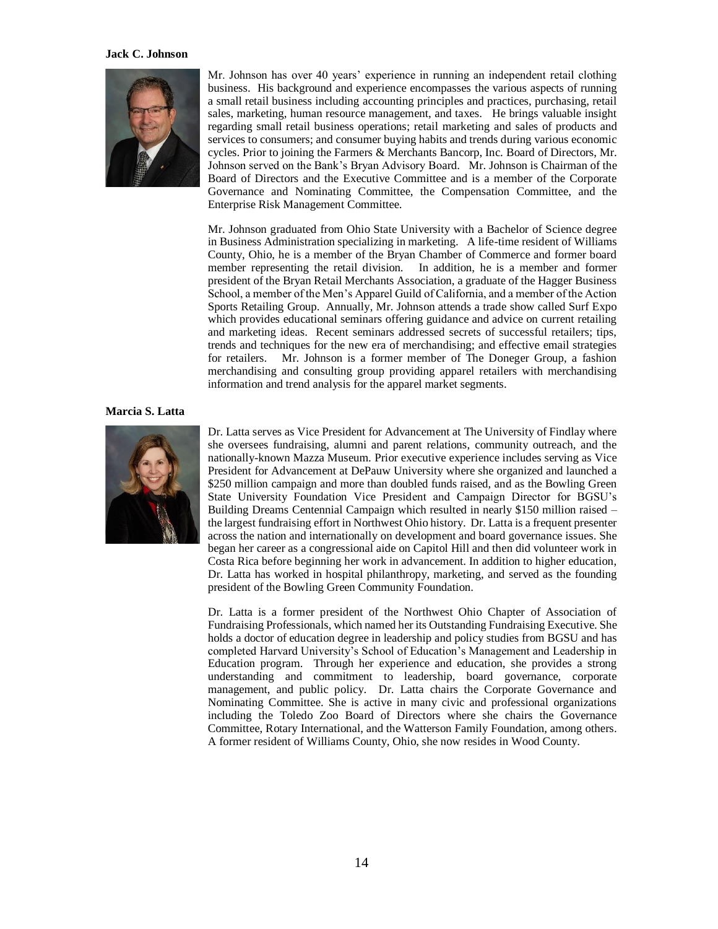#### **Jack C. Johnson**



Mr. Johnson has over 40 years' experience in running an independent retail clothing business. His background and experience encompasses the various aspects of running a small retail business including accounting principles and practices, purchasing, retail sales, marketing, human resource management, and taxes. He brings valuable insight regarding small retail business operations; retail marketing and sales of products and services to consumers; and consumer buying habits and trends during various economic cycles. Prior to joining the Farmers & Merchants Bancorp, Inc. Board of Directors, Mr. Johnson served on the Bank's Bryan Advisory Board. Mr. Johnson is Chairman of the Board of Directors and the Executive Committee and is a member of the Corporate Governance and Nominating Committee, the Compensation Committee, and the Enterprise Risk Management Committee.

Mr. Johnson graduated from Ohio State University with a Bachelor of Science degree in Business Administration specializing in marketing. A life-time resident of Williams County, Ohio, he is a member of the Bryan Chamber of Commerce and former board member representing the retail division. In addition, he is a member and former president of the Bryan Retail Merchants Association, a graduate of the Hagger Business School, a member of the Men's Apparel Guild of California, and a member of the Action Sports Retailing Group. Annually, Mr. Johnson attends a trade show called Surf Expo which provides educational seminars offering guidance and advice on current retailing and marketing ideas. Recent seminars addressed secrets of successful retailers; tips, trends and techniques for the new era of merchandising; and effective email strategies for retailers. Mr. Johnson is a former member of The Doneger Group, a fashion merchandising and consulting group providing apparel retailers with merchandising information and trend analysis for the apparel market segments.

#### **Marcia S. Latta**



Dr. Latta serves as Vice President for Advancement at The University of Findlay where she oversees fundraising, alumni and parent relations, community outreach, and the nationally-known Mazza Museum. Prior executive experience includes serving as Vice President for Advancement at DePauw University where she organized and launched a \$250 million campaign and more than doubled funds raised, and as the Bowling Green State University Foundation Vice President and Campaign Director for BGSU's Building Dreams Centennial Campaign which resulted in nearly \$150 million raised – the largest fundraising effort in Northwest Ohio history. Dr. Latta is a frequent presenter across the nation and internationally on development and board governance issues. She began her career as a congressional aide on Capitol Hill and then did volunteer work in Costa Rica before beginning her work in advancement. In addition to higher education, Dr. Latta has worked in hospital philanthropy, marketing, and served as the founding president of the Bowling Green Community Foundation.

Dr. Latta is a former president of the Northwest Ohio Chapter of Association of Fundraising Professionals, which named her its Outstanding Fundraising Executive. She holds a doctor of education degree in leadership and policy studies from BGSU and has completed Harvard University's School of Education's Management and Leadership in Education program. Through her experience and education, she provides a strong understanding and commitment to leadership, board governance, corporate management, and public policy. Dr. Latta chairs the Corporate Governance and Nominating Committee. She is active in many civic and professional organizations including the Toledo Zoo Board of Directors where she chairs the Governance Committee, Rotary International, and the Watterson Family Foundation, among others. A former resident of Williams County, Ohio, she now resides in Wood County.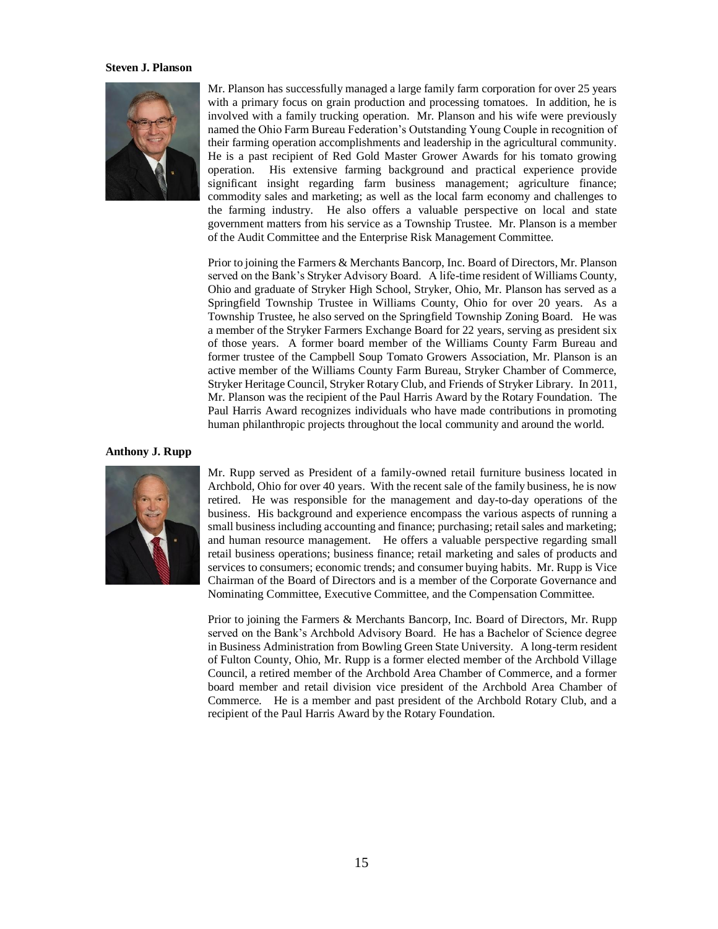#### **Steven J. Planson**



Mr. Planson has successfully managed a large family farm corporation for over 25 years with a primary focus on grain production and processing tomatoes. In addition, he is involved with a family trucking operation. Mr. Planson and his wife were previously named the Ohio Farm Bureau Federation's Outstanding Young Couple in recognition of their farming operation accomplishments and leadership in the agricultural community. He is a past recipient of Red Gold Master Grower Awards for his tomato growing operation. His extensive farming background and practical experience provide significant insight regarding farm business management; agriculture finance; commodity sales and marketing; as well as the local farm economy and challenges to the farming industry. He also offers a valuable perspective on local and state government matters from his service as a Township Trustee. Mr. Planson is a member of the Audit Committee and the Enterprise Risk Management Committee.

Prior to joining the Farmers & Merchants Bancorp, Inc. Board of Directors, Mr. Planson served on the Bank's Stryker Advisory Board. A life-time resident of Williams County, Ohio and graduate of Stryker High School, Stryker, Ohio, Mr. Planson has served as a Springfield Township Trustee in Williams County, Ohio for over 20 years. As a Township Trustee, he also served on the Springfield Township Zoning Board. He was a member of the Stryker Farmers Exchange Board for 22 years, serving as president six of those years. A former board member of the Williams County Farm Bureau and former trustee of the Campbell Soup Tomato Growers Association, Mr. Planson is an active member of the Williams County Farm Bureau, Stryker Chamber of Commerce, Stryker Heritage Council, Stryker Rotary Club, and Friends of Stryker Library. In 2011, Mr. Planson was the recipient of the Paul Harris Award by the Rotary Foundation. The Paul Harris Award recognizes individuals who have made contributions in promoting human philanthropic projects throughout the local community and around the world.

#### **Anthony J. Rupp**



Mr. Rupp served as President of a family-owned retail furniture business located in Archbold, Ohio for over 40 years. With the recent sale of the family business, he is now retired. He was responsible for the management and day-to-day operations of the business. His background and experience encompass the various aspects of running a small business including accounting and finance; purchasing; retail sales and marketing; and human resource management. He offers a valuable perspective regarding small retail business operations; business finance; retail marketing and sales of products and services to consumers; economic trends; and consumer buying habits. Mr. Rupp is Vice Chairman of the Board of Directors and is a member of the Corporate Governance and Nominating Committee, Executive Committee, and the Compensation Committee.

Prior to joining the Farmers & Merchants Bancorp, Inc. Board of Directors, Mr. Rupp served on the Bank's Archbold Advisory Board. He has a Bachelor of Science degree in Business Administration from Bowling Green State University. A long-term resident of Fulton County, Ohio, Mr. Rupp is a former elected member of the Archbold Village Council, a retired member of the Archbold Area Chamber of Commerce, and a former board member and retail division vice president of the Archbold Area Chamber of Commerce. He is a member and past president of the Archbold Rotary Club, and a recipient of the Paul Harris Award by the Rotary Foundation.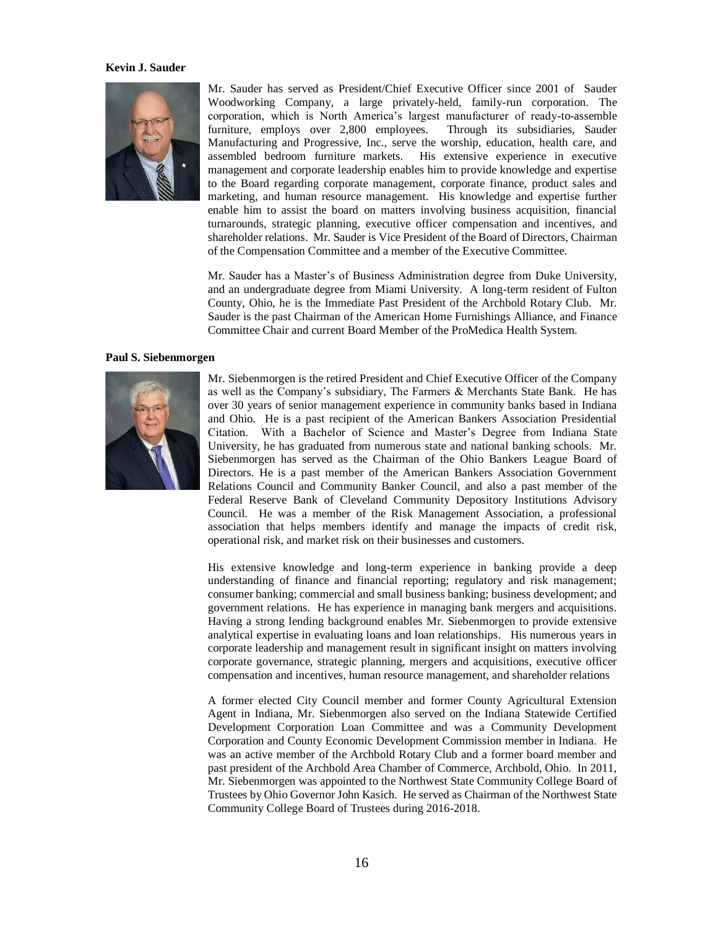#### **Kevin J. Sauder**



Mr. Sauder has served as President/Chief Executive Officer since 2001 of Sauder Woodworking Company, a large privately-held, family-run corporation. The corporation, which is North America's largest manufacturer of ready-to-assemble furniture, employs over 2,800 employees. Through its subsidiaries, Sauder Manufacturing and Progressive, Inc., serve the worship, education, health care, and assembled bedroom furniture markets. His extensive experience in executive management and corporate leadership enables him to provide knowledge and expertise to the Board regarding corporate management, corporate finance, product sales and marketing, and human resource management. His knowledge and expertise further enable him to assist the board on matters involving business acquisition, financial turnarounds, strategic planning, executive officer compensation and incentives, and shareholder relations. Mr. Sauder is Vice President of the Board of Directors, Chairman of the Compensation Committee and a member of the Executive Committee.

Mr. Sauder has a Master's of Business Administration degree from Duke University, and an undergraduate degree from Miami University. A long-term resident of Fulton County, Ohio, he is the Immediate Past President of the Archbold Rotary Club. Mr. Sauder is the past Chairman of the American Home Furnishings Alliance, and Finance Committee Chair and current Board Member of the ProMedica Health System.

#### **Paul S. Siebenmorgen**



Mr. Siebenmorgen is the retired President and Chief Executive Officer of the Company as well as the Company's subsidiary, The Farmers & Merchants State Bank. He has over 30 years of senior management experience in community banks based in Indiana and Ohio. He is a past recipient of the American Bankers Association Presidential Citation. With a Bachelor of Science and Master's Degree from Indiana State University, he has graduated from numerous state and national banking schools. Mr. Siebenmorgen has served as the Chairman of the Ohio Bankers League Board of Directors. He is a past member of the American Bankers Association Government Relations Council and Community Banker Council, and also a past member of the Federal Reserve Bank of Cleveland Community Depository Institutions Advisory Council. He was a member of the Risk Management Association, a professional association that helps members identify and manage the impacts of credit risk, operational risk, and market risk on their businesses and customers.

His extensive knowledge and long-term experience in banking provide a deep understanding of finance and financial reporting; regulatory and risk management; consumer banking; commercial and small business banking; business development; and government relations. He has experience in managing bank mergers and acquisitions. Having a strong lending background enables Mr. Siebenmorgen to provide extensive analytical expertise in evaluating loans and loan relationships. His numerous years in corporate leadership and management result in significant insight on matters involving corporate governance, strategic planning, mergers and acquisitions, executive officer compensation and incentives, human resource management, and shareholder relations

A former elected City Council member and former County Agricultural Extension Agent in Indiana, Mr. Siebenmorgen also served on the Indiana Statewide Certified Development Corporation Loan Committee and was a Community Development Corporation and County Economic Development Commission member in Indiana. He was an active member of the Archbold Rotary Club and a former board member and past president of the Archbold Area Chamber of Commerce, Archbold, Ohio. In 2011, Mr. Siebenmorgen was appointed to the Northwest State Community College Board of Trustees by Ohio Governor John Kasich. He served as Chairman of the Northwest State Community College Board of Trustees during 2016-2018.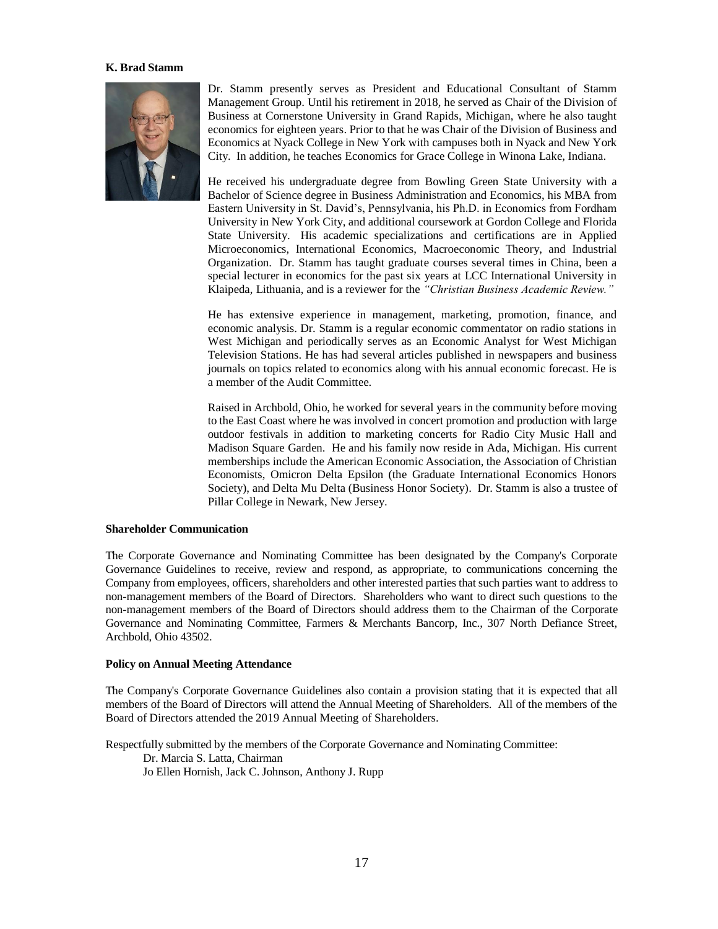#### **K. Brad Stamm**



Dr. Stamm presently serves as President and Educational Consultant of Stamm Management Group. Until his retirement in 2018, he served as Chair of the Division of Business at Cornerstone University in Grand Rapids, Michigan, where he also taught economics for eighteen years. Prior to that he was Chair of the Division of Business and Economics at Nyack College in New York with campuses both in Nyack and New York City. In addition, he teaches Economics for Grace College in Winona Lake, Indiana.

He received his undergraduate degree from Bowling Green State University with a Bachelor of Science degree in Business Administration and Economics, his MBA from Eastern University in St. David's, Pennsylvania, his Ph.D. in Economics from Fordham University in New York City, and additional coursework at Gordon College and Florida State University. His academic specializations and certifications are in Applied Microeconomics, International Economics, Macroeconomic Theory, and Industrial Organization. Dr. Stamm has taught graduate courses several times in China, been a special lecturer in economics for the past six years at LCC International University in Klaipeda, Lithuania, and is a reviewer for the *"Christian Business Academic Review."*

He has extensive experience in management, marketing, promotion, finance, and economic analysis. Dr. Stamm is a regular economic commentator on radio stations in West Michigan and periodically serves as an Economic Analyst for West Michigan Television Stations. He has had several articles published in newspapers and business journals on topics related to economics along with his annual economic forecast. He is a member of the Audit Committee.

Raised in Archbold, Ohio, he worked for several years in the community before moving to the East Coast where he was involved in concert promotion and production with large outdoor festivals in addition to marketing concerts for Radio City Music Hall and Madison Square Garden. He and his family now reside in Ada, Michigan. His current memberships include the American Economic Association, the Association of Christian Economists, Omicron Delta Epsilon (the Graduate International Economics Honors Society), and Delta Mu Delta (Business Honor Society). Dr. Stamm is also a trustee of Pillar College in Newark, New Jersey.

#### **Shareholder Communication**

The Corporate Governance and Nominating Committee has been designated by the Company's Corporate Governance Guidelines to receive, review and respond, as appropriate, to communications concerning the Company from employees, officers, shareholders and other interested parties that such parties want to address to non-management members of the Board of Directors. Shareholders who want to direct such questions to the non-management members of the Board of Directors should address them to the Chairman of the Corporate Governance and Nominating Committee, Farmers & Merchants Bancorp, Inc., 307 North Defiance Street, Archbold, Ohio 43502.

#### **Policy on Annual Meeting Attendance**

The Company's Corporate Governance Guidelines also contain a provision stating that it is expected that all members of the Board of Directors will attend the Annual Meeting of Shareholders. All of the members of the Board of Directors attended the 2019 Annual Meeting of Shareholders.

Respectfully submitted by the members of the Corporate Governance and Nominating Committee: Dr. Marcia S. Latta, Chairman Jo Ellen Hornish, Jack C. Johnson, Anthony J. Rupp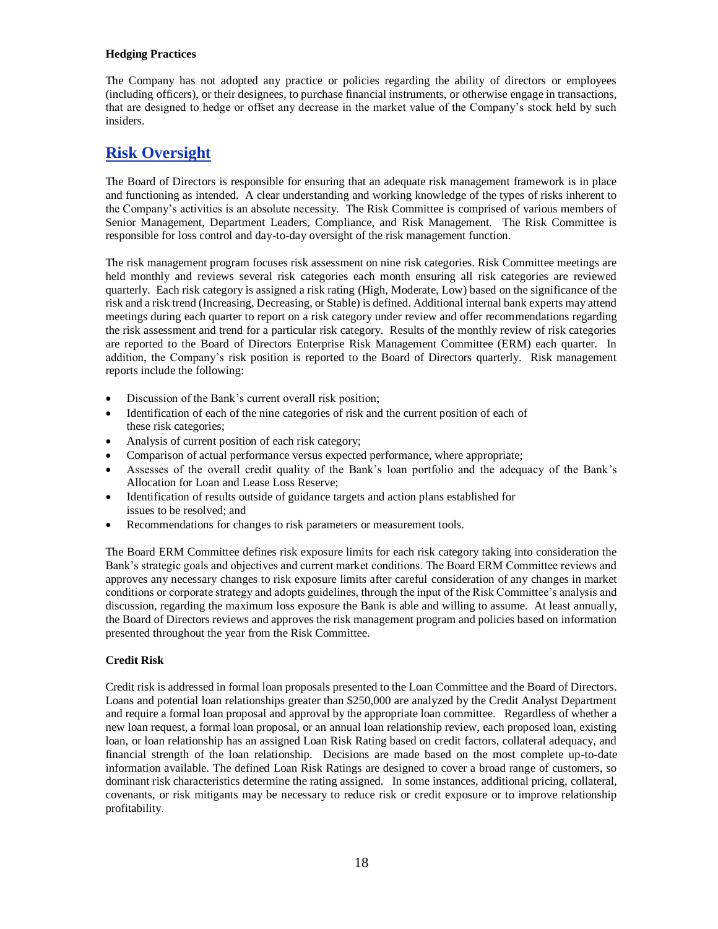# **Hedging Practices**

The Company has not adopted any practice or policies regarding the ability of directors or employees (including officers), or their designees, to purchase financial instruments, or otherwise engage in transactions, that are designed to hedge or offset any decrease in the market value of the Company's stock held by such insiders.

# **Risk Oversight**

The Board of Directors is responsible for ensuring that an adequate risk management framework is in place and functioning as intended. A clear understanding and working knowledge of the types of risks inherent to the Company's activities is an absolute necessity. The Risk Committee is comprised of various members of Senior Management, Department Leaders, Compliance, and Risk Management. The Risk Committee is responsible for loss control and day-to-day oversight of the risk management function.

The risk management program focuses risk assessment on nine risk categories. Risk Committee meetings are held monthly and reviews several risk categories each month ensuring all risk categories are reviewed quarterly. Each risk category is assigned a risk rating (High, Moderate, Low) based on the significance of the risk and a risk trend (Increasing, Decreasing, or Stable) is defined. Additional internal bank experts may attend meetings during each quarter to report on a risk category under review and offer recommendations regarding the risk assessment and trend for a particular risk category. Results of the monthly review of risk categories are reported to the Board of Directors Enterprise Risk Management Committee (ERM) each quarter. In addition, the Company's risk position is reported to the Board of Directors quarterly. Risk management reports include the following:

- Discussion of the Bank's current overall risk position;
- Identification of each of the nine categories of risk and the current position of each of these risk categories;
- Analysis of current position of each risk category;
- Comparison of actual performance versus expected performance, where appropriate;
- Assesses of the overall credit quality of the Bank's loan portfolio and the adequacy of the Bank's Allocation for Loan and Lease Loss Reserve;
- Identification of results outside of guidance targets and action plans established for issues to be resolved; and
- Recommendations for changes to risk parameters or measurement tools.

The Board ERM Committee defines risk exposure limits for each risk category taking into consideration the Bank's strategic goals and objectives and current market conditions. The Board ERM Committee reviews and approves any necessary changes to risk exposure limits after careful consideration of any changes in market conditions or corporate strategy and adopts guidelines, through the input of the Risk Committee's analysis and discussion, regarding the maximum loss exposure the Bank is able and willing to assume. At least annually, the Board of Directors reviews and approves the risk management program and policies based on information presented throughout the year from the Risk Committee.

# **Credit Risk**

Credit risk is addressed in formal loan proposals presented to the Loan Committee and the Board of Directors. Loans and potential loan relationships greater than \$250,000 are analyzed by the Credit Analyst Department and require a formal loan proposal and approval by the appropriate loan committee. Regardless of whether a new loan request, a formal loan proposal, or an annual loan relationship review, each proposed loan, existing loan, or loan relationship has an assigned Loan Risk Rating based on credit factors, collateral adequacy, and financial strength of the loan relationship. Decisions are made based on the most complete up-to-date information available. The defined Loan Risk Ratings are designed to cover a broad range of customers, so dominant risk characteristics determine the rating assigned. In some instances, additional pricing, collateral, covenants, or risk mitigants may be necessary to reduce risk or credit exposure or to improve relationship profitability.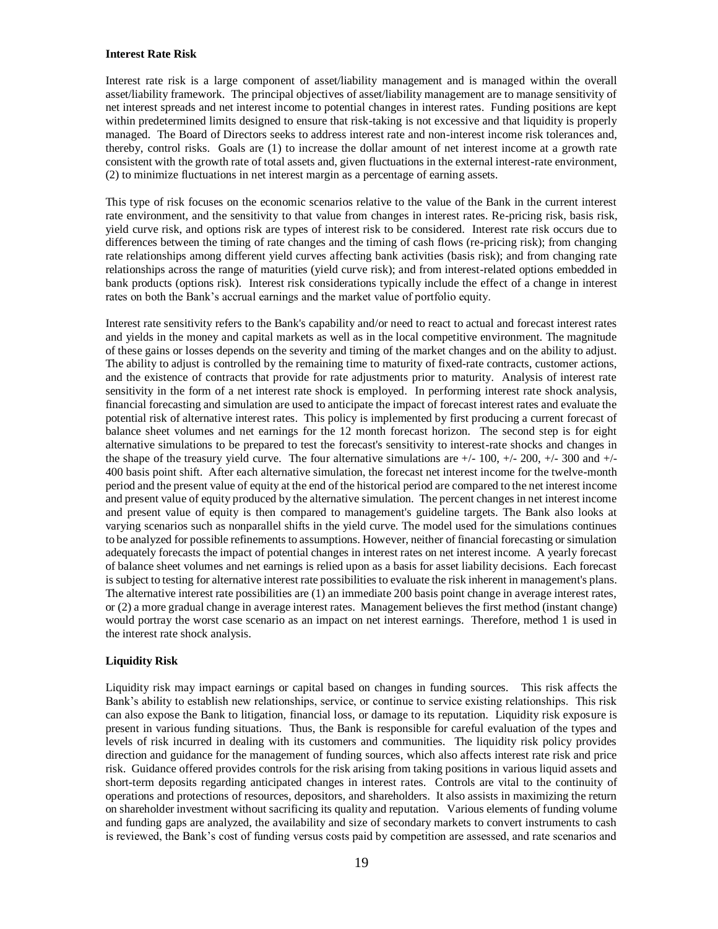#### **Interest Rate Risk**

Interest rate risk is a large component of asset/liability management and is managed within the overall asset/liability framework. The principal objectives of asset/liability management are to manage sensitivity of net interest spreads and net interest income to potential changes in interest rates. Funding positions are kept within predetermined limits designed to ensure that risk-taking is not excessive and that liquidity is properly managed. The Board of Directors seeks to address interest rate and non-interest income risk tolerances and, thereby, control risks. Goals are (1) to increase the dollar amount of net interest income at a growth rate consistent with the growth rate of total assets and, given fluctuations in the external interest-rate environment, (2) to minimize fluctuations in net interest margin as a percentage of earning assets.

This type of risk focuses on the economic scenarios relative to the value of the Bank in the current interest rate environment, and the sensitivity to that value from changes in interest rates. Re-pricing risk, basis risk, yield curve risk, and options risk are types of interest risk to be considered. Interest rate risk occurs due to differences between the timing of rate changes and the timing of cash flows (re-pricing risk); from changing rate relationships among different yield curves affecting bank activities (basis risk); and from changing rate relationships across the range of maturities (yield curve risk); and from interest-related options embedded in bank products (options risk). Interest risk considerations typically include the effect of a change in interest rates on both the Bank's accrual earnings and the market value of portfolio equity.

Interest rate sensitivity refers to the Bank's capability and/or need to react to actual and forecast interest rates and yields in the money and capital markets as well as in the local competitive environment. The magnitude of these gains or losses depends on the severity and timing of the market changes and on the ability to adjust. The ability to adjust is controlled by the remaining time to maturity of fixed-rate contracts, customer actions, and the existence of contracts that provide for rate adjustments prior to maturity. Analysis of interest rate sensitivity in the form of a net interest rate shock is employed. In performing interest rate shock analysis, financial forecasting and simulation are used to anticipate the impact of forecast interest rates and evaluate the potential risk of alternative interest rates. This policy is implemented by first producing a current forecast of balance sheet volumes and net earnings for the 12 month forecast horizon. The second step is for eight alternative simulations to be prepared to test the forecast's sensitivity to interest-rate shocks and changes in the shape of the treasury yield curve. The four alternative simulations are  $+/- 100, +/- 200, +/- 300$  and  $+/-$ 400 basis point shift. After each alternative simulation, the forecast net interest income for the twelve-month period and the present value of equity at the end of the historical period are compared to the net interest income and present value of equity produced by the alternative simulation. The percent changes in net interest income and present value of equity is then compared to management's guideline targets. The Bank also looks at varying scenarios such as nonparallel shifts in the yield curve. The model used for the simulations continues to be analyzed for possible refinements to assumptions. However, neither of financial forecasting or simulation adequately forecasts the impact of potential changes in interest rates on net interest income. A yearly forecast of balance sheet volumes and net earnings is relied upon as a basis for asset liability decisions. Each forecast is subject to testing for alternative interest rate possibilities to evaluate the risk inherent in management's plans. The alternative interest rate possibilities are (1) an immediate 200 basis point change in average interest rates, or (2) a more gradual change in average interest rates. Management believes the first method (instant change) would portray the worst case scenario as an impact on net interest earnings. Therefore, method 1 is used in the interest rate shock analysis.

#### **Liquidity Risk**

Liquidity risk may impact earnings or capital based on changes in funding sources. This risk affects the Bank's ability to establish new relationships, service, or continue to service existing relationships. This risk can also expose the Bank to litigation, financial loss, or damage to its reputation. Liquidity risk exposure is present in various funding situations. Thus, the Bank is responsible for careful evaluation of the types and levels of risk incurred in dealing with its customers and communities. The liquidity risk policy provides direction and guidance for the management of funding sources, which also affects interest rate risk and price risk. Guidance offered provides controls for the risk arising from taking positions in various liquid assets and short-term deposits regarding anticipated changes in interest rates. Controls are vital to the continuity of operations and protections of resources, depositors, and shareholders. It also assists in maximizing the return on shareholder investment without sacrificing its quality and reputation. Various elements of funding volume and funding gaps are analyzed, the availability and size of secondary markets to convert instruments to cash is reviewed, the Bank's cost of funding versus costs paid by competition are assessed, and rate scenarios and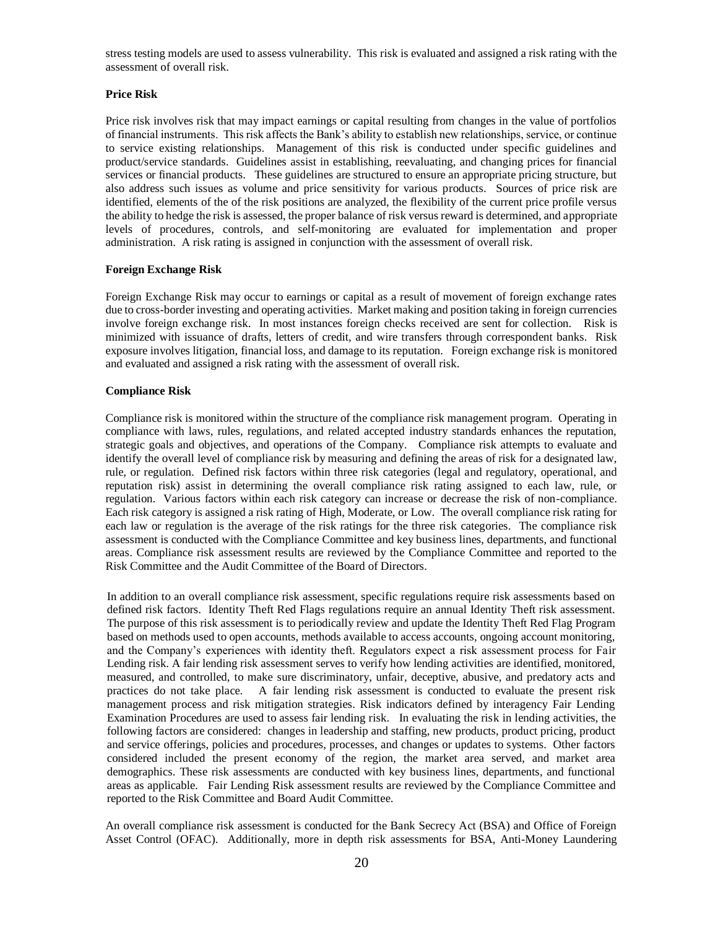stress testing models are used to assess vulnerability. This risk is evaluated and assigned a risk rating with the assessment of overall risk.

# **Price Risk**

Price risk involves risk that may impact earnings or capital resulting from changes in the value of portfolios of financial instruments. This risk affects the Bank's ability to establish new relationships, service, or continue to service existing relationships. Management of this risk is conducted under specific guidelines and product/service standards. Guidelines assist in establishing, reevaluating, and changing prices for financial services or financial products. These guidelines are structured to ensure an appropriate pricing structure, but also address such issues as volume and price sensitivity for various products. Sources of price risk are identified, elements of the of the risk positions are analyzed, the flexibility of the current price profile versus the ability to hedge the risk is assessed, the proper balance of risk versus reward is determined, and appropriate levels of procedures, controls, and self-monitoring are evaluated for implementation and proper administration. A risk rating is assigned in conjunction with the assessment of overall risk.

# **Foreign Exchange Risk**

Foreign Exchange Risk may occur to earnings or capital as a result of movement of foreign exchange rates due to cross-border investing and operating activities. Market making and position taking in foreign currencies involve foreign exchange risk. In most instances foreign checks received are sent for collection. Risk is minimized with issuance of drafts, letters of credit, and wire transfers through correspondent banks. Risk exposure involves litigation, financial loss, and damage to its reputation. Foreign exchange risk is monitored and evaluated and assigned a risk rating with the assessment of overall risk.

# **Compliance Risk**

Compliance risk is monitored within the structure of the compliance risk management program. Operating in compliance with laws, rules, regulations, and related accepted industry standards enhances the reputation, strategic goals and objectives, and operations of the Company. Compliance risk attempts to evaluate and identify the overall level of compliance risk by measuring and defining the areas of risk for a designated law, rule, or regulation. Defined risk factors within three risk categories (legal and regulatory, operational, and reputation risk) assist in determining the overall compliance risk rating assigned to each law, rule, or regulation. Various factors within each risk category can increase or decrease the risk of non-compliance. Each risk category is assigned a risk rating of High, Moderate, or Low. The overall compliance risk rating for each law or regulation is the average of the risk ratings for the three risk categories. The compliance risk assessment is conducted with the Compliance Committee and key business lines, departments, and functional areas. Compliance risk assessment results are reviewed by the Compliance Committee and reported to the Risk Committee and the Audit Committee of the Board of Directors.

In addition to an overall compliance risk assessment, specific regulations require risk assessments based on defined risk factors. Identity Theft Red Flags regulations require an annual Identity Theft risk assessment. The purpose of this risk assessment is to periodically review and update the Identity Theft Red Flag Program based on methods used to open accounts, methods available to access accounts, ongoing account monitoring, and the Company's experiences with identity theft. Regulators expect a risk assessment process for Fair Lending risk. A fair lending risk assessment serves to verify how lending activities are identified, monitored, measured, and controlled, to make sure discriminatory, unfair, deceptive, abusive, and predatory acts and practices do not take place. A fair lending risk assessment is conducted to evaluate the present risk management process and risk mitigation strategies. Risk indicators defined by interagency Fair Lending Examination Procedures are used to assess fair lending risk. In evaluating the risk in lending activities, the following factors are considered: changes in leadership and staffing, new products, product pricing, product and service offerings, policies and procedures, processes, and changes or updates to systems. Other factors considered included the present economy of the region, the market area served, and market area demographics. These risk assessments are conducted with key business lines, departments, and functional areas as applicable. Fair Lending Risk assessment results are reviewed by the Compliance Committee and reported to the Risk Committee and Board Audit Committee.

An overall compliance risk assessment is conducted for the Bank Secrecy Act (BSA) and Office of Foreign Asset Control (OFAC). Additionally, more in depth risk assessments for BSA, Anti-Money Laundering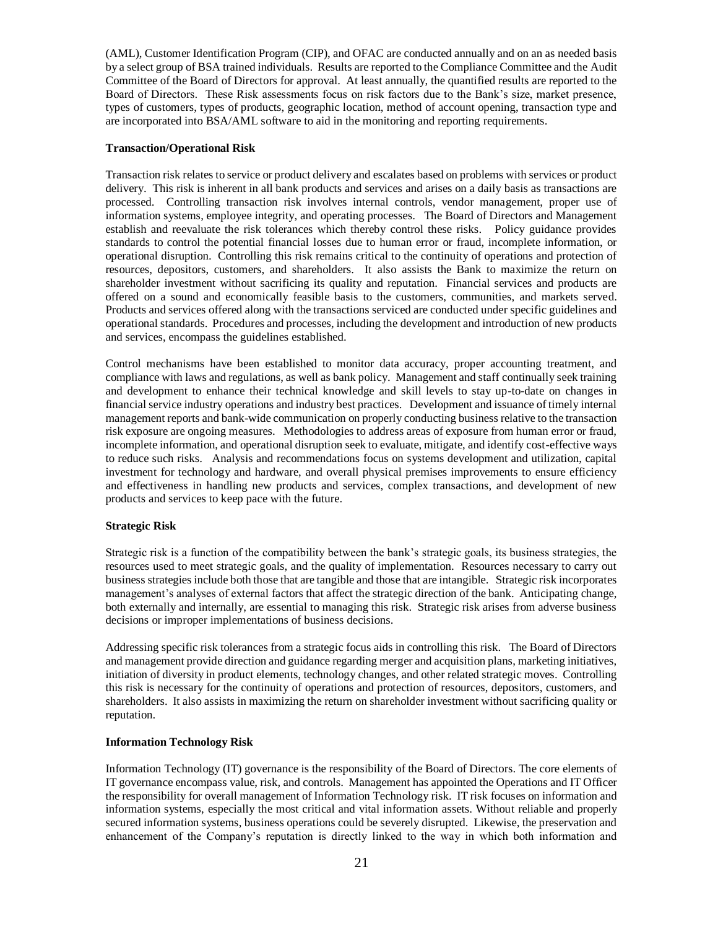(AML), Customer Identification Program (CIP), and OFAC are conducted annually and on an as needed basis by a select group of BSA trained individuals. Results are reported to the Compliance Committee and the Audit Committee of the Board of Directors for approval. At least annually, the quantified results are reported to the Board of Directors. These Risk assessments focus on risk factors due to the Bank's size, market presence, types of customers, types of products, geographic location, method of account opening, transaction type and are incorporated into BSA/AML software to aid in the monitoring and reporting requirements.

# **Transaction/Operational Risk**

Transaction risk relates to service or product delivery and escalates based on problems with services or product delivery. This risk is inherent in all bank products and services and arises on a daily basis as transactions are processed. Controlling transaction risk involves internal controls, vendor management, proper use of information systems, employee integrity, and operating processes. The Board of Directors and Management establish and reevaluate the risk tolerances which thereby control these risks. Policy guidance provides standards to control the potential financial losses due to human error or fraud, incomplete information, or operational disruption. Controlling this risk remains critical to the continuity of operations and protection of resources, depositors, customers, and shareholders. It also assists the Bank to maximize the return on shareholder investment without sacrificing its quality and reputation. Financial services and products are offered on a sound and economically feasible basis to the customers, communities, and markets served. Products and services offered along with the transactions serviced are conducted under specific guidelines and operational standards. Procedures and processes, including the development and introduction of new products and services, encompass the guidelines established.

Control mechanisms have been established to monitor data accuracy, proper accounting treatment, and compliance with laws and regulations, as well as bank policy. Management and staff continually seek training and development to enhance their technical knowledge and skill levels to stay up-to-date on changes in financial service industry operations and industry best practices. Development and issuance of timely internal management reports and bank-wide communication on properly conducting business relative to the transaction risk exposure are ongoing measures. Methodologies to address areas of exposure from human error or fraud, incomplete information, and operational disruption seek to evaluate, mitigate, and identify cost-effective ways to reduce such risks. Analysis and recommendations focus on systems development and utilization, capital investment for technology and hardware, and overall physical premises improvements to ensure efficiency and effectiveness in handling new products and services, complex transactions, and development of new products and services to keep pace with the future.

# **Strategic Risk**

Strategic risk is a function of the compatibility between the bank's strategic goals, its business strategies, the resources used to meet strategic goals, and the quality of implementation. Resources necessary to carry out business strategies include both those that are tangible and those that are intangible. Strategic risk incorporates management's analyses of external factors that affect the strategic direction of the bank. Anticipating change, both externally and internally, are essential to managing this risk. Strategic risk arises from adverse business decisions or improper implementations of business decisions.

Addressing specific risk tolerances from a strategic focus aids in controlling this risk. The Board of Directors and management provide direction and guidance regarding merger and acquisition plans, marketing initiatives, initiation of diversity in product elements, technology changes, and other related strategic moves. Controlling this risk is necessary for the continuity of operations and protection of resources, depositors, customers, and shareholders. It also assists in maximizing the return on shareholder investment without sacrificing quality or reputation.

# **Information Technology Risk**

Information Technology (IT) governance is the responsibility of the Board of Directors. The core elements of IT governance encompass value, risk, and controls. Management has appointed the Operations and IT Officer the responsibility for overall management of Information Technology risk. IT risk focuses on information and information systems, especially the most critical and vital information assets. Without reliable and properly secured information systems, business operations could be severely disrupted. Likewise, the preservation and enhancement of the Company's reputation is directly linked to the way in which both information and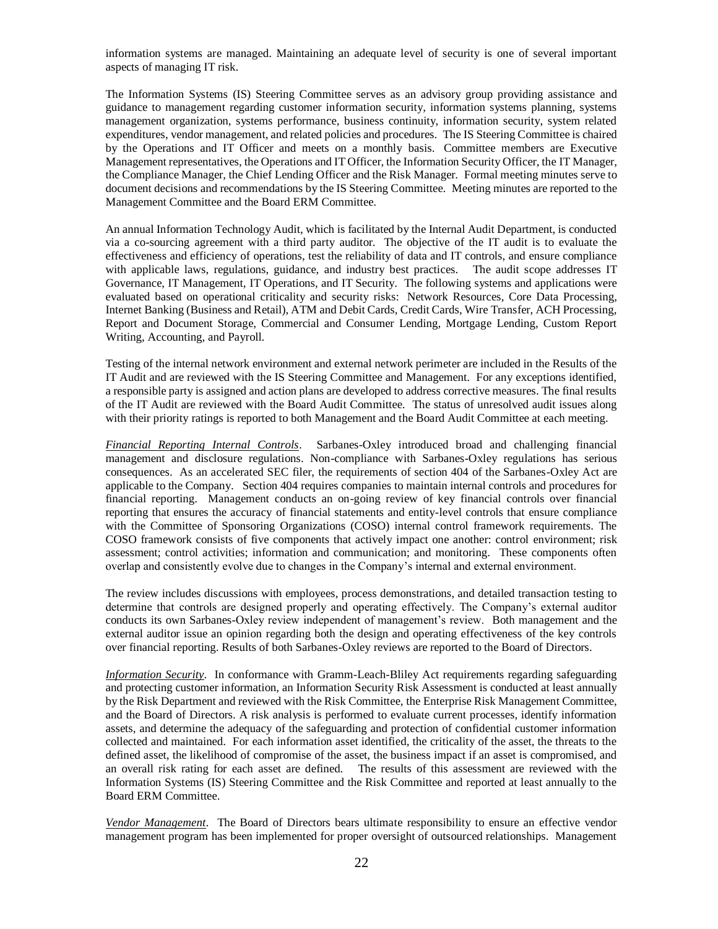information systems are managed. Maintaining an adequate level of security is one of several important aspects of managing IT risk.

The Information Systems (IS) Steering Committee serves as an advisory group providing assistance and guidance to management regarding customer information security, information systems planning, systems management organization, systems performance, business continuity, information security, system related expenditures, vendor management, and related policies and procedures. The IS Steering Committee is chaired by the Operations and IT Officer and meets on a monthly basis. Committee members are Executive Management representatives, the Operations and IT Officer, the Information Security Officer, the IT Manager, the Compliance Manager, the Chief Lending Officer and the Risk Manager. Formal meeting minutes serve to document decisions and recommendations by the IS Steering Committee. Meeting minutes are reported to the Management Committee and the Board ERM Committee.

An annual Information Technology Audit, which is facilitated by the Internal Audit Department, is conducted via a co-sourcing agreement with a third party auditor. The objective of the IT audit is to evaluate the effectiveness and efficiency of operations, test the reliability of data and IT controls, and ensure compliance with applicable laws, regulations, guidance, and industry best practices. The audit scope addresses IT Governance, IT Management, IT Operations, and IT Security. The following systems and applications were evaluated based on operational criticality and security risks: Network Resources, Core Data Processing, Internet Banking (Business and Retail), ATM and Debit Cards, Credit Cards, Wire Transfer, ACH Processing, Report and Document Storage, Commercial and Consumer Lending, Mortgage Lending, Custom Report Writing, Accounting, and Payroll.

Testing of the internal network environment and external network perimeter are included in the Results of the IT Audit and are reviewed with the IS Steering Committee and Management. For any exceptions identified, a responsible party is assigned and action plans are developed to address corrective measures. The final results of the IT Audit are reviewed with the Board Audit Committee. The status of unresolved audit issues along with their priority ratings is reported to both Management and the Board Audit Committee at each meeting.

*Financial Reporting Internal Controls*. Sarbanes-Oxley introduced broad and challenging financial management and disclosure regulations. Non-compliance with Sarbanes-Oxley regulations has serious consequences. As an accelerated SEC filer, the requirements of section 404 of the Sarbanes-Oxley Act are applicable to the Company. Section 404 requires companies to maintain internal controls and procedures for financial reporting. Management conducts an on-going review of key financial controls over financial reporting that ensures the accuracy of financial statements and entity-level controls that ensure compliance with the Committee of Sponsoring Organizations (COSO) internal control framework requirements. The COSO framework consists of five components that actively impact one another: control environment; risk assessment; control activities; information and communication; and monitoring. These components often overlap and consistently evolve due to changes in the Company's internal and external environment.

The review includes discussions with employees, process demonstrations, and detailed transaction testing to determine that controls are designed properly and operating effectively. The Company's external auditor conducts its own Sarbanes-Oxley review independent of management's review. Both management and the external auditor issue an opinion regarding both the design and operating effectiveness of the key controls over financial reporting. Results of both Sarbanes-Oxley reviews are reported to the Board of Directors.

*Information Security*. In conformance with Gramm-Leach-Bliley Act requirements regarding safeguarding and protecting customer information, an Information Security Risk Assessment is conducted at least annually by the Risk Department and reviewed with the Risk Committee, the Enterprise Risk Management Committee, and the Board of Directors. A risk analysis is performed to evaluate current processes, identify information assets, and determine the adequacy of the safeguarding and protection of confidential customer information collected and maintained. For each information asset identified, the criticality of the asset, the threats to the defined asset, the likelihood of compromise of the asset, the business impact if an asset is compromised, and an overall risk rating for each asset are defined. The results of this assessment are reviewed with the Information Systems (IS) Steering Committee and the Risk Committee and reported at least annually to the Board ERM Committee.

*Vendor Management*. The Board of Directors bears ultimate responsibility to ensure an effective vendor management program has been implemented for proper oversight of outsourced relationships. Management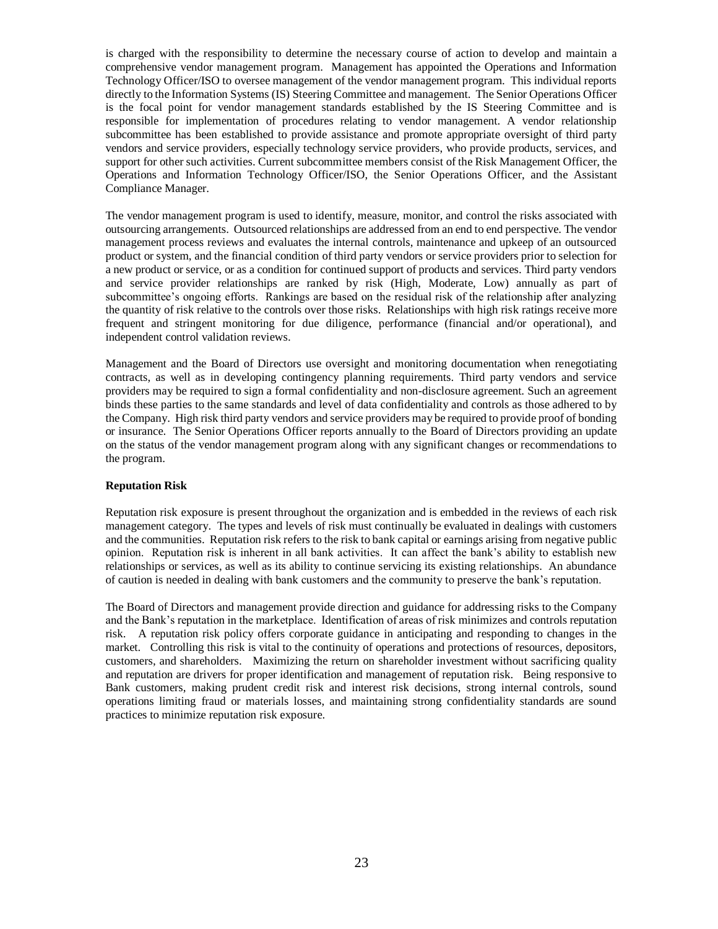is charged with the responsibility to determine the necessary course of action to develop and maintain a comprehensive vendor management program. Management has appointed the Operations and Information Technology Officer/ISO to oversee management of the vendor management program. This individual reports directly to the Information Systems (IS) Steering Committee and management. The Senior Operations Officer is the focal point for vendor management standards established by the IS Steering Committee and is responsible for implementation of procedures relating to vendor management. A vendor relationship subcommittee has been established to provide assistance and promote appropriate oversight of third party vendors and service providers, especially technology service providers, who provide products, services, and support for other such activities. Current subcommittee members consist of the Risk Management Officer, the Operations and Information Technology Officer/ISO, the Senior Operations Officer, and the Assistant Compliance Manager.

The vendor management program is used to identify, measure, monitor, and control the risks associated with outsourcing arrangements. Outsourced relationships are addressed from an end to end perspective. The vendor management process reviews and evaluates the internal controls, maintenance and upkeep of an outsourced product or system, and the financial condition of third party vendors or service providers prior to selection for a new product or service, or as a condition for continued support of products and services. Third party vendors and service provider relationships are ranked by risk (High, Moderate, Low) annually as part of subcommittee's ongoing efforts. Rankings are based on the residual risk of the relationship after analyzing the quantity of risk relative to the controls over those risks. Relationships with high risk ratings receive more frequent and stringent monitoring for due diligence, performance (financial and/or operational), and independent control validation reviews.

Management and the Board of Directors use oversight and monitoring documentation when renegotiating contracts, as well as in developing contingency planning requirements. Third party vendors and service providers may be required to sign a formal confidentiality and non-disclosure agreement. Such an agreement binds these parties to the same standards and level of data confidentiality and controls as those adhered to by the Company. High risk third party vendors and service providers may be required to provide proof of bonding or insurance. The Senior Operations Officer reports annually to the Board of Directors providing an update on the status of the vendor management program along with any significant changes or recommendations to the program.

# **Reputation Risk**

Reputation risk exposure is present throughout the organization and is embedded in the reviews of each risk management category. The types and levels of risk must continually be evaluated in dealings with customers and the communities. Reputation risk refers to the risk to bank capital or earnings arising from negative public opinion. Reputation risk is inherent in all bank activities. It can affect the bank's ability to establish new relationships or services, as well as its ability to continue servicing its existing relationships. An abundance of caution is needed in dealing with bank customers and the community to preserve the bank's reputation.

The Board of Directors and management provide direction and guidance for addressing risks to the Company and the Bank's reputation in the marketplace. Identification of areas of risk minimizes and controls reputation risk. A reputation risk policy offers corporate guidance in anticipating and responding to changes in the market. Controlling this risk is vital to the continuity of operations and protections of resources, depositors, customers, and shareholders. Maximizing the return on shareholder investment without sacrificing quality and reputation are drivers for proper identification and management of reputation risk. Being responsive to Bank customers, making prudent credit risk and interest risk decisions, strong internal controls, sound operations limiting fraud or materials losses, and maintaining strong confidentiality standards are sound practices to minimize reputation risk exposure.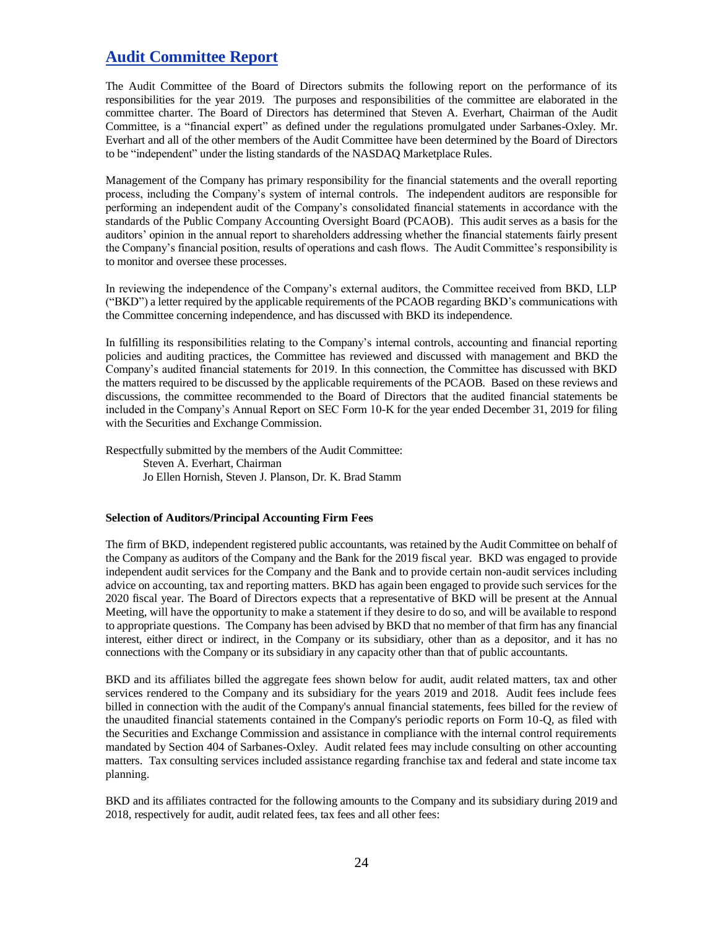# **Audit Committee Report**

The Audit Committee of the Board of Directors submits the following report on the performance of its responsibilities for the year 2019. The purposes and responsibilities of the committee are elaborated in the committee charter. The Board of Directors has determined that Steven A. Everhart, Chairman of the Audit Committee, is a "financial expert" as defined under the regulations promulgated under Sarbanes-Oxley. Mr. Everhart and all of the other members of the Audit Committee have been determined by the Board of Directors to be "independent" under the listing standards of the NASDAQ Marketplace Rules.

Management of the Company has primary responsibility for the financial statements and the overall reporting process, including the Company's system of internal controls. The independent auditors are responsible for performing an independent audit of the Company's consolidated financial statements in accordance with the standards of the Public Company Accounting Oversight Board (PCAOB). This audit serves as a basis for the auditors' opinion in the annual report to shareholders addressing whether the financial statements fairly present the Company's financial position, results of operations and cash flows. The Audit Committee's responsibility is to monitor and oversee these processes.

In reviewing the independence of the Company's external auditors, the Committee received from BKD, LLP ("BKD") a letter required by the applicable requirements of the PCAOB regarding BKD's communications with the Committee concerning independence, and has discussed with BKD its independence.

In fulfilling its responsibilities relating to the Company's internal controls, accounting and financial reporting policies and auditing practices, the Committee has reviewed and discussed with management and BKD the Company's audited financial statements for 2019. In this connection, the Committee has discussed with BKD the matters required to be discussed by the applicable requirements of the PCAOB. Based on these reviews and discussions, the committee recommended to the Board of Directors that the audited financial statements be included in the Company's Annual Report on SEC Form 10-K for the year ended December 31, 2019 for filing with the Securities and Exchange Commission.

Respectfully submitted by the members of the Audit Committee: Steven A. Everhart, Chairman Jo Ellen Hornish, Steven J. Planson, Dr. K. Brad Stamm

# **Selection of Auditors/Principal Accounting Firm Fees**

The firm of BKD, independent registered public accountants, was retained by the Audit Committee on behalf of the Company as auditors of the Company and the Bank for the 2019 fiscal year. BKD was engaged to provide independent audit services for the Company and the Bank and to provide certain non-audit services including advice on accounting, tax and reporting matters. BKD has again been engaged to provide such services for the 2020 fiscal year. The Board of Directors expects that a representative of BKD will be present at the Annual Meeting, will have the opportunity to make a statement if they desire to do so, and will be available to respond to appropriate questions. The Company has been advised by BKD that no member of that firm has any financial interest, either direct or indirect, in the Company or its subsidiary, other than as a depositor, and it has no connections with the Company or its subsidiary in any capacity other than that of public accountants.

BKD and its affiliates billed the aggregate fees shown below for audit, audit related matters, tax and other services rendered to the Company and its subsidiary for the years 2019 and 2018. Audit fees include fees billed in connection with the audit of the Company's annual financial statements, fees billed for the review of the unaudited financial statements contained in the Company's periodic reports on Form 10-Q, as filed with the Securities and Exchange Commission and assistance in compliance with the internal control requirements mandated by Section 404 of Sarbanes-Oxley. Audit related fees may include consulting on other accounting matters. Tax consulting services included assistance regarding franchise tax and federal and state income tax planning.

BKD and its affiliates contracted for the following amounts to the Company and its subsidiary during 2019 and 2018, respectively for audit, audit related fees, tax fees and all other fees: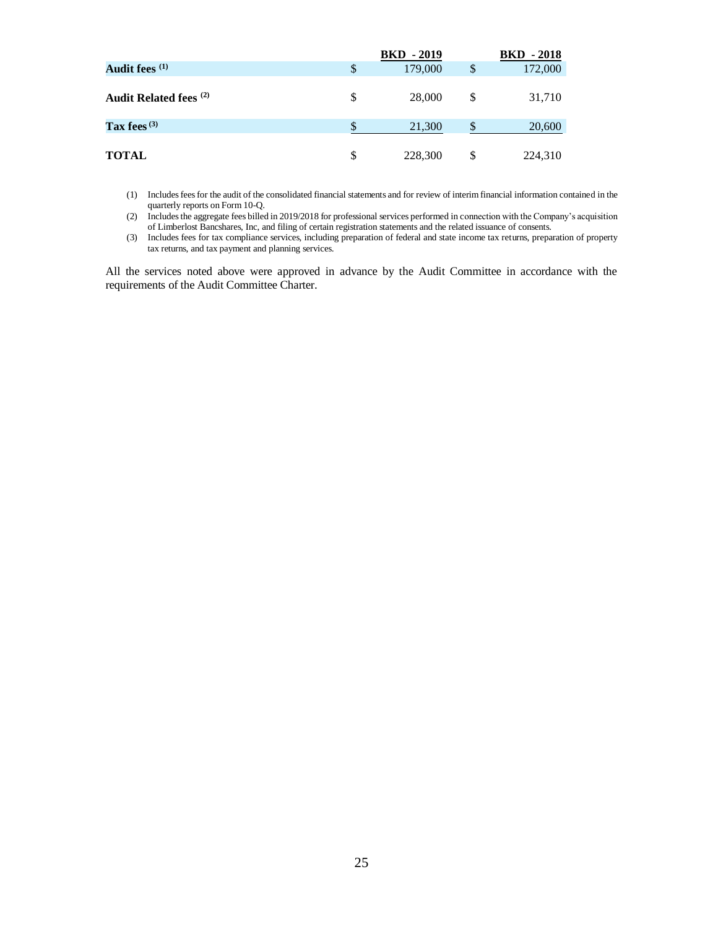|                                   | $-2019$<br><b>BKD</b> | $-2018$<br><b>BKD</b> |
|-----------------------------------|-----------------------|-----------------------|
| Audit fees (1)                    | \$<br>179,000         | \$<br>172,000         |
| Audit Related fees <sup>(2)</sup> | \$<br>28,000          | \$<br>31,710          |
| Tax fees $(3)$                    | \$<br>21,300          | \$<br>20,600          |
| <b>TOTAL</b>                      | \$<br>228,300         | \$<br>224,310         |

(1) Includes fees for the audit of the consolidated financial statements and for review of interim financial information contained in the quarterly reports on Form 10-Q.

(2) Includes the aggregate fees billed in 2019/2018 for professional services performed in connection with the Company's acquisition of Limberlost Bancshares, Inc, and filing of certain registration statements and the related issuance of consents.

(3) Includes fees for tax compliance services, including preparation of federal and state income tax returns, preparation of property tax returns, and tax payment and planning services.

All the services noted above were approved in advance by the Audit Committee in accordance with the requirements of the Audit Committee Charter.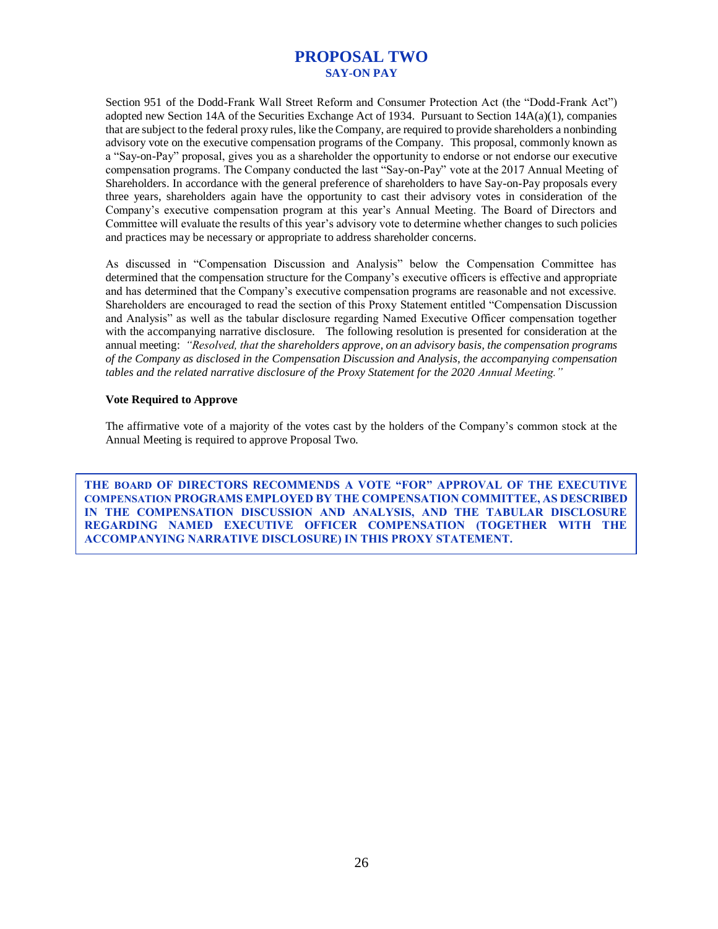# **PROPOSAL TWO SAY-ON PAY**

Section 951 of the Dodd-Frank Wall Street Reform and Consumer Protection Act (the "Dodd-Frank Act") adopted new Section 14A of the Securities Exchange Act of 1934. Pursuant to Section 14A(a)(1), companies that are subject to the federal proxy rules, like the Company, are required to provide shareholders a nonbinding advisory vote on the executive compensation programs of the Company. This proposal, commonly known as a "Say-on-Pay" proposal, gives you as a shareholder the opportunity to endorse or not endorse our executive compensation programs. The Company conducted the last "Say-on-Pay" vote at the 2017 Annual Meeting of Shareholders. In accordance with the general preference of shareholders to have Say-on-Pay proposals every three years, shareholders again have the opportunity to cast their advisory votes in consideration of the Company's executive compensation program at this year's Annual Meeting. The Board of Directors and Committee will evaluate the results of this year's advisory vote to determine whether changes to such policies and practices may be necessary or appropriate to address shareholder concerns.

As discussed in "Compensation Discussion and Analysis" below the Compensation Committee has determined that the compensation structure for the Company's executive officers is effective and appropriate and has determined that the Company's executive compensation programs are reasonable and not excessive. Shareholders are encouraged to read the section of this Proxy Statement entitled "Compensation Discussion and Analysis" as well as the tabular disclosure regarding Named Executive Officer compensation together with the accompanying narrative disclosure. The following resolution is presented for consideration at the annual meeting: *"Resolved, that the shareholders approve, on an advisory basis, the compensation programs of the Company as disclosed in the Compensation Discussion and Analysis, the accompanying compensation tables and the related narrative disclosure of the Proxy Statement for the 2020 Annual Meeting."*

# **Vote Required to Approve**

The affirmative vote of a majority of the votes cast by the holders of the Company's common stock at the Annual Meeting is required to approve Proposal Two.

**THE BOARD OF DIRECTORS RECOMMENDS A VOTE "FOR" APPROVAL OF THE EXECUTIVE COMPENSATION PROGRAMS EMPLOYED BY THE COMPENSATION COMMITTEE, AS DESCRIBED IN THE COMPENSATION DISCUSSION AND ANALYSIS, AND THE TABULAR DISCLOSURE REGARDING NAMED EXECUTIVE OFFICER COMPENSATION (TOGETHER WITH THE ACCOMPANYING NARRATIVE DISCLOSURE) IN THIS PROXY STATEMENT.**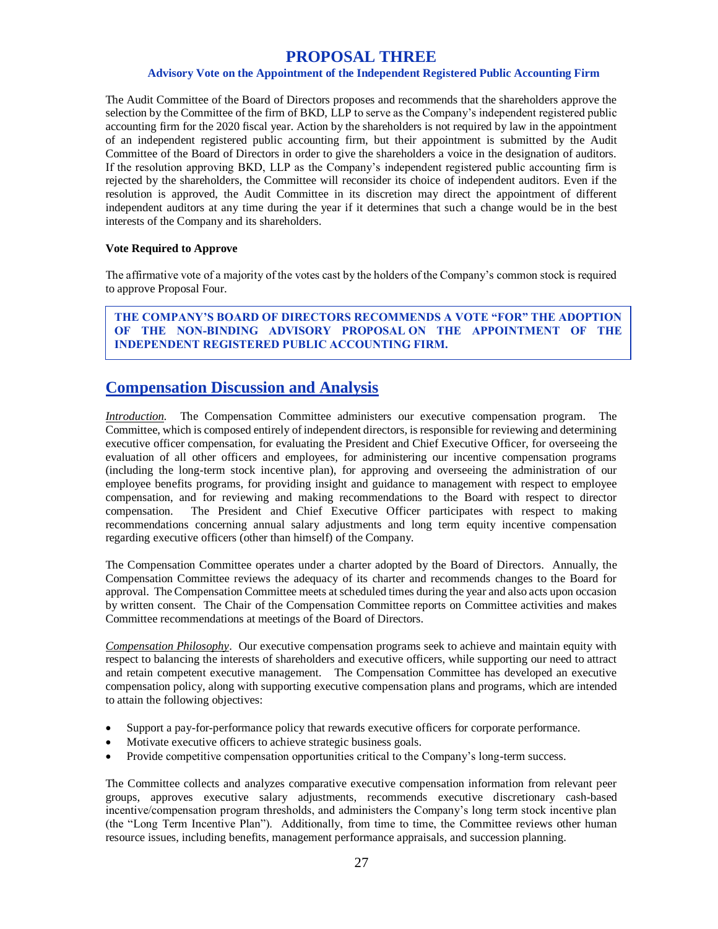# **PROPOSAL THREE**

# **Advisory Vote on the Appointment of the Independent Registered Public Accounting Firm**

The Audit Committee of the Board of Directors proposes and recommends that the shareholders approve the selection by the Committee of the firm of BKD, LLP to serve as the Company's independent registered public accounting firm for the 2020 fiscal year. Action by the shareholders is not required by law in the appointment of an independent registered public accounting firm, but their appointment is submitted by the Audit Committee of the Board of Directors in order to give the shareholders a voice in the designation of auditors. If the resolution approving BKD, LLP as the Company's independent registered public accounting firm is rejected by the shareholders, the Committee will reconsider its choice of independent auditors. Even if the resolution is approved, the Audit Committee in its discretion may direct the appointment of different independent auditors at any time during the year if it determines that such a change would be in the best interests of the Company and its shareholders.

# **Vote Required to Approve**

The affirmative vote of a majority of the votes cast by the holders of the Company's common stock is required to approve Proposal Four.

**THE COMPANY'S BOARD OF DIRECTORS RECOMMENDS A VOTE "FOR" THE ADOPTION OF THE NON-BINDING ADVISORY PROPOSAL ON THE APPOINTMENT OF THE INDEPENDENT REGISTERED PUBLIC ACCOUNTING FIRM.**

# **Compensation Discussion and Analysis**

*Introduction.* The Compensation Committee administers our executive compensation program. The Committee, which is composed entirely of independent directors, is responsible for reviewing and determining executive officer compensation, for evaluating the President and Chief Executive Officer, for overseeing the evaluation of all other officers and employees, for administering our incentive compensation programs (including the long-term stock incentive plan), for approving and overseeing the administration of our employee benefits programs, for providing insight and guidance to management with respect to employee compensation, and for reviewing and making recommendations to the Board with respect to director compensation. The President and Chief Executive Officer participates with respect to making recommendations concerning annual salary adjustments and long term equity incentive compensation regarding executive officers (other than himself) of the Company.

The Compensation Committee operates under a charter adopted by the Board of Directors. Annually, the Compensation Committee reviews the adequacy of its charter and recommends changes to the Board for approval. The Compensation Committee meets at scheduled times during the year and also acts upon occasion by written consent. The Chair of the Compensation Committee reports on Committee activities and makes Committee recommendations at meetings of the Board of Directors.

*Compensation Philosophy*. Our executive compensation programs seek to achieve and maintain equity with respect to balancing the interests of shareholders and executive officers, while supporting our need to attract and retain competent executive management. The Compensation Committee has developed an executive compensation policy, along with supporting executive compensation plans and programs, which are intended to attain the following objectives:

- Support a pay-for-performance policy that rewards executive officers for corporate performance.
- Motivate executive officers to achieve strategic business goals.
- Provide competitive compensation opportunities critical to the Company's long-term success.

The Committee collects and analyzes comparative executive compensation information from relevant peer groups, approves executive salary adjustments, recommends executive discretionary cash-based incentive/compensation program thresholds, and administers the Company's long term stock incentive plan (the "Long Term Incentive Plan"). Additionally, from time to time, the Committee reviews other human resource issues, including benefits, management performance appraisals, and succession planning.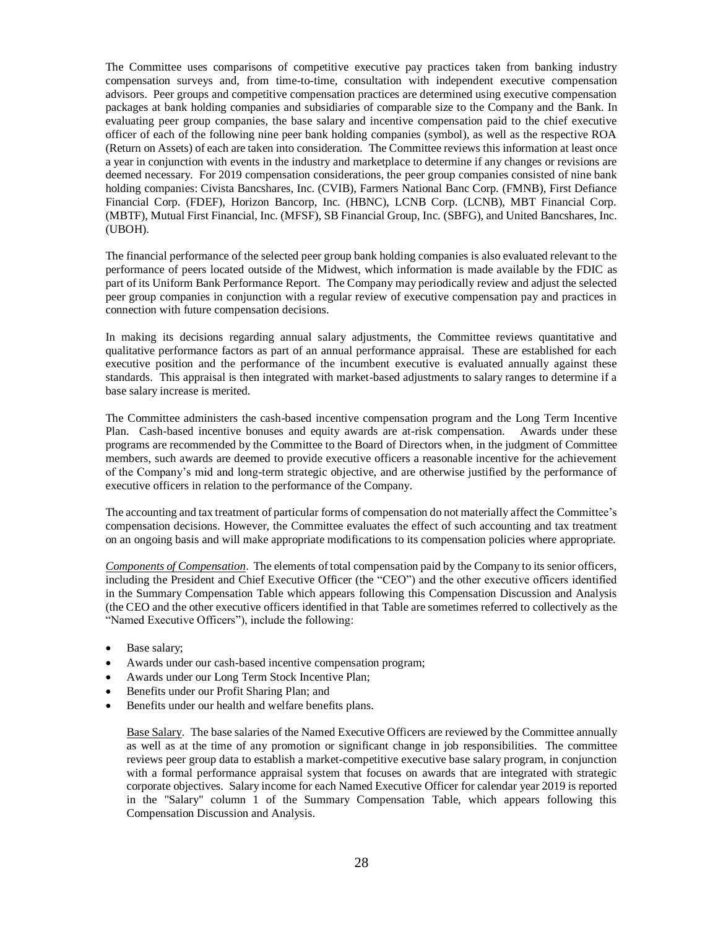The Committee uses comparisons of competitive executive pay practices taken from banking industry compensation surveys and, from time-to-time, consultation with independent executive compensation advisors. Peer groups and competitive compensation practices are determined using executive compensation packages at bank holding companies and subsidiaries of comparable size to the Company and the Bank. In evaluating peer group companies, the base salary and incentive compensation paid to the chief executive officer of each of the following nine peer bank holding companies (symbol), as well as the respective ROA (Return on Assets) of each are taken into consideration. The Committee reviews this information at least once a year in conjunction with events in the industry and marketplace to determine if any changes or revisions are deemed necessary. For 2019 compensation considerations, the peer group companies consisted of nine bank holding companies: Civista Bancshares, Inc. (CVIB), Farmers National Banc Corp. (FMNB), First Defiance Financial Corp. (FDEF), Horizon Bancorp, Inc. (HBNC), LCNB Corp. (LCNB), MBT Financial Corp. (MBTF), Mutual First Financial, Inc. (MFSF), SB Financial Group, Inc. (SBFG), and United Bancshares, Inc. (UBOH).

The financial performance of the selected peer group bank holding companies is also evaluated relevant to the performance of peers located outside of the Midwest, which information is made available by the FDIC as part of its Uniform Bank Performance Report. The Company may periodically review and adjust the selected peer group companies in conjunction with a regular review of executive compensation pay and practices in connection with future compensation decisions.

In making its decisions regarding annual salary adjustments, the Committee reviews quantitative and qualitative performance factors as part of an annual performance appraisal. These are established for each executive position and the performance of the incumbent executive is evaluated annually against these standards. This appraisal is then integrated with market-based adjustments to salary ranges to determine if a base salary increase is merited.

The Committee administers the cash-based incentive compensation program and the Long Term Incentive Plan. Cash-based incentive bonuses and equity awards are at-risk compensation. Awards under these programs are recommended by the Committee to the Board of Directors when, in the judgment of Committee members, such awards are deemed to provide executive officers a reasonable incentive for the achievement of the Company's mid and long-term strategic objective, and are otherwise justified by the performance of executive officers in relation to the performance of the Company.

The accounting and tax treatment of particular forms of compensation do not materially affect the Committee's compensation decisions. However, the Committee evaluates the effect of such accounting and tax treatment on an ongoing basis and will make appropriate modifications to its compensation policies where appropriate.

*Components of Compensation*. The elements of total compensation paid by the Company to its senior officers, including the President and Chief Executive Officer (the "CEO") and the other executive officers identified in the Summary Compensation Table which appears following this Compensation Discussion and Analysis (the CEO and the other executive officers identified in that Table are sometimes referred to collectively as the "Named Executive Officers"), include the following:

- Base salary;
- Awards under our cash-based incentive compensation program;
- Awards under our Long Term Stock Incentive Plan;
- Benefits under our Profit Sharing Plan; and
- Benefits under our health and welfare benefits plans.

Base Salary. The base salaries of the Named Executive Officers are reviewed by the Committee annually as well as at the time of any promotion or significant change in job responsibilities. The committee reviews peer group data to establish a market-competitive executive base salary program, in conjunction with a formal performance appraisal system that focuses on awards that are integrated with strategic corporate objectives. Salary income for each Named Executive Officer for calendar year 2019 is reported in the "Salary" column 1 of the Summary Compensation Table, which appears following this Compensation Discussion and Analysis.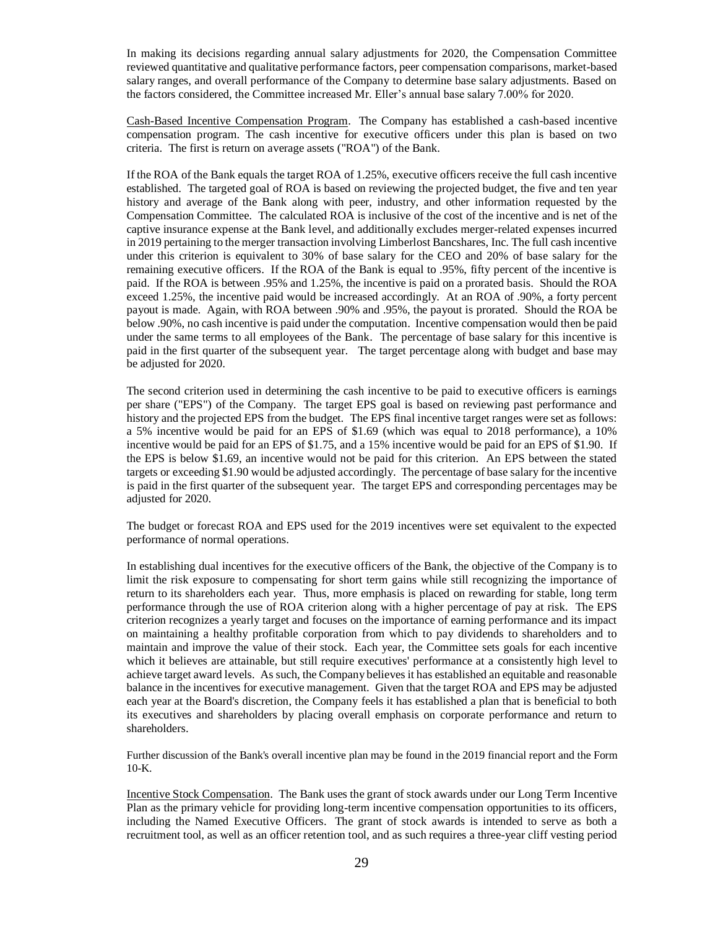In making its decisions regarding annual salary adjustments for 2020, the Compensation Committee reviewed quantitative and qualitative performance factors, peer compensation comparisons, market-based salary ranges, and overall performance of the Company to determine base salary adjustments. Based on the factors considered, the Committee increased Mr. Eller's annual base salary 7.00% for 2020.

Cash-Based Incentive Compensation Program. The Company has established a cash-based incentive compensation program. The cash incentive for executive officers under this plan is based on two criteria. The first is return on average assets ("ROA") of the Bank.

If the ROA of the Bank equals the target ROA of 1.25%, executive officers receive the full cash incentive established. The targeted goal of ROA is based on reviewing the projected budget, the five and ten year history and average of the Bank along with peer, industry, and other information requested by the Compensation Committee. The calculated ROA is inclusive of the cost of the incentive and is net of the captive insurance expense at the Bank level, and additionally excludes merger-related expenses incurred in 2019 pertaining to the merger transaction involving Limberlost Bancshares, Inc. The full cash incentive under this criterion is equivalent to 30% of base salary for the CEO and 20% of base salary for the remaining executive officers. If the ROA of the Bank is equal to .95%, fifty percent of the incentive is paid. If the ROA is between .95% and 1.25%, the incentive is paid on a prorated basis. Should the ROA exceed 1.25%, the incentive paid would be increased accordingly. At an ROA of .90%, a forty percent payout is made. Again, with ROA between .90% and .95%, the payout is prorated. Should the ROA be below .90%, no cash incentive is paid under the computation. Incentive compensation would then be paid under the same terms to all employees of the Bank. The percentage of base salary for this incentive is paid in the first quarter of the subsequent year. The target percentage along with budget and base may be adjusted for 2020.

The second criterion used in determining the cash incentive to be paid to executive officers is earnings per share ("EPS") of the Company. The target EPS goal is based on reviewing past performance and history and the projected EPS from the budget. The EPS final incentive target ranges were set as follows: a 5% incentive would be paid for an EPS of \$1.69 (which was equal to 2018 performance), a 10% incentive would be paid for an EPS of \$1.75, and a 15% incentive would be paid for an EPS of \$1.90. If the EPS is below \$1.69, an incentive would not be paid for this criterion. An EPS between the stated targets or exceeding \$1.90 would be adjusted accordingly. The percentage of base salary for the incentive is paid in the first quarter of the subsequent year. The target EPS and corresponding percentages may be adjusted for 2020.

The budget or forecast ROA and EPS used for the 2019 incentives were set equivalent to the expected performance of normal operations.

In establishing dual incentives for the executive officers of the Bank, the objective of the Company is to limit the risk exposure to compensating for short term gains while still recognizing the importance of return to its shareholders each year. Thus, more emphasis is placed on rewarding for stable, long term performance through the use of ROA criterion along with a higher percentage of pay at risk. The EPS criterion recognizes a yearly target and focuses on the importance of earning performance and its impact on maintaining a healthy profitable corporation from which to pay dividends to shareholders and to maintain and improve the value of their stock. Each year, the Committee sets goals for each incentive which it believes are attainable, but still require executives' performance at a consistently high level to achieve target award levels. As such, the Company believes it has established an equitable and reasonable balance in the incentives for executive management. Given that the target ROA and EPS may be adjusted each year at the Board's discretion, the Company feels it has established a plan that is beneficial to both its executives and shareholders by placing overall emphasis on corporate performance and return to shareholders.

Further discussion of the Bank's overall incentive plan may be found in the 2019 financial report and the Form 10-K.

Incentive Stock Compensation. The Bank uses the grant of stock awards under our Long Term Incentive Plan as the primary vehicle for providing long-term incentive compensation opportunities to its officers, including the Named Executive Officers. The grant of stock awards is intended to serve as both a recruitment tool, as well as an officer retention tool, and as such requires a three-year cliff vesting period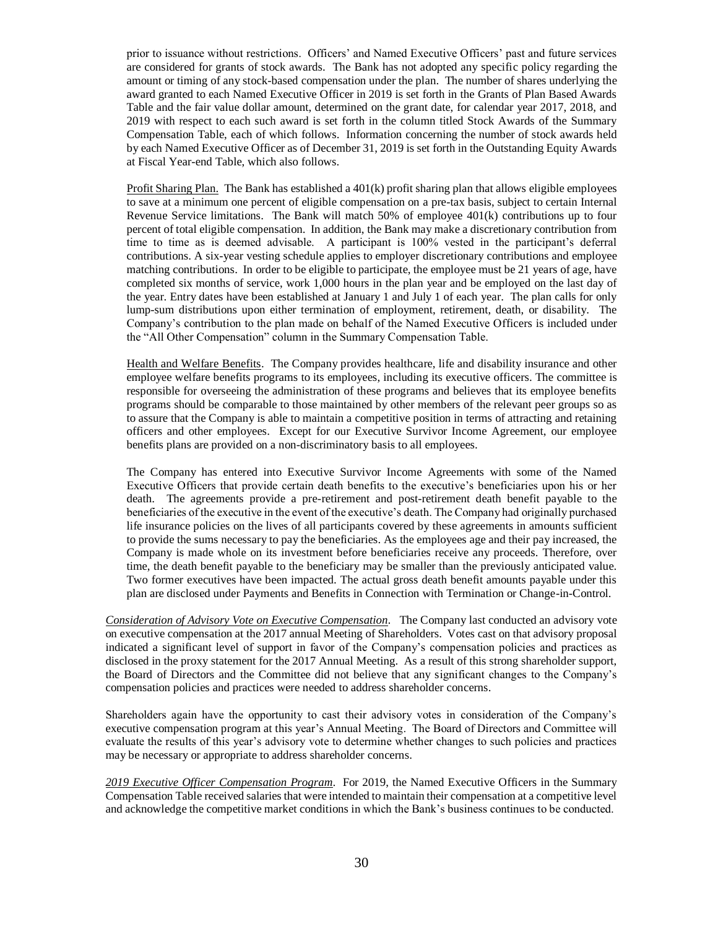prior to issuance without restrictions. Officers' and Named Executive Officers' past and future services are considered for grants of stock awards. The Bank has not adopted any specific policy regarding the amount or timing of any stock-based compensation under the plan. The number of shares underlying the award granted to each Named Executive Officer in 2019 is set forth in the Grants of Plan Based Awards Table and the fair value dollar amount, determined on the grant date, for calendar year 2017, 2018, and 2019 with respect to each such award is set forth in the column titled Stock Awards of the Summary Compensation Table, each of which follows. Information concerning the number of stock awards held by each Named Executive Officer as of December 31, 2019 is set forth in the Outstanding Equity Awards at Fiscal Year-end Table, which also follows.

Profit Sharing Plan. The Bank has established a 401(k) profit sharing plan that allows eligible employees to save at a minimum one percent of eligible compensation on a pre-tax basis, subject to certain Internal Revenue Service limitations. The Bank will match 50% of employee 401(k) contributions up to four percent of total eligible compensation. In addition, the Bank may make a discretionary contribution from time to time as is deemed advisable. A participant is 100% vested in the participant's deferral contributions. A six-year vesting schedule applies to employer discretionary contributions and employee matching contributions. In order to be eligible to participate, the employee must be 21 years of age, have completed six months of service, work 1,000 hours in the plan year and be employed on the last day of the year. Entry dates have been established at January 1 and July 1 of each year. The plan calls for only lump-sum distributions upon either termination of employment, retirement, death, or disability. The Company's contribution to the plan made on behalf of the Named Executive Officers is included under the "All Other Compensation" column in the Summary Compensation Table.

Health and Welfare Benefits. The Company provides healthcare, life and disability insurance and other employee welfare benefits programs to its employees, including its executive officers. The committee is responsible for overseeing the administration of these programs and believes that its employee benefits programs should be comparable to those maintained by other members of the relevant peer groups so as to assure that the Company is able to maintain a competitive position in terms of attracting and retaining officers and other employees. Except for our Executive Survivor Income Agreement, our employee benefits plans are provided on a non-discriminatory basis to all employees.

The Company has entered into Executive Survivor Income Agreements with some of the Named Executive Officers that provide certain death benefits to the executive's beneficiaries upon his or her death. The agreements provide a pre-retirement and post-retirement death benefit payable to the beneficiaries of the executive in the event of the executive's death. The Company had originally purchased life insurance policies on the lives of all participants covered by these agreements in amounts sufficient to provide the sums necessary to pay the beneficiaries. As the employees age and their pay increased, the Company is made whole on its investment before beneficiaries receive any proceeds. Therefore, over time, the death benefit payable to the beneficiary may be smaller than the previously anticipated value. Two former executives have been impacted. The actual gross death benefit amounts payable under this plan are disclosed under Payments and Benefits in Connection with Termination or Change-in-Control.

*Consideration of Advisory Vote on Executive Compensation.* The Company last conducted an advisory vote on executive compensation at the 2017 annual Meeting of Shareholders. Votes cast on that advisory proposal indicated a significant level of support in favor of the Company's compensation policies and practices as disclosed in the proxy statement for the 2017 Annual Meeting. As a result of this strong shareholder support, the Board of Directors and the Committee did not believe that any significant changes to the Company's compensation policies and practices were needed to address shareholder concerns.

Shareholders again have the opportunity to cast their advisory votes in consideration of the Company's executive compensation program at this year's Annual Meeting. The Board of Directors and Committee will evaluate the results of this year's advisory vote to determine whether changes to such policies and practices may be necessary or appropriate to address shareholder concerns.

*2019 Executive Officer Compensation Program.* For 2019, the Named Executive Officers in the Summary Compensation Table received salaries that were intended to maintain their compensation at a competitive level and acknowledge the competitive market conditions in which the Bank's business continues to be conducted.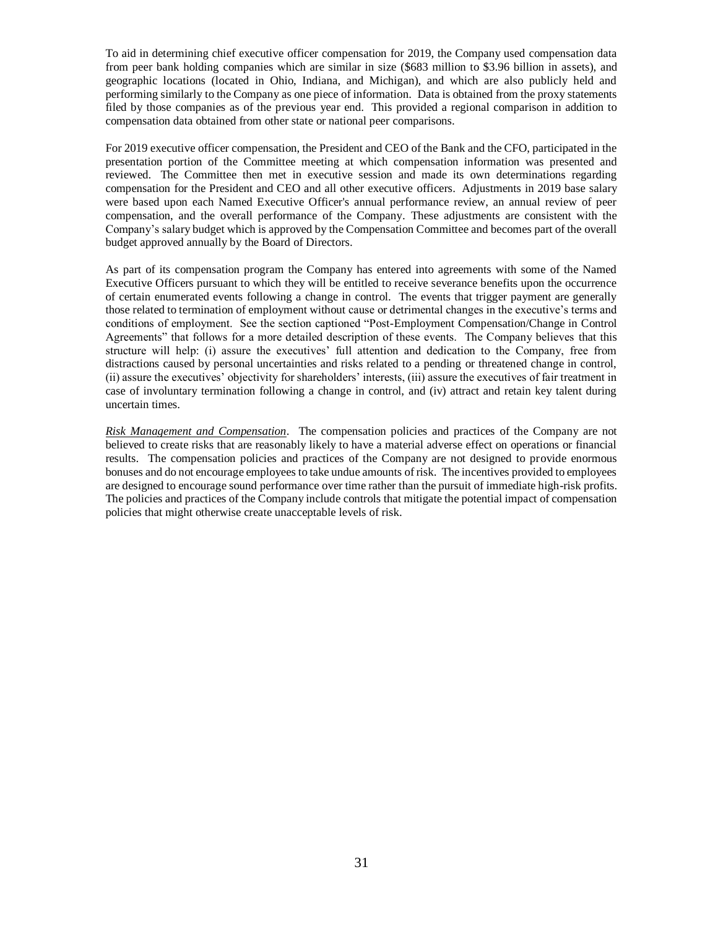To aid in determining chief executive officer compensation for 2019, the Company used compensation data from peer bank holding companies which are similar in size (\$683 million to \$3.96 billion in assets), and geographic locations (located in Ohio, Indiana, and Michigan), and which are also publicly held and performing similarly to the Company as one piece of information. Data is obtained from the proxy statements filed by those companies as of the previous year end. This provided a regional comparison in addition to compensation data obtained from other state or national peer comparisons.

For 2019 executive officer compensation, the President and CEO of the Bank and the CFO, participated in the presentation portion of the Committee meeting at which compensation information was presented and reviewed. The Committee then met in executive session and made its own determinations regarding compensation for the President and CEO and all other executive officers. Adjustments in 2019 base salary were based upon each Named Executive Officer's annual performance review, an annual review of peer compensation, and the overall performance of the Company. These adjustments are consistent with the Company's salary budget which is approved by the Compensation Committee and becomes part of the overall budget approved annually by the Board of Directors.

As part of its compensation program the Company has entered into agreements with some of the Named Executive Officers pursuant to which they will be entitled to receive severance benefits upon the occurrence of certain enumerated events following a change in control. The events that trigger payment are generally those related to termination of employment without cause or detrimental changes in the executive's terms and conditions of employment. See the section captioned "Post-Employment Compensation/Change in Control Agreements" that follows for a more detailed description of these events. The Company believes that this structure will help: (i) assure the executives' full attention and dedication to the Company, free from distractions caused by personal uncertainties and risks related to a pending or threatened change in control, (ii) assure the executives' objectivity for shareholders' interests, (iii) assure the executives of fair treatment in case of involuntary termination following a change in control, and (iv) attract and retain key talent during uncertain times.

*Risk Management and Compensation*. The compensation policies and practices of the Company are not believed to create risks that are reasonably likely to have a material adverse effect on operations or financial results. The compensation policies and practices of the Company are not designed to provide enormous bonuses and do not encourage employees to take undue amounts of risk. The incentives provided to employees are designed to encourage sound performance over time rather than the pursuit of immediate high-risk profits. The policies and practices of the Company include controls that mitigate the potential impact of compensation policies that might otherwise create unacceptable levels of risk.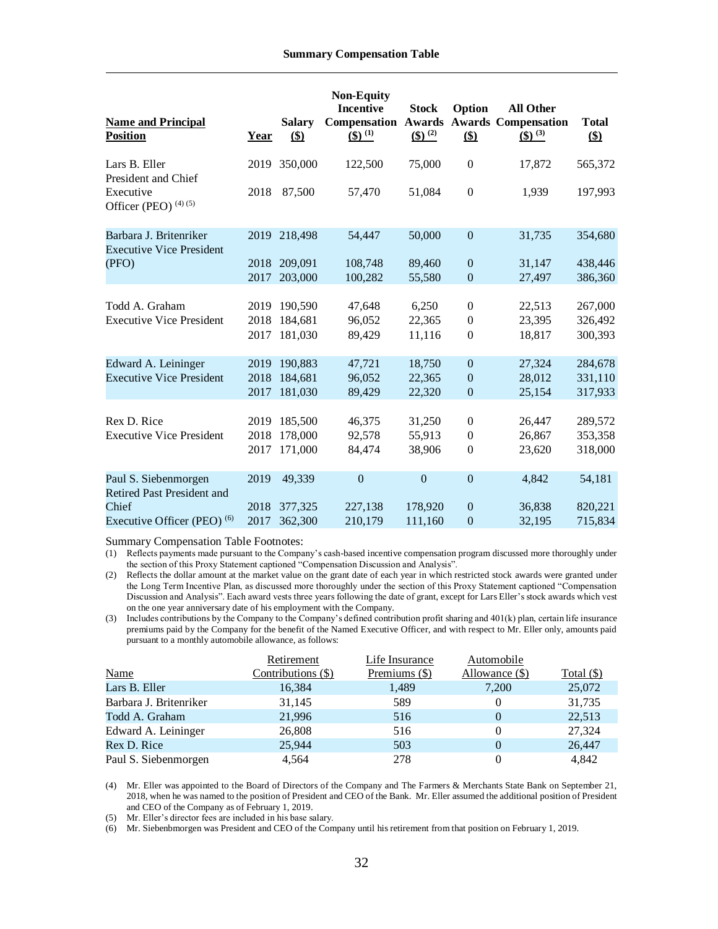| <b>Name and Principal</b><br><b>Position</b>              | Year | <b>Salary</b><br>\$) | <b>Non-Equity</b><br><b>Incentive</b><br><b>Compensation Awards</b><br>$($ \$) $^{(1)}$ | <b>Stock</b><br>$(3)^{(2)}$ | Option<br>$($)$  | <b>All Other</b><br><b>Awards Compensation</b><br>$($ \$) $^{(3)}$ | <b>Total</b><br>\$) |
|-----------------------------------------------------------|------|----------------------|-----------------------------------------------------------------------------------------|-----------------------------|------------------|--------------------------------------------------------------------|---------------------|
| Lars B. Eller<br>President and Chief                      | 2019 | 350,000              | 122,500                                                                                 | 75,000                      | $\boldsymbol{0}$ | 17,872                                                             | 565,372             |
| Executive<br>Officer (PEO) <sup>(4)(5)</sup>              | 2018 | 87,500               | 57,470                                                                                  | 51,084                      | $\boldsymbol{0}$ | 1,939                                                              | 197,993             |
| Barbara J. Britenriker<br><b>Executive Vice President</b> | 2019 | 218,498              | 54,447                                                                                  | 50,000                      | $\boldsymbol{0}$ | 31,735                                                             | 354,680             |
| (PFO)                                                     | 2018 | 209,091              | 108,748                                                                                 | 89,460                      | $\mathbf{0}$     | 31,147                                                             | 438,446             |
|                                                           | 2017 | 203,000              | 100,282                                                                                 | 55,580                      | $\overline{0}$   | 27,497                                                             | 386,360             |
| Todd A. Graham                                            | 2019 | 190,590              | 47,648                                                                                  | 6,250                       | $\mathbf{0}$     | 22,513                                                             | 267,000             |
| <b>Executive Vice President</b>                           | 2018 | 184,681              | 96,052                                                                                  | 22,365                      | $\boldsymbol{0}$ | 23,395                                                             | 326,492             |
|                                                           | 2017 | 181,030              | 89,429                                                                                  | 11,116                      | $\mathbf{0}$     | 18,817                                                             | 300,393             |
| Edward A. Leininger                                       | 2019 | 190,883              | 47,721                                                                                  | 18,750                      | $\overline{0}$   | 27,324                                                             | 284,678             |
| <b>Executive Vice President</b>                           | 2018 | 184,681              | 96,052                                                                                  | 22,365                      | $\boldsymbol{0}$ | 28,012                                                             | 331,110             |
|                                                           | 2017 | 181,030              | 89,429                                                                                  | 22,320                      | $\mathbf{0}$     | 25,154                                                             | 317,933             |
| Rex D. Rice                                               | 2019 | 185,500              | 46,375                                                                                  | 31,250                      | $\boldsymbol{0}$ | 26,447                                                             | 289,572             |
| <b>Executive Vice President</b>                           | 2018 | 178,000              | 92,578                                                                                  | 55,913                      | $\overline{0}$   | 26,867                                                             | 353,358             |
|                                                           | 2017 | 171,000              | 84,474                                                                                  | 38,906                      | $\boldsymbol{0}$ | 23,620                                                             | 318,000             |
| Paul S. Siebenmorgen<br><b>Retired Past President and</b> | 2019 | 49,339               | $\overline{0}$                                                                          | $\mathbf{0}$                | $\overline{0}$   | 4,842                                                              | 54,181              |
| Chief                                                     | 2018 | 377,325              | 227,138                                                                                 | 178,920                     | $\theta$         | 36,838                                                             | 820,221             |
| Executive Officer (PEO) <sup>(6)</sup>                    | 2017 | 362,300              | 210,179                                                                                 | 111,160                     | $\boldsymbol{0}$ | 32,195                                                             | 715,834             |

Summary Compensation Table Footnotes:

(1) Reflects payments made pursuant to the Company's cash-based incentive compensation program discussed more thoroughly under the section of this Proxy Statement captioned "Compensation Discussion and Analysis".

(2) Reflects the dollar amount at the market value on the grant date of each year in which restricted stock awards were granted under the Long Term Incentive Plan, as discussed more thoroughly under the section of this Proxy Statement captioned "Compensation Discussion and Analysis". Each award vests three years following the date of grant, except for Lars Eller's stock awards which vest on the one year anniversary date of his employment with the Company.

(3) Includes contributions by the Company to the Company's defined contribution profit sharing and 401(k) plan, certain life insurance premiums paid by the Company for the benefit of the Named Executive Officer, and with respect to Mr. Eller only, amounts paid pursuant to a monthly automobile allowance, as follows:

|                        | Retirement         | Life Insurance  | Automobile     |              |
|------------------------|--------------------|-----------------|----------------|--------------|
| <b>Name</b>            | Contributions (\$) | Premiums $(\$ ) | Allowance (\$) | $Total (\$)$ |
| Lars B. Eller          | 16,384             | 1,489           | 7,200          | 25,072       |
| Barbara J. Britenriker | 31,145             | 589             |                | 31,735       |
| Todd A. Graham         | 21,996             | 516             | $\Omega$       | 22,513       |
| Edward A. Leininger    | 26,808             | 516             | $\Omega$       | 27,324       |
| Rex D. Rice            | 25,944             | 503             | $\theta$       | 26,447       |
| Paul S. Siebenmorgen   | 4.564              | 278             |                | 4,842        |

(4) Mr. Eller was appointed to the Board of Directors of the Company and The Farmers & Merchants State Bank on September 21, 2018, when he was named to the position of President and CEO of the Bank. Mr. Eller assumed the additional position of President and CEO of the Company as of February 1, 2019.

(5) Mr. Eller's director fees are included in his base salary.

(6) Mr. Siebenbmorgen was President and CEO of the Company until his retirement from that position on February 1, 2019.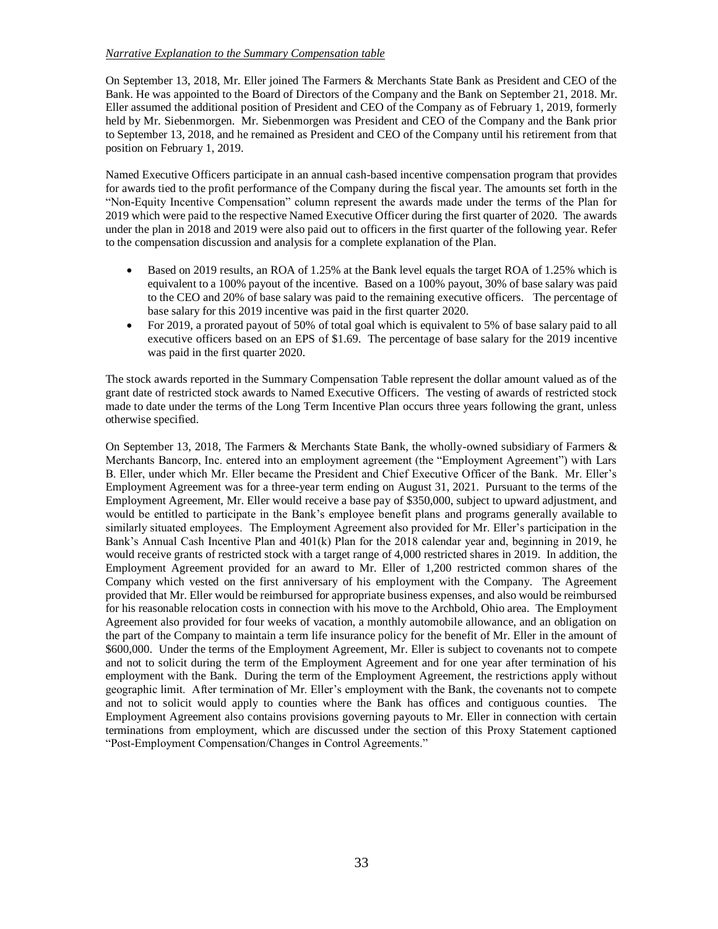# *Narrative Explanation to the Summary Compensation table*

On September 13, 2018, Mr. Eller joined The Farmers & Merchants State Bank as President and CEO of the Bank. He was appointed to the Board of Directors of the Company and the Bank on September 21, 2018. Mr. Eller assumed the additional position of President and CEO of the Company as of February 1, 2019, formerly held by Mr. Siebenmorgen. Mr. Siebenmorgen was President and CEO of the Company and the Bank prior to September 13, 2018, and he remained as President and CEO of the Company until his retirement from that position on February 1, 2019.

Named Executive Officers participate in an annual cash-based incentive compensation program that provides for awards tied to the profit performance of the Company during the fiscal year. The amounts set forth in the "Non-Equity Incentive Compensation" column represent the awards made under the terms of the Plan for 2019 which were paid to the respective Named Executive Officer during the first quarter of 2020. The awards under the plan in 2018 and 2019 were also paid out to officers in the first quarter of the following year. Refer to the compensation discussion and analysis for a complete explanation of the Plan.

- Based on 2019 results, an ROA of 1.25% at the Bank level equals the target ROA of 1.25% which is equivalent to a 100% payout of the incentive. Based on a 100% payout, 30% of base salary was paid to the CEO and 20% of base salary was paid to the remaining executive officers. The percentage of base salary for this 2019 incentive was paid in the first quarter 2020.
- For 2019, a prorated payout of 50% of total goal which is equivalent to 5% of base salary paid to all executive officers based on an EPS of \$1.69. The percentage of base salary for the 2019 incentive was paid in the first quarter 2020.

The stock awards reported in the Summary Compensation Table represent the dollar amount valued as of the grant date of restricted stock awards to Named Executive Officers. The vesting of awards of restricted stock made to date under the terms of the Long Term Incentive Plan occurs three years following the grant, unless otherwise specified.

On September 13, 2018, The Farmers & Merchants State Bank, the wholly-owned subsidiary of Farmers & Merchants Bancorp, Inc. entered into an employment agreement (the "Employment Agreement") with Lars B. Eller, under which Mr. Eller became the President and Chief Executive Officer of the Bank. Mr. Eller's Employment Agreement was for a three-year term ending on August 31, 2021. Pursuant to the terms of the Employment Agreement, Mr. Eller would receive a base pay of \$350,000, subject to upward adjustment, and would be entitled to participate in the Bank's employee benefit plans and programs generally available to similarly situated employees. The Employment Agreement also provided for Mr. Eller's participation in the Bank's Annual Cash Incentive Plan and 401(k) Plan for the 2018 calendar year and, beginning in 2019, he would receive grants of restricted stock with a target range of 4,000 restricted shares in 2019. In addition, the Employment Agreement provided for an award to Mr. Eller of 1,200 restricted common shares of the Company which vested on the first anniversary of his employment with the Company. The Agreement provided that Mr. Eller would be reimbursed for appropriate business expenses, and also would be reimbursed for his reasonable relocation costs in connection with his move to the Archbold, Ohio area. The Employment Agreement also provided for four weeks of vacation, a monthly automobile allowance, and an obligation on the part of the Company to maintain a term life insurance policy for the benefit of Mr. Eller in the amount of \$600,000. Under the terms of the Employment Agreement, Mr. Eller is subject to covenants not to compete and not to solicit during the term of the Employment Agreement and for one year after termination of his employment with the Bank. During the term of the Employment Agreement, the restrictions apply without geographic limit. After termination of Mr. Eller's employment with the Bank, the covenants not to compete and not to solicit would apply to counties where the Bank has offices and contiguous counties. The Employment Agreement also contains provisions governing payouts to Mr. Eller in connection with certain terminations from employment, which are discussed under the section of this Proxy Statement captioned "Post-Employment Compensation/Changes in Control Agreements."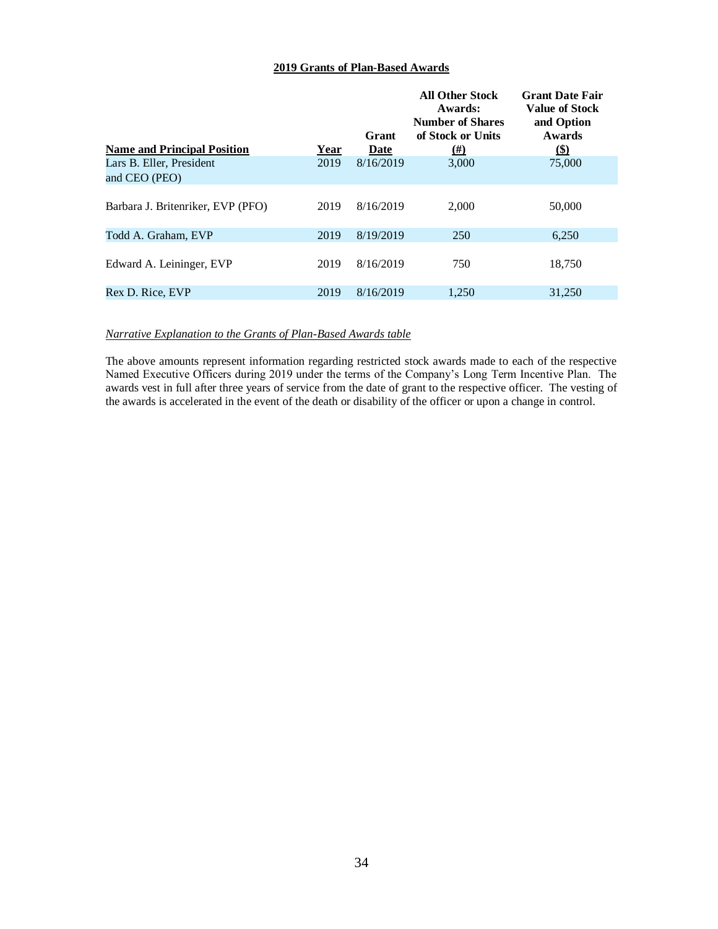# **2019 Grants of Plan-Based Awards**

| <b>Name and Principal Position</b>        | Year | Grant<br>Date | <b>All Other Stock</b><br>Awards:<br><b>Number of Shares</b><br>of Stock or Units<br>$\left(\# \right)$ | <b>Grant Date Fair</b><br>Value of Stock<br>and Option<br>Awards<br>\$) |
|-------------------------------------------|------|---------------|---------------------------------------------------------------------------------------------------------|-------------------------------------------------------------------------|
| Lars B. Eller, President<br>and CEO (PEO) | 2019 | 8/16/2019     | 3,000                                                                                                   | 75,000                                                                  |
| Barbara J. Britenriker, EVP (PFO)         | 2019 | 8/16/2019     | 2,000                                                                                                   | 50,000                                                                  |
| Todd A. Graham, EVP                       | 2019 | 8/19/2019     | 250                                                                                                     | 6,250                                                                   |
| Edward A. Leininger, EVP                  | 2019 | 8/16/2019     | 750                                                                                                     | 18,750                                                                  |
| Rex D. Rice, EVP                          | 2019 | 8/16/2019     | 1,250                                                                                                   | 31,250                                                                  |
|                                           |      |               |                                                                                                         |                                                                         |

#### *Narrative Explanation to the Grants of Plan-Based Awards table*

The above amounts represent information regarding restricted stock awards made to each of the respective Named Executive Officers during 2019 under the terms of the Company's Long Term Incentive Plan. The awards vest in full after three years of service from the date of grant to the respective officer. The vesting of the awards is accelerated in the event of the death or disability of the officer or upon a change in control.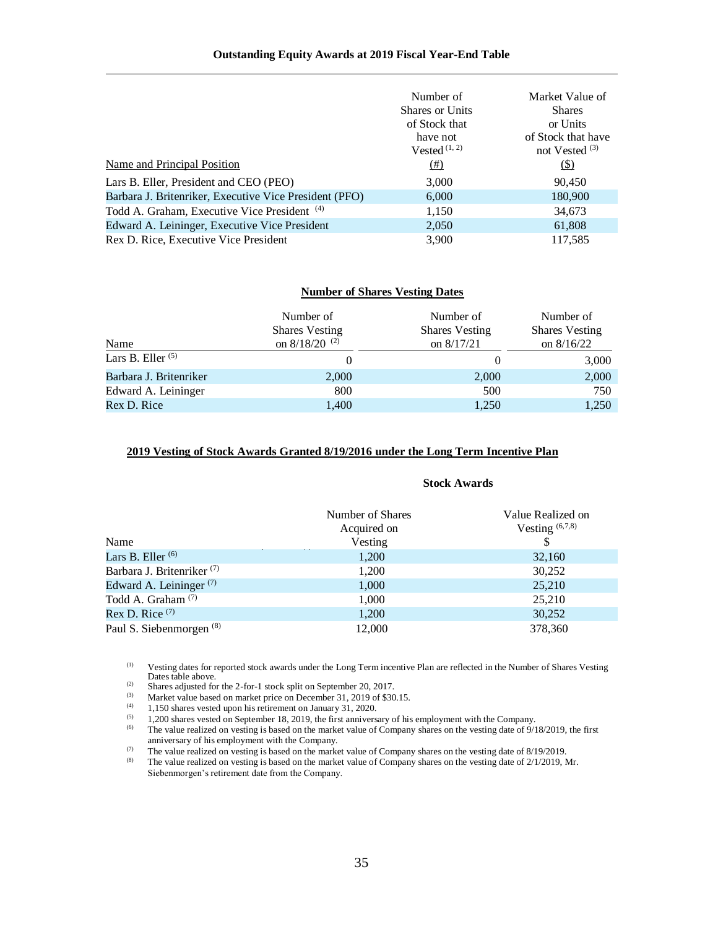# **Outstanding Equity Awards at 2019 Fiscal Year-End Table**

|                                                         | Number of<br><b>Shares or Units</b><br>of Stock that<br>have not<br>Vested $(1, 2)$ | Market Value of<br><b>Shares</b><br>or Units<br>of Stock that have<br>not Vested $(3)$ |
|---------------------------------------------------------|-------------------------------------------------------------------------------------|----------------------------------------------------------------------------------------|
| <b>Name and Principal Position</b>                      | <u>(#)</u>                                                                          | <u>(\$)</u>                                                                            |
| Lars B. Eller, President and CEO (PEO)                  | 3,000                                                                               | 90.450                                                                                 |
| Barbara J. Britenriker, Executive Vice President (PFO)  | 6,000                                                                               | 180,900                                                                                |
| Todd A. Graham, Executive Vice President <sup>(4)</sup> | 1,150                                                                               | 34,673                                                                                 |
| Edward A. Leininger, Executive Vice President           | 2,050                                                                               | 61,808                                                                                 |
| Rex D. Rice, Executive Vice President                   | 3,900                                                                               | 117,585                                                                                |

#### **Number of Shares Vesting Dates**

| Name                   | Number of<br><b>Shares Vesting</b><br>on $8/18/20$ <sup>(2)</sup> | Number of<br><b>Shares Vesting</b><br>on $8/17/21$ | Number of<br><b>Shares Vesting</b><br>on $8/16/22$ |  |  |
|------------------------|-------------------------------------------------------------------|----------------------------------------------------|----------------------------------------------------|--|--|
| Lars B. Eller $(5)$    |                                                                   |                                                    | 3,000                                              |  |  |
| Barbara J. Britenriker | 2,000                                                             | 2,000                                              | 2,000                                              |  |  |
| Edward A. Leininger    | 800                                                               | 500                                                | 750                                                |  |  |
| Rex D. Rice            | 1,400                                                             | 1,250                                              | 1,250                                              |  |  |

# **2019 Vesting of Stock Awards Granted 8/19/2016 under the Long Term Incentive Plan**

#### **Stock Awards**

|                                       | Number of Shares<br>Acquired on | Value Realized on<br>Vesting $(6,7,8)$ |
|---------------------------------------|---------------------------------|----------------------------------------|
| Name                                  | Vesting                         |                                        |
| Lars B. Eller $(6)$                   | 1,200                           | 32,160                                 |
| Barbara J. Britenriker <sup>(7)</sup> | 1,200                           | 30,252                                 |
| Edward A. Leininger $(7)$             | 1,000                           | 25,210                                 |
| Todd A. Graham <sup>(7)</sup>         | 1,000                           | 25,210                                 |
| Rex D. Rice $(7)$                     | 1,200                           | 30,252                                 |
| Paul S. Siebenmorgen <sup>(8)</sup>   | 12,000                          | 378,360                                |

(1) Vesting dates for reported stock awards under the Long Term incentive Plan are reflected in the Number of Shares Vesting Dates table above.

(2) Shares adjusted for the 2-for-1 stock split on September 20, 2017.

(3) Market value based on market price on December 31, 2019 of \$30.15.

(4) 1,150 shares vested upon his retirement on January 31, 2020.

- 1,200 shares vested on September 18, 2019, the first anniversary of his employment with the Company.
- <sup>(6)</sup> The value realized on vesting is based on the market value of Company shares on the vesting date of 9/18/2019, the first anniversary of his employment with the Company.
- (7) The value realized on vesting is based on the market value of Company shares on the vesting date of  $8/19/2019$ .<br>(8) The value realized on vesting is based on the market value of Company shares on the vesting date of
- The value realized on vesting is based on the market value of Company shares on the vesting date of 2/1/2019, Mr. Siebenmorgen's retirement date from the Company.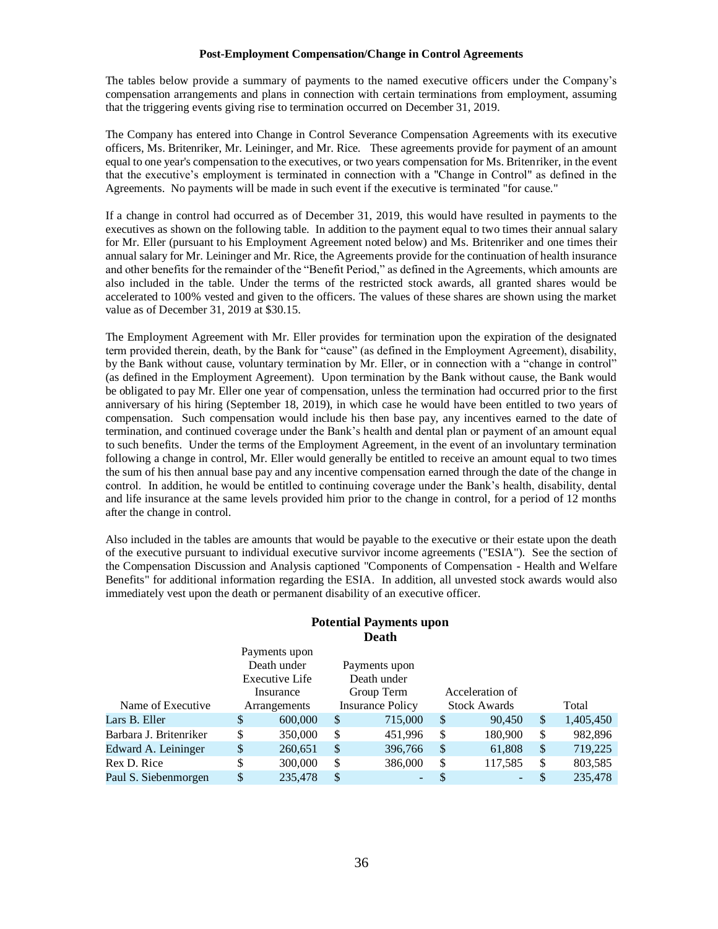#### **Post-Employment Compensation/Change in Control Agreements**

The tables below provide a summary of payments to the named executive officers under the Company's compensation arrangements and plans in connection with certain terminations from employment, assuming that the triggering events giving rise to termination occurred on December 31, 2019.

The Company has entered into Change in Control Severance Compensation Agreements with its executive officers, Ms. Britenriker, Mr. Leininger, and Mr. Rice. These agreements provide for payment of an amount equal to one year's compensation to the executives, or two years compensation for Ms. Britenriker, in the event that the executive's employment is terminated in connection with a "Change in Control" as defined in the Agreements. No payments will be made in such event if the executive is terminated "for cause."

If a change in control had occurred as of December 31, 2019, this would have resulted in payments to the executives as shown on the following table. In addition to the payment equal to two times their annual salary for Mr. Eller (pursuant to his Employment Agreement noted below) and Ms. Britenriker and one times their annual salary for Mr. Leininger and Mr. Rice, the Agreements provide for the continuation of health insurance and other benefits for the remainder of the "Benefit Period," as defined in the Agreements, which amounts are also included in the table. Under the terms of the restricted stock awards, all granted shares would be accelerated to 100% vested and given to the officers. The values of these shares are shown using the market value as of December 31, 2019 at \$30.15.

The Employment Agreement with Mr. Eller provides for termination upon the expiration of the designated term provided therein, death, by the Bank for "cause" (as defined in the Employment Agreement), disability, by the Bank without cause, voluntary termination by Mr. Eller, or in connection with a "change in control" (as defined in the Employment Agreement). Upon termination by the Bank without cause, the Bank would be obligated to pay Mr. Eller one year of compensation, unless the termination had occurred prior to the first anniversary of his hiring (September 18, 2019), in which case he would have been entitled to two years of compensation. Such compensation would include his then base pay, any incentives earned to the date of termination, and continued coverage under the Bank's health and dental plan or payment of an amount equal to such benefits. Under the terms of the Employment Agreement, in the event of an involuntary termination following a change in control, Mr. Eller would generally be entitled to receive an amount equal to two times the sum of his then annual base pay and any incentive compensation earned through the date of the change in control. In addition, he would be entitled to continuing coverage under the Bank's health, disability, dental and life insurance at the same levels provided him prior to the change in control, for a period of 12 months after the change in control.

Also included in the tables are amounts that would be payable to the executive or their estate upon the death of the executive pursuant to individual executive survivor income agreements ("ESIA"). See the section of the Compensation Discussion and Analysis captioned "Components of Compensation - Health and Welfare Benefits" for additional information regarding the ESIA. In addition, all unvested stock awards would also immediately vest upon the death or permanent disability of an executive officer.

# **Potential Payments upon Death**

|                        | Payments upon  |                         |               |               |                          |    |           |
|------------------------|----------------|-------------------------|---------------|---------------|--------------------------|----|-----------|
|                        | Death under    |                         | Payments upon |               |                          |    |           |
|                        | Executive Life |                         | Death under   |               |                          |    |           |
|                        | Insurance      |                         | Group Term    |               | Acceleration of          |    |           |
| Name of Executive      | Arrangements   | <b>Insurance Policy</b> |               |               | <b>Stock Awards</b>      |    | Total     |
| Lars B. Eller          | \$<br>600,000  | \$                      | 715,000       | S             | 90,450                   | \$ | 1,405,450 |
| Barbara J. Britenriker | \$<br>350,000  | \$                      | 451,996       | S             | 180,900                  | \$ | 982,896   |
| Edward A. Leininger    | \$<br>260,651  | \$                      | 396,766       | <sup>\$</sup> | 61,808                   | \$ | 719,225   |
| Rex D. Rice            | \$<br>300,000  | \$                      | 386,000       | \$            | 117,585                  | \$ | 803,585   |
| Paul S. Siebenmorgen   | \$<br>235,478  | \$                      |               |               | $\overline{\phantom{0}}$ | S  | 235,478   |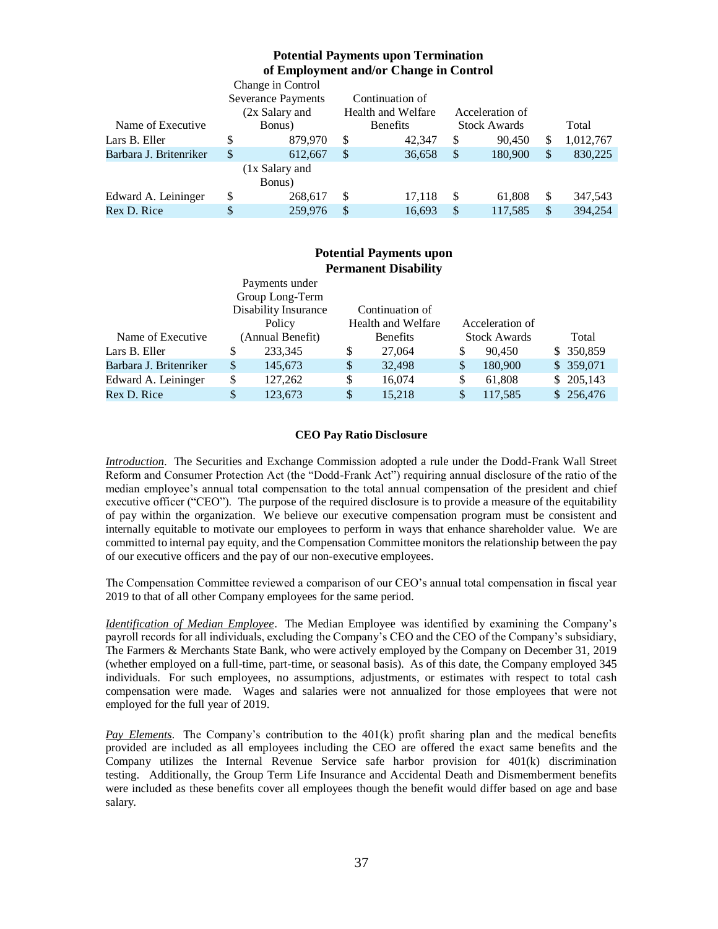# **Potential Payments upon Termination of Employment and/or Change in Control**

|                        | Change in Control         |   |                           |    |                     |   |           |
|------------------------|---------------------------|---|---------------------------|----|---------------------|---|-----------|
|                        | <b>Severance Payments</b> |   | Continuation of           |    |                     |   |           |
|                        | (2x Salary and            |   | <b>Health and Welfare</b> |    | Acceleration of     |   |           |
| Name of Executive      | Bonus)                    |   | <b>Benefits</b>           |    | <b>Stock Awards</b> |   | Total     |
| Lars B. Eller          | \$<br>879,970             | S | 42.347                    | S  | 90,450              | S | 1,012,767 |
| Barbara J. Britenriker | \$<br>612,667             | S | 36,658                    | \$ | 180,900             | S | 830,225   |
|                        | (1x Salary and<br>Bonus)  |   |                           |    |                     |   |           |
| Edward A. Leininger    | \$<br>268,617             | S | 17,118                    | -S | 61,808              | S | 347,543   |
| Rex D. Rice            | \$<br>259,976             | S | 16,693                    | \$ | 117,585             | S | 394,254   |

# **Potential Payments upon Permanent Disability**

|                        | Payments under       |                    |                     |            |
|------------------------|----------------------|--------------------|---------------------|------------|
|                        | Group Long-Term      |                    |                     |            |
|                        | Disability Insurance | Continuation of    |                     |            |
|                        | Policy               | Health and Welfare | Acceleration of     |            |
| Name of Executive      | (Annual Benefit)     | <b>Benefits</b>    | <b>Stock Awards</b> | Total      |
| Lars B. Eller          | \$<br>233,345        | \$<br>27,064       | \$<br>90.450        | \$ 350,859 |
| Barbara J. Britenriker | \$<br>145,673        | \$<br>32,498       | \$<br>180,900       | \$359,071  |
| Edward A. Leininger    | \$<br>127,262        | \$<br>16,074       | \$<br>61,808        | \$205,143  |
| Rex D. Rice            | \$<br>123,673        | \$<br>15.218       | \$<br>117,585       | \$256,476  |

# **CEO Pay Ratio Disclosure**

*Introduction*. The Securities and Exchange Commission adopted a rule under the Dodd-Frank Wall Street Reform and Consumer Protection Act (the "Dodd-Frank Act") requiring annual disclosure of the ratio of the median employee's annual total compensation to the total annual compensation of the president and chief executive officer ("CEO"). The purpose of the required disclosure is to provide a measure of the equitability of pay within the organization. We believe our executive compensation program must be consistent and internally equitable to motivate our employees to perform in ways that enhance shareholder value. We are committed to internal pay equity, and the Compensation Committee monitors the relationship between the pay of our executive officers and the pay of our non-executive employees.

The Compensation Committee reviewed a comparison of our CEO's annual total compensation in fiscal year 2019 to that of all other Company employees for the same period.

*Identification of Median Employee*. The Median Employee was identified by examining the Company's payroll records for all individuals, excluding the Company's CEO and the CEO of the Company's subsidiary, The Farmers & Merchants State Bank, who were actively employed by the Company on December 31, 2019 (whether employed on a full-time, part-time, or seasonal basis). As of this date, the Company employed 345 individuals. For such employees, no assumptions, adjustments, or estimates with respect to total cash compensation were made. Wages and salaries were not annualized for those employees that were not employed for the full year of 2019.

*Pay Elements.* The Company's contribution to the 401(k) profit sharing plan and the medical benefits provided are included as all employees including the CEO are offered the exact same benefits and the Company utilizes the Internal Revenue Service safe harbor provision for 401(k) discrimination testing. Additionally, the Group Term Life Insurance and Accidental Death and Dismemberment benefits were included as these benefits cover all employees though the benefit would differ based on age and base salary.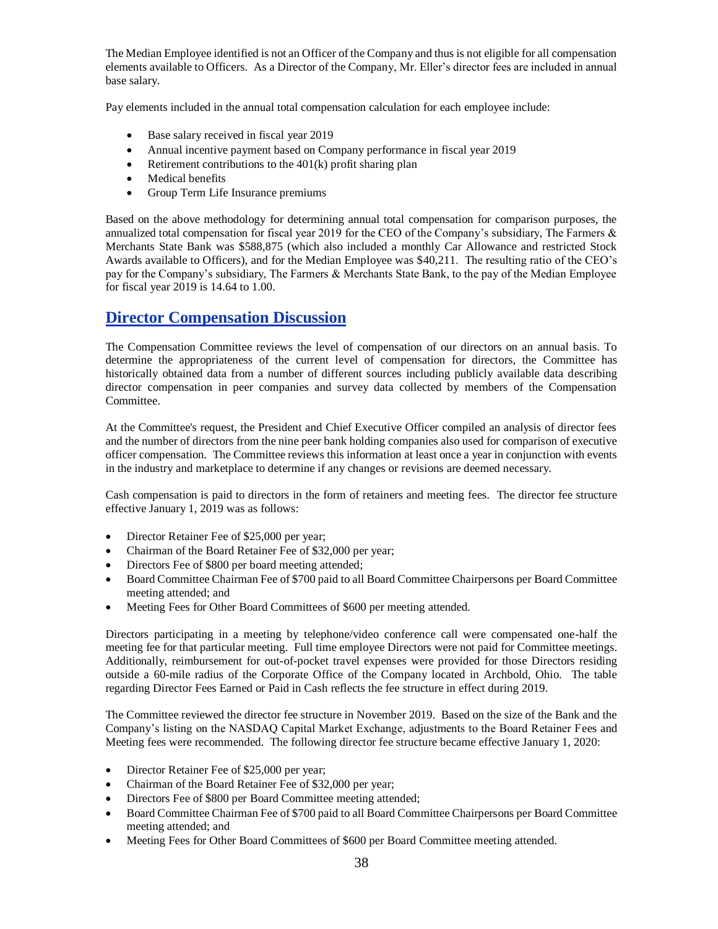The Median Employee identified is not an Officer of the Company and thus is not eligible for all compensation elements available to Officers. As a Director of the Company, Mr. Eller's director fees are included in annual base salary.

Pay elements included in the annual total compensation calculation for each employee include:

- Base salary received in fiscal year 2019
- Annual incentive payment based on Company performance in fiscal year 2019
- $\bullet$  Retirement contributions to the 401 $(k)$  profit sharing plan
- Medical benefits
- Group Term Life Insurance premiums

Based on the above methodology for determining annual total compensation for comparison purposes, the annualized total compensation for fiscal year 2019 for the CEO of the Company's subsidiary, The Farmers & Merchants State Bank was \$588,875 (which also included a monthly Car Allowance and restricted Stock Awards available to Officers), and for the Median Employee was \$40,211. The resulting ratio of the CEO's pay for the Company's subsidiary, The Farmers & Merchants State Bank, to the pay of the Median Employee for fiscal year 2019 is 14.64 to 1.00.

# **Director Compensation Discussion**

The Compensation Committee reviews the level of compensation of our directors on an annual basis. To determine the appropriateness of the current level of compensation for directors, the Committee has historically obtained data from a number of different sources including publicly available data describing director compensation in peer companies and survey data collected by members of the Compensation Committee.

At the Committee's request, the President and Chief Executive Officer compiled an analysis of director fees and the number of directors from the nine peer bank holding companies also used for comparison of executive officer compensation. The Committee reviews this information at least once a year in conjunction with events in the industry and marketplace to determine if any changes or revisions are deemed necessary.

Cash compensation is paid to directors in the form of retainers and meeting fees. The director fee structure effective January 1, 2019 was as follows:

- Director Retainer Fee of \$25,000 per year;
- Chairman of the Board Retainer Fee of \$32,000 per year;
- Directors Fee of \$800 per board meeting attended;
- Board Committee Chairman Fee of \$700 paid to all Board Committee Chairpersons per Board Committee meeting attended; and
- Meeting Fees for Other Board Committees of \$600 per meeting attended.

Directors participating in a meeting by telephone/video conference call were compensated one-half the meeting fee for that particular meeting. Full time employee Directors were not paid for Committee meetings. Additionally, reimbursement for out-of-pocket travel expenses were provided for those Directors residing outside a 60-mile radius of the Corporate Office of the Company located in Archbold, Ohio. The table regarding Director Fees Earned or Paid in Cash reflects the fee structure in effect during 2019.

The Committee reviewed the director fee structure in November 2019. Based on the size of the Bank and the Company's listing on the NASDAQ Capital Market Exchange, adjustments to the Board Retainer Fees and Meeting fees were recommended. The following director fee structure became effective January 1, 2020:

- Director Retainer Fee of \$25,000 per year;
- Chairman of the Board Retainer Fee of \$32,000 per year;
- Directors Fee of \$800 per Board Committee meeting attended;
- Board Committee Chairman Fee of \$700 paid to all Board Committee Chairpersons per Board Committee meeting attended; and
- Meeting Fees for Other Board Committees of \$600 per Board Committee meeting attended.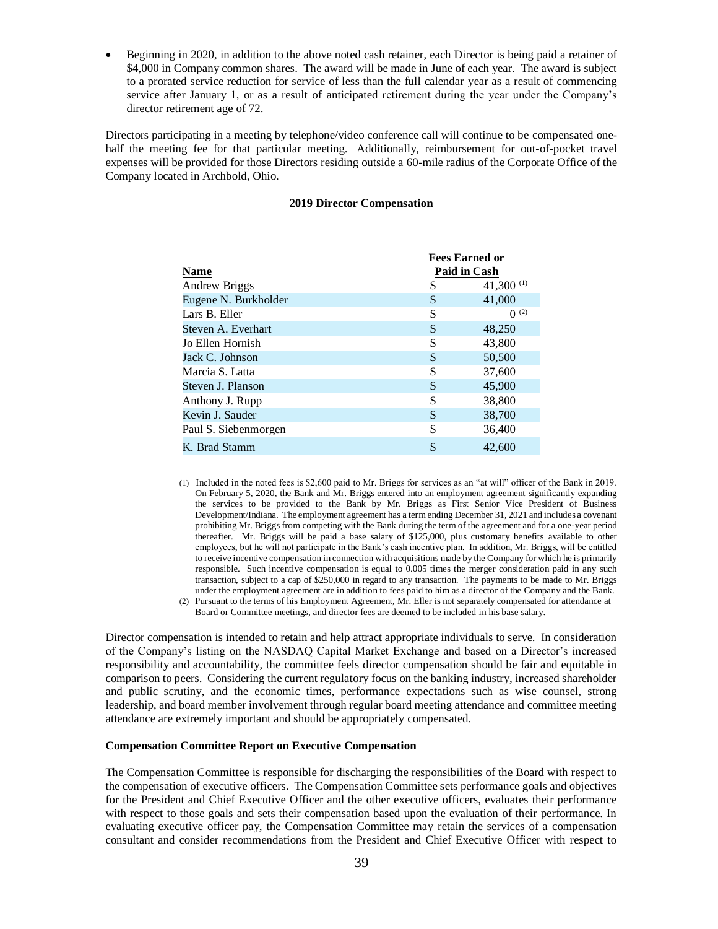Beginning in 2020, in addition to the above noted cash retainer, each Director is being paid a retainer of \$4,000 in Company common shares. The award will be made in June of each year. The award is subject to a prorated service reduction for service of less than the full calendar year as a result of commencing service after January 1, or as a result of anticipated retirement during the year under the Company's director retirement age of 72.

Directors participating in a meeting by telephone/video conference call will continue to be compensated onehalf the meeting fee for that particular meeting. Additionally, reimbursement for out-of-pocket travel expenses will be provided for those Directors residing outside a 60-mile radius of the Corporate Office of the Company located in Archbold, Ohio.

 $\ddot{\phantom{a}}$ 

| <b>Name</b>          |    | <b>Fees Earned or</b><br>Paid in Cash |  |  |
|----------------------|----|---------------------------------------|--|--|
| <b>Andrew Briggs</b> | S  | 41,300 $(1)$                          |  |  |
| Eugene N. Burkholder | \$ | 41,000                                |  |  |
| Lars B. Eller        | \$ | $0^{(2)}$                             |  |  |
| Steven A. Everhart   | \$ | 48,250                                |  |  |
| Jo Ellen Hornish     | \$ | 43,800                                |  |  |
| Jack C. Johnson      | \$ | 50,500                                |  |  |
| Marcia S. Latta      | \$ | 37,600                                |  |  |
| Steven J. Planson    | \$ | 45,900                                |  |  |
| Anthony J. Rupp      | \$ | 38,800                                |  |  |
| Kevin J. Sauder      | \$ | 38,700                                |  |  |
| Paul S. Siebenmorgen | \$ | 36,400                                |  |  |
| K. Brad Stamm        | \$ | 42,600                                |  |  |

(1) Included in the noted fees is \$2,600 paid to Mr. Briggs for services as an "at will" officer of the Bank in 2019. On February 5, 2020, the Bank and Mr. Briggs entered into an employment agreement significantly expanding the services to be provided to the Bank by Mr. Briggs as First Senior Vice President of Business Development/Indiana. The employment agreement has a term ending December 31, 2021 and includes a covenant prohibiting Mr. Briggs from competing with the Bank during the term of the agreement and for a one-year period thereafter. Mr. Briggs will be paid a base salary of \$125,000, plus customary benefits available to other employees, but he will not participate in the Bank's cash incentive plan. In addition, Mr. Briggs, will be entitled to receive incentive compensation in connection with acquisitions made by the Company for which he is primarily responsible. Such incentive compensation is equal to 0.005 times the merger consideration paid in any such transaction, subject to a cap of \$250,000 in regard to any transaction. The payments to be made to Mr. Briggs under the employment agreement are in addition to fees paid to him as a director of the Company and the Bank. (2) Pursuant to the terms of his Employment Agreement, Mr. Eller is not separately compensated for attendance at

Board or Committee meetings, and director fees are deemed to be included in his base salary.

Director compensation is intended to retain and help attract appropriate individuals to serve. In consideration of the Company's listing on the NASDAQ Capital Market Exchange and based on a Director's increased responsibility and accountability, the committee feels director compensation should be fair and equitable in comparison to peers. Considering the current regulatory focus on the banking industry, increased shareholder and public scrutiny, and the economic times, performance expectations such as wise counsel, strong leadership, and board member involvement through regular board meeting attendance and committee meeting attendance are extremely important and should be appropriately compensated.

#### **Compensation Committee Report on Executive Compensation**

The Compensation Committee is responsible for discharging the responsibilities of the Board with respect to the compensation of executive officers. The Compensation Committee sets performance goals and objectives for the President and Chief Executive Officer and the other executive officers, evaluates their performance with respect to those goals and sets their compensation based upon the evaluation of their performance. In evaluating executive officer pay, the Compensation Committee may retain the services of a compensation consultant and consider recommendations from the President and Chief Executive Officer with respect to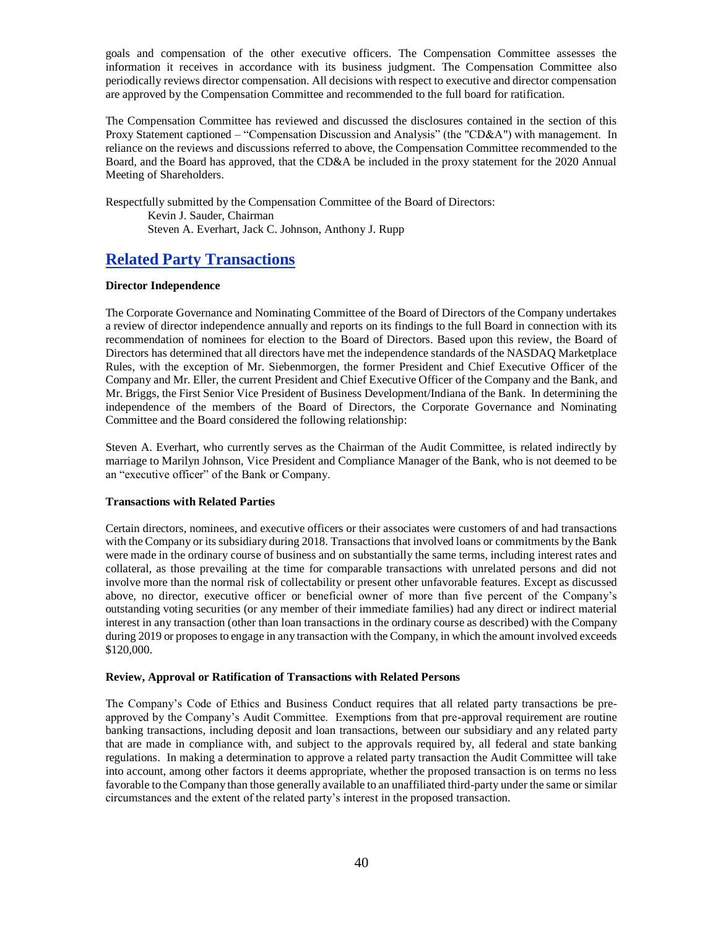goals and compensation of the other executive officers. The Compensation Committee assesses the information it receives in accordance with its business judgment. The Compensation Committee also periodically reviews director compensation. All decisions with respect to executive and director compensation are approved by the Compensation Committee and recommended to the full board for ratification.

The Compensation Committee has reviewed and discussed the disclosures contained in the section of this Proxy Statement captioned – "Compensation Discussion and Analysis" (the "CD&A") with management. In reliance on the reviews and discussions referred to above, the Compensation Committee recommended to the Board, and the Board has approved, that the CD&A be included in the proxy statement for the 2020 Annual Meeting of Shareholders.

Respectfully submitted by the Compensation Committee of the Board of Directors: Kevin J. Sauder, Chairman Steven A. Everhart, Jack C. Johnson, Anthony J. Rupp

# **Related Party Transactions**

# **Director Independence**

The Corporate Governance and Nominating Committee of the Board of Directors of the Company undertakes a review of director independence annually and reports on its findings to the full Board in connection with its recommendation of nominees for election to the Board of Directors. Based upon this review, the Board of Directors has determined that all directors have met the independence standards of the NASDAQ Marketplace Rules, with the exception of Mr. Siebenmorgen, the former President and Chief Executive Officer of the Company and Mr. Eller, the current President and Chief Executive Officer of the Company and the Bank, and Mr. Briggs, the First Senior Vice President of Business Development/Indiana of the Bank. In determining the independence of the members of the Board of Directors, the Corporate Governance and Nominating Committee and the Board considered the following relationship:

Steven A. Everhart, who currently serves as the Chairman of the Audit Committee, is related indirectly by marriage to Marilyn Johnson, Vice President and Compliance Manager of the Bank, who is not deemed to be an "executive officer" of the Bank or Company.

# **Transactions with Related Parties**

Certain directors, nominees, and executive officers or their associates were customers of and had transactions with the Company or its subsidiary during 2018. Transactions that involved loans or commitments by the Bank were made in the ordinary course of business and on substantially the same terms, including interest rates and collateral, as those prevailing at the time for comparable transactions with unrelated persons and did not involve more than the normal risk of collectability or present other unfavorable features. Except as discussed above, no director, executive officer or beneficial owner of more than five percent of the Company's outstanding voting securities (or any member of their immediate families) had any direct or indirect material interest in any transaction (other than loan transactions in the ordinary course as described) with the Company during 2019 or proposes to engage in any transaction with the Company, in which the amount involved exceeds \$120,000.

# **Review, Approval or Ratification of Transactions with Related Persons**

The Company's Code of Ethics and Business Conduct requires that all related party transactions be preapproved by the Company's Audit Committee. Exemptions from that pre-approval requirement are routine banking transactions, including deposit and loan transactions, between our subsidiary and any related party that are made in compliance with, and subject to the approvals required by, all federal and state banking regulations. In making a determination to approve a related party transaction the Audit Committee will take into account, among other factors it deems appropriate, whether the proposed transaction is on terms no less favorable to the Company than those generally available to an unaffiliated third-party under the same or similar circumstances and the extent of the related party's interest in the proposed transaction.